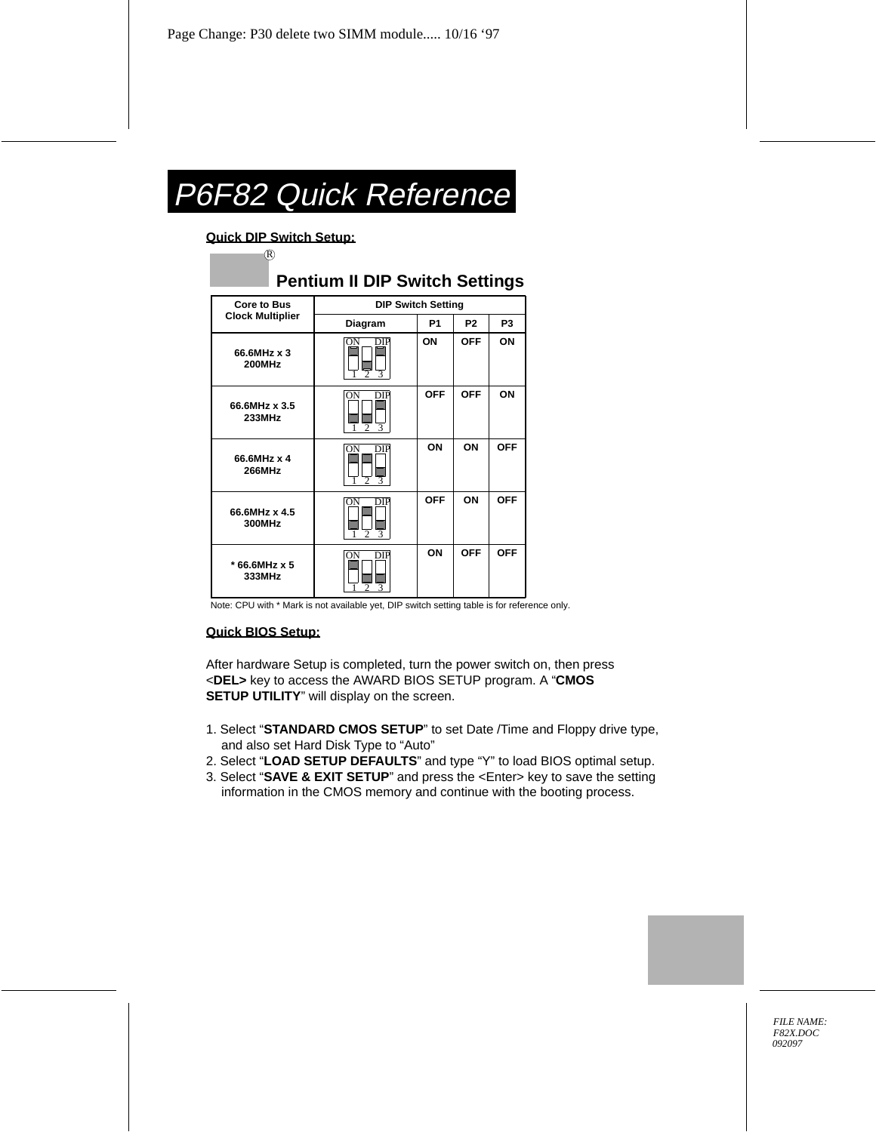# P6F82 Quick Reference

#### **Quick DIP Switch Setup:**

R

### **Pentium II DIP Switch Settings**

| <b>Core to Bus</b>           | <b>DIP Switch Setting</b>                   |                |                |                |
|------------------------------|---------------------------------------------|----------------|----------------|----------------|
| <b>Clock Multiplier</b>      | Diagram                                     | P <sub>1</sub> | P <sub>2</sub> | P <sub>3</sub> |
| 66.6MHz x 3<br><b>200MHz</b> | ON<br>DIP<br>$\mathfrak{D}$<br>3            | ON             | <b>OFF</b>     | ON             |
| 66.6MHz x 3.5<br>233MHz      | DIP<br>ON<br>$\mathfrak{D}$<br>$\mathbf{3}$ | <b>OFF</b>     | <b>OFF</b>     | ON             |
| 66.6MHz x 4<br><b>266MHz</b> | ON<br>DIP<br>$\mathfrak{D}$<br>3            | ON             | ON             | <b>OFF</b>     |
| 66.6MHz x 4.5<br>300MHz      | DIP<br>ЭN<br>$\overline{c}$<br>3            | <b>OFF</b>     | ON             | <b>OFF</b>     |
| * 66.6MHz x 5<br>333MHz      | ON<br>DIP<br>っ<br>3                         | ON             | <b>OFF</b>     | <b>OFF</b>     |

Note: CPU with \* Mark is not available yet, DIP switch setting table is for reference only.

#### **Quick BIOS Setup:**

After hardware Setup is completed, turn the power switch on, then press <**DEL>** key to access the AWARD BIOS SETUP program. A "**CMOS SETUP UTILITY**" will display on the screen.

- 1. Select "**STANDARD CMOS SETUP**" to set Date /Time and Floppy drive type, and also set Hard Disk Type to "Auto"
- 2. Select "**LOAD SETUP DEFAULTS**" and type "Y" to load BIOS optimal setup.
- 3. Select "**SAVE & EXIT SETUP**" and press the <Enter> key to save the setting information in the CMOS memory and continue with the booting process.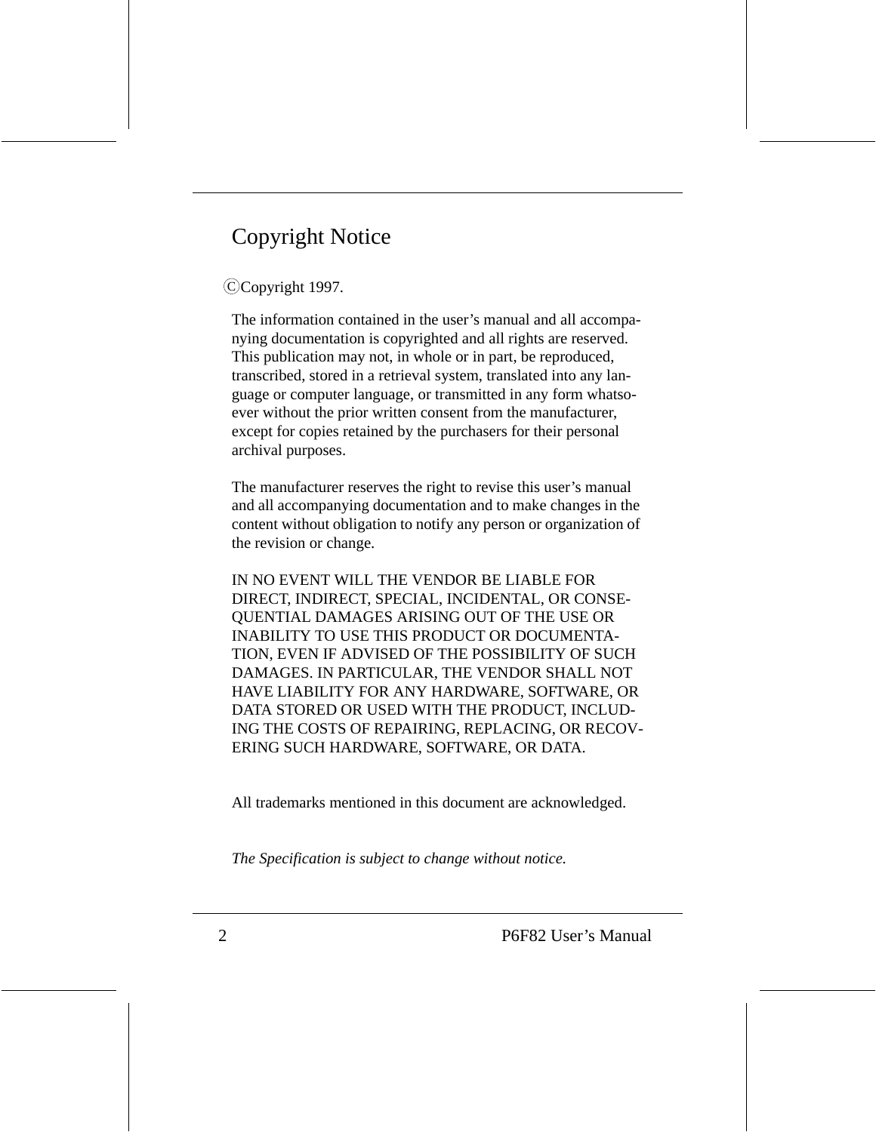# Copyright Notice

#### C Copyright 1997.

The information contained in the user's manual and all accompanying documentation is copyrighted and all rights are reserved. This publication may not, in whole or in part, be reproduced, transcribed, stored in a retrieval system, translated into any language or computer language, or transmitted in any form whatsoever without the prior written consent from the manufacturer, except for copies retained by the purchasers for their personal archival purposes.

The manufacturer reserves the right to revise this user's manual and all accompanying documentation and to make changes in the content without obligation to notify any person or organization of the revision or change.

IN NO EVENT WILL THE VENDOR BE LIABLE FOR DIRECT, INDIRECT, SPECIAL, INCIDENTAL, OR CONSE-QUENTIAL DAMAGES ARISING OUT OF THE USE OR INABILITY TO USE THIS PRODUCT OR DOCUMENTA-TION, EVEN IF ADVISED OF THE POSSIBILITY OF SUCH DAMAGES. IN PARTICULAR, THE VENDOR SHALL NOT HAVE LIABILITY FOR ANY HARDWARE, SOFTWARE, OR DATA STORED OR USED WITH THE PRODUCT, INCLUD-ING THE COSTS OF REPAIRING, REPLACING, OR RECOV-ERING SUCH HARDWARE, SOFTWARE, OR DATA.

All trademarks mentioned in this document are acknowledged.

*The Specification is subject to change without notice.*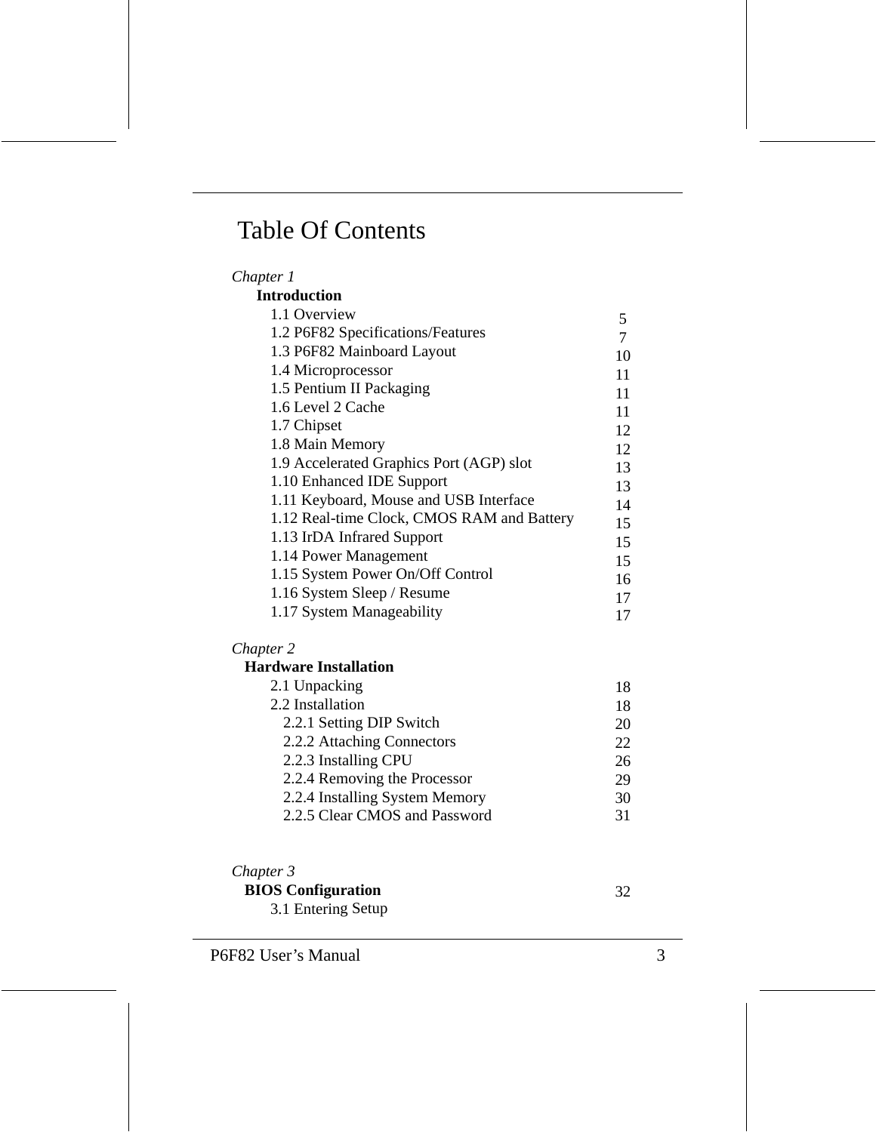# Table Of Contents

| Chapter 1                                  |    |
|--------------------------------------------|----|
| <b>Introduction</b>                        |    |
| 1.1 Overview                               | 5  |
| 1.2 P6F82 Specifications/Features          |    |
| 1.3 P6F82 Mainboard Layout                 | 10 |
| 1.4 Microprocessor                         | 11 |
| 1.5 Pentium II Packaging                   | 11 |
| 1.6 Level 2 Cache                          | 11 |
| 1.7 Chipset                                | 12 |
| 1.8 Main Memory                            | 12 |
| 1.9 Accelerated Graphics Port (AGP) slot   | 13 |
| 1.10 Enhanced IDE Support                  | 13 |
| 1.11 Keyboard, Mouse and USB Interface     | 14 |
| 1.12 Real-time Clock, CMOS RAM and Battery | 15 |
| 1.13 IrDA Infrared Support                 | 15 |
| 1.14 Power Management                      | 15 |
| 1.15 System Power On/Off Control           | 16 |
| 1.16 System Sleep / Resume                 | 17 |
| 1.17 System Manageability                  | 17 |
|                                            |    |

#### *Chapter 2*

#### **Hardware Installation**

| 2.1 Unpacking                  | 18  |
|--------------------------------|-----|
| 2.2 Installation               | 18  |
| 2.2.1 Setting DIP Switch       | 20  |
| 2.2.2 Attaching Connectors     | 22. |
| 2.2.3 Installing CPU           | 26  |
| 2.2.4 Removing the Processor   | 29  |
| 2.2.4 Installing System Memory | 30  |
| 2.2.5 Clear CMOS and Password  | 31  |

#### *Chapter 3*

#### **BIOS Configuration**

3.1 Entering Setup

32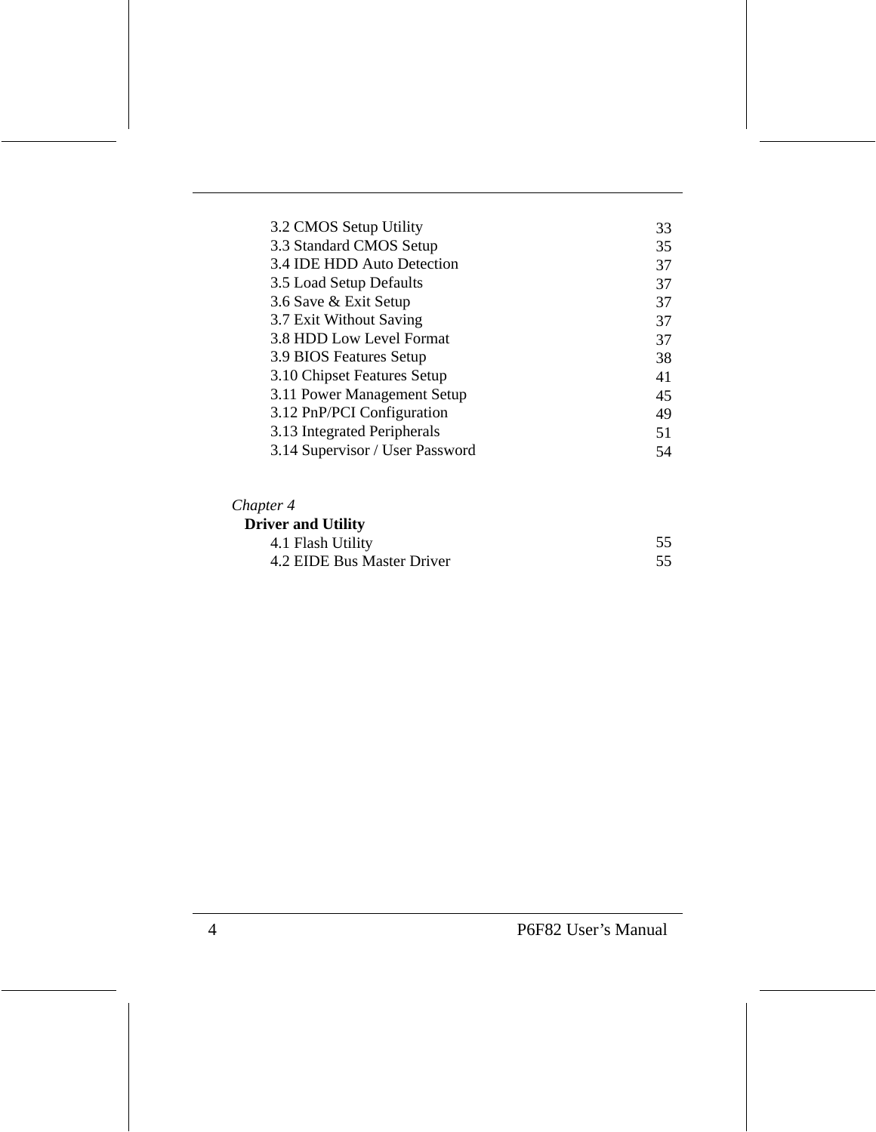| 3.2 CMOS Setup Utility          | 33 |
|---------------------------------|----|
| 3.3 Standard CMOS Setup         | 35 |
| 3.4 IDE HDD Auto Detection      | 37 |
| 3.5 Load Setup Defaults         | 37 |
| 3.6 Save & Exit Setup           | 37 |
| 3.7 Exit Without Saving         | 37 |
| 3.8 HDD Low Level Format        | 37 |
| 3.9 BIOS Features Setup         | 38 |
| 3.10 Chipset Features Setup     | 41 |
| 3.11 Power Management Setup     | 45 |
| 3.12 PnP/PCI Configuration      | 49 |
| 3.13 Integrated Peripherals     | 51 |
| 3.14 Supervisor / User Password | 54 |
|                                 |    |

#### *Chapter 4*

| <b>Driver and Utility</b>  |    |
|----------------------------|----|
| 4.1 Flash Utility          | 55 |
| 4.2 EIDE Bus Master Driver | 55 |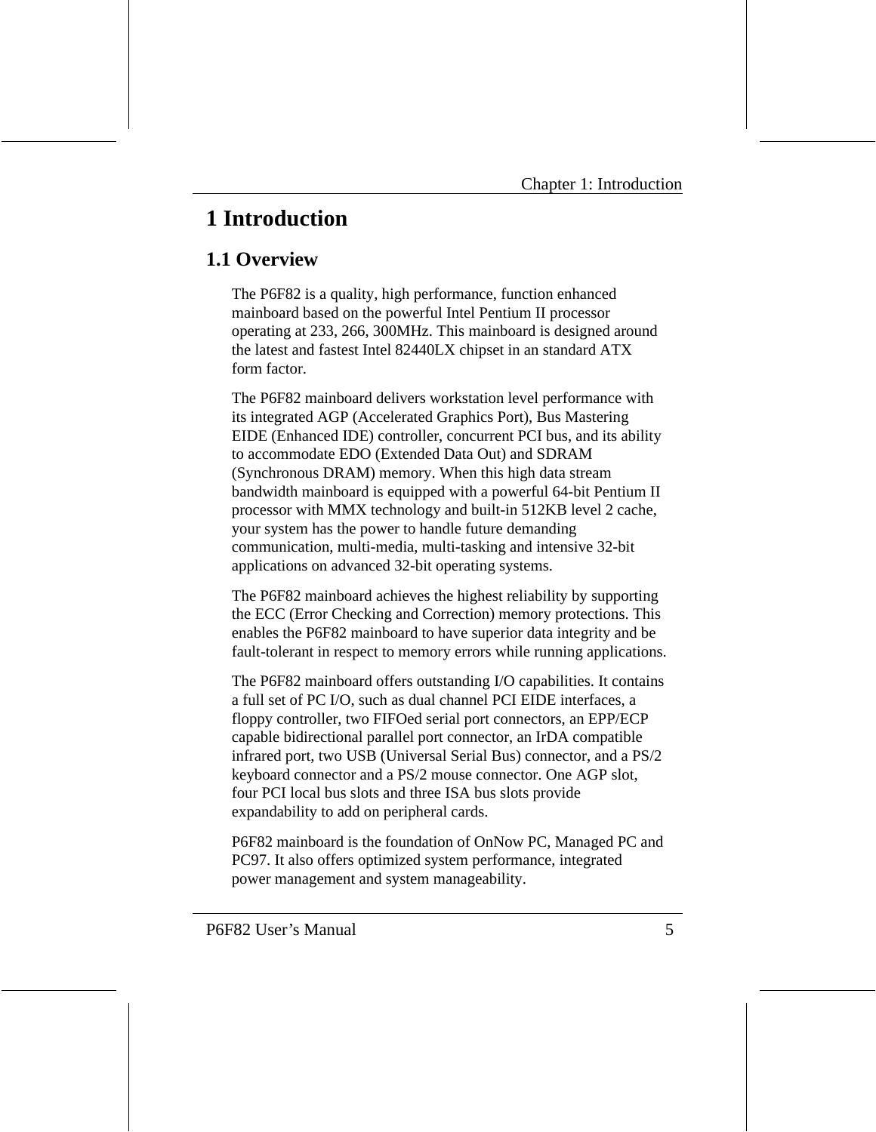# **1 Introduction**

# **1.1 Overview**

The P6F82 is a quality, high performance, function enhanced mainboard based on the powerful Intel Pentium II processor operating at 233, 266, 300MHz. This mainboard is designed around the latest and fastest Intel 82440LX chipset in an standard ATX form factor.

The P6F82 mainboard delivers workstation level performance with its integrated AGP (Accelerated Graphics Port), Bus Mastering EIDE (Enhanced IDE) controller, concurrent PCI bus, and its ability to accommodate EDO (Extended Data Out) and SDRAM (Synchronous DRAM) memory. When this high data stream bandwidth mainboard is equipped with a powerful 64-bit Pentium II processor with MMX technology and built-in 512KB level 2 cache, your system has the power to handle future demanding communication, multi-media, multi-tasking and intensive 32-bit applications on advanced 32-bit operating systems.

The P6F82 mainboard achieves the highest reliability by supporting the ECC (Error Checking and Correction) memory protections. This enables the P6F82 mainboard to have superior data integrity and be fault-tolerant in respect to memory errors while running applications.

The P6F82 mainboard offers outstanding I/O capabilities. It contains a full set of PC I/O, such as dual channel PCI EIDE interfaces, a floppy controller, two FIFOed serial port connectors, an EPP/ECP capable bidirectional parallel port connector, an IrDA compatible infrared port, two USB (Universal Serial Bus) connector, and a PS/2 keyboard connector and a PS/2 mouse connector. One AGP slot, four PCI local bus slots and three ISA bus slots provide expandability to add on peripheral cards.

P6F82 mainboard is the foundation of OnNow PC, Managed PC and PC97. It also offers optimized system performance, integrated power management and system manageability.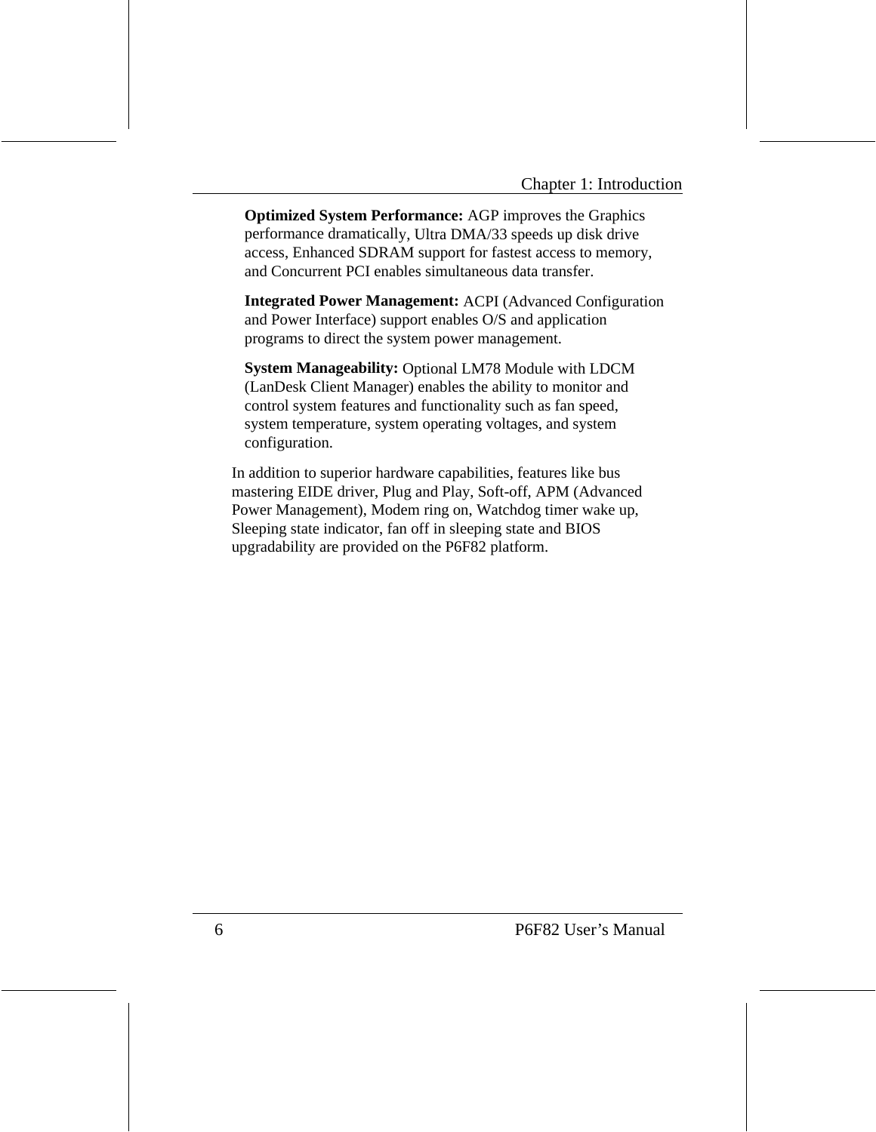**Optimized System Performance:** AGP improves the Graphics performance dramatically, Ultra DMA/33 speeds up disk drive access, Enhanced SDRAM support for fastest access to memory, and Concurrent PCI enables simultaneous data transfer.

**Integrated Power Management:** ACPI (Advanced Configuration and Power Interface) support enables O/S and application programs to direct the system power management.

**System Manageability:** Optional LM78 Module with LDCM (LanDesk Client Manager) enables the ability to monitor and control system features and functionality such as fan speed, system temperature, system operating voltages, and system configuration.

In addition to superior hardware capabilities, features like bus mastering EIDE driver, Plug and Play, Soft-off, APM (Advanced Power Management), Modem ring on, Watchdog timer wake up, Sleeping state indicator, fan off in sleeping state and BIOS upgradability are provided on the P6F82 platform.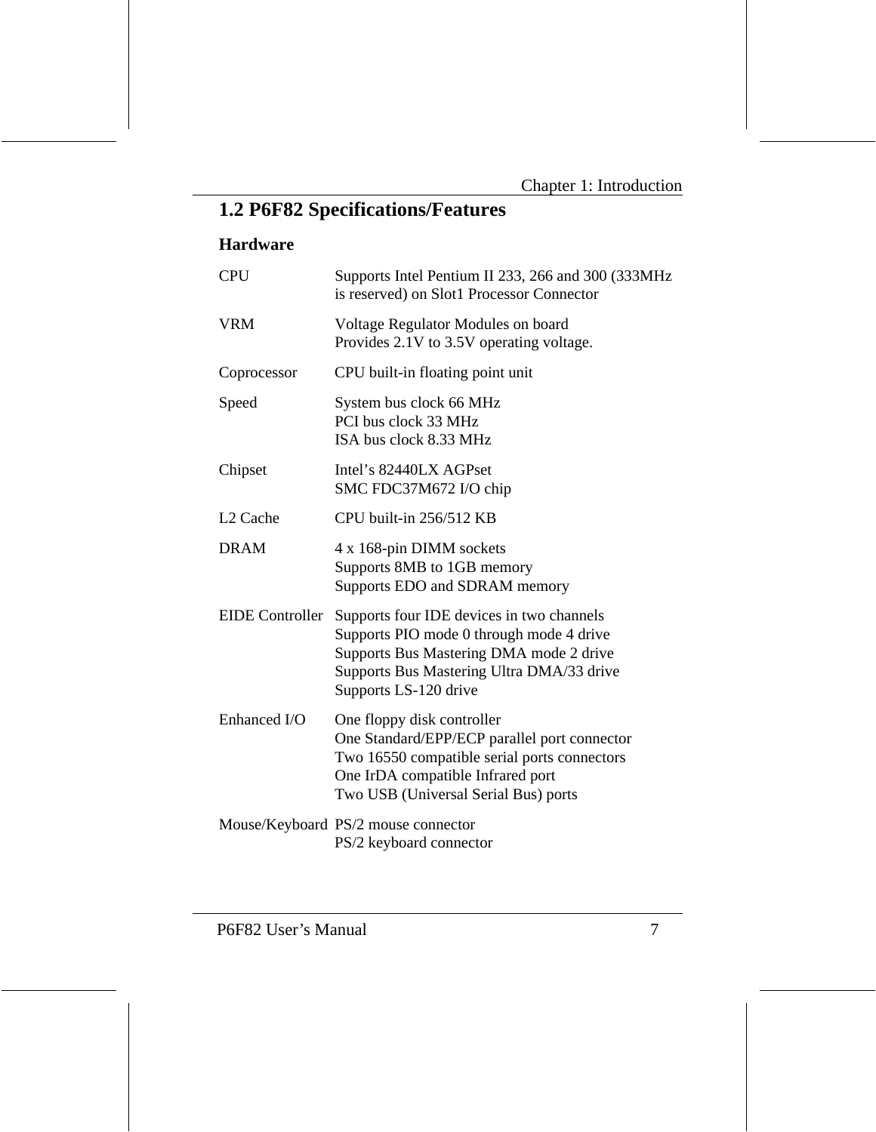# **1.2 P6F82 Specifications/Features**

#### **Hardware**

| <b>CPU</b>             | Supports Intel Pentium II 233, 266 and 300 (333MHz)<br>is reserved) on Slot1 Processor Connector                                                                                                        |
|------------------------|---------------------------------------------------------------------------------------------------------------------------------------------------------------------------------------------------------|
| <b>VRM</b>             | Voltage Regulator Modules on board<br>Provides 2.1V to 3.5V operating voltage.                                                                                                                          |
| Coprocessor            | CPU built-in floating point unit                                                                                                                                                                        |
| Speed                  | System bus clock 66 MHz<br>PCI bus clock 33 MHz<br>ISA bus clock 8.33 MHz                                                                                                                               |
| Chipset                | Intel's 82440LX AGPset<br>SMC FDC37M672 I/O chip                                                                                                                                                        |
| L <sub>2</sub> Cache   | CPU built-in 256/512 KB                                                                                                                                                                                 |
| <b>DRAM</b>            | 4 x 168-pin DIMM sockets<br>Supports 8MB to 1GB memory<br>Supports EDO and SDRAM memory                                                                                                                 |
| <b>EIDE</b> Controller | Supports four IDE devices in two channels<br>Supports PIO mode 0 through mode 4 drive<br>Supports Bus Mastering DMA mode 2 drive<br>Supports Bus Mastering Ultra DMA/33 drive<br>Supports LS-120 drive  |
| Enhanced I/O           | One floppy disk controller<br>One Standard/EPP/ECP parallel port connector<br>Two 16550 compatible serial ports connectors<br>One IrDA compatible Infrared port<br>Two USB (Universal Serial Bus) ports |
|                        | Mouse/Keyboard PS/2 mouse connector<br>PS/2 keyboard connector                                                                                                                                          |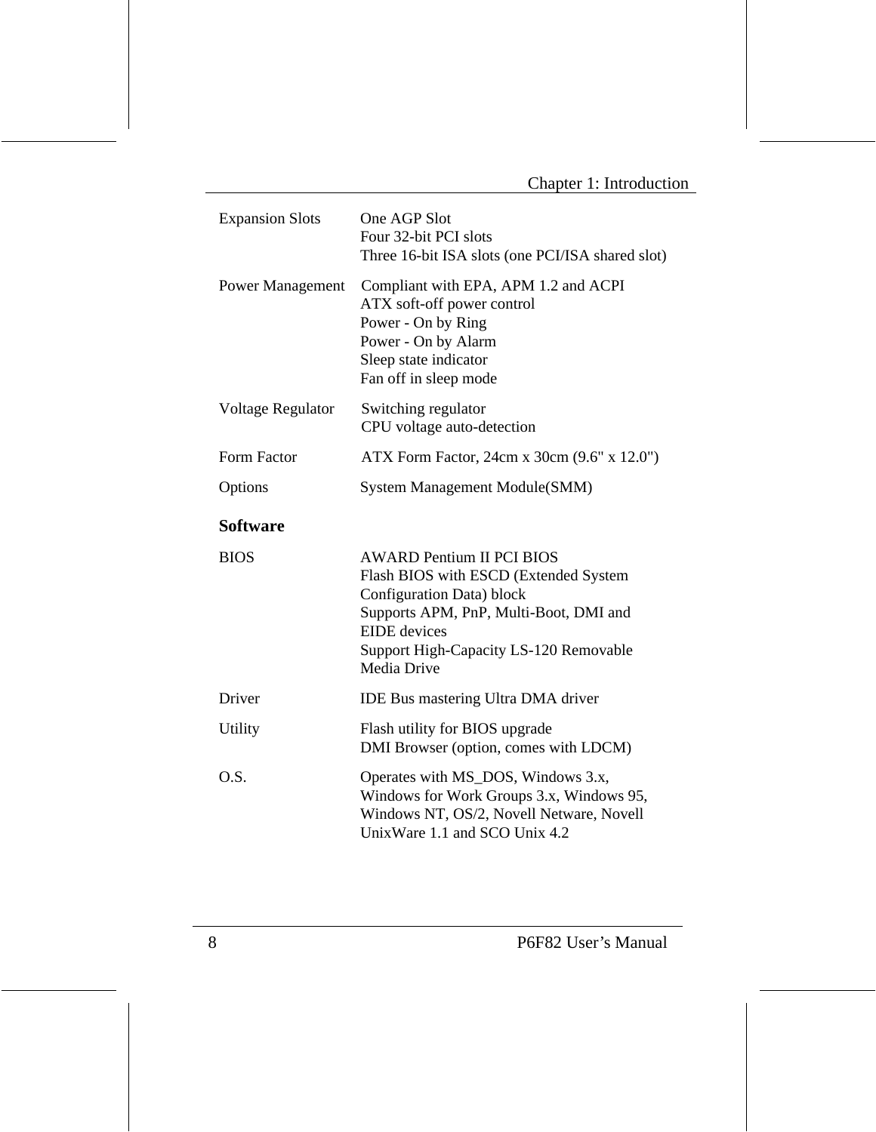| <b>Expansion Slots</b> | One AGP Slot<br>Four 32-bit PCI slots<br>Three 16-bit ISA slots (one PCI/ISA shared slot)                                                                                                                                        |
|------------------------|----------------------------------------------------------------------------------------------------------------------------------------------------------------------------------------------------------------------------------|
| Power Management       | Compliant with EPA, APM 1.2 and ACPI<br>ATX soft-off power control<br>Power - On by Ring<br>Power - On by Alarm<br>Sleep state indicator<br>Fan off in sleep mode                                                                |
| Voltage Regulator      | Switching regulator<br>CPU voltage auto-detection                                                                                                                                                                                |
| Form Factor            | ATX Form Factor, 24cm x 30cm (9.6" x 12.0")                                                                                                                                                                                      |
| Options                | System Management Module(SMM)                                                                                                                                                                                                    |
| <b>Software</b>        |                                                                                                                                                                                                                                  |
| <b>BIOS</b>            | <b>AWARD Pentium II PCI BIOS</b><br>Flash BIOS with ESCD (Extended System<br>Configuration Data) block<br>Supports APM, PnP, Multi-Boot, DMI and<br><b>EIDE</b> devices<br>Support High-Capacity LS-120 Removable<br>Media Drive |
| Driver                 | <b>IDE Bus mastering Ultra DMA driver</b>                                                                                                                                                                                        |
| <b>Utility</b>         | Flash utility for BIOS upgrade<br>DMI Browser (option, comes with LDCM)                                                                                                                                                          |
| O.S.                   | Operates with MS_DOS, Windows 3.x,<br>Windows for Work Groups 3.x, Windows 95,<br>Windows NT, OS/2, Novell Netware, Novell<br>UnixWare 1.1 and SCO Unix 4.2                                                                      |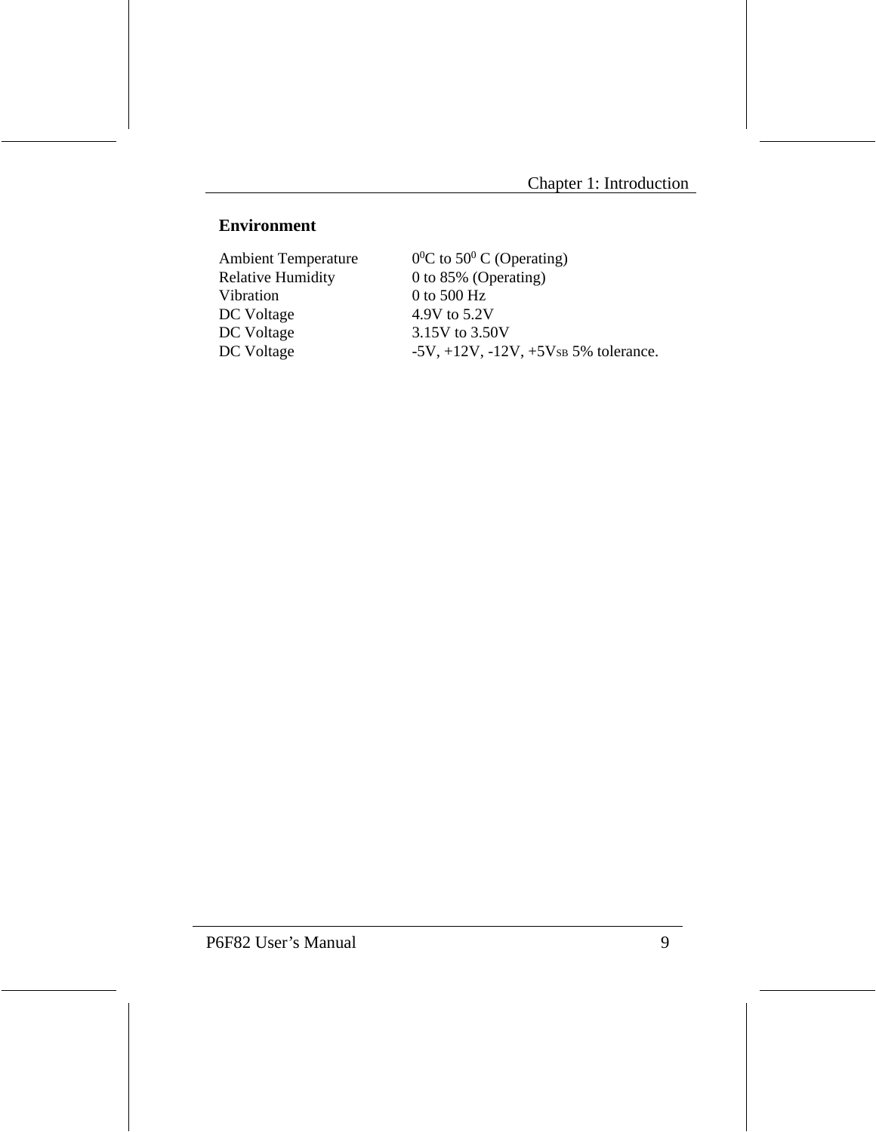#### **Environment**

Ambient Temperature<br>Relative Humidity Relative Humidity 0 to 85% (Operating)<br>Vibration 0 to 500 Hz DC Voltage 4.9V to 5.2V<br>DC Voltage 3.15V to 3.50

C to  $50^0$  C (Operating)  $0$  to 500 Hz  $3.15V$  to  $3.50V$ DC Voltage  $-5V$ ,  $+12V$ ,  $-12V$ ,  $+5V$ SB 5% tolerance.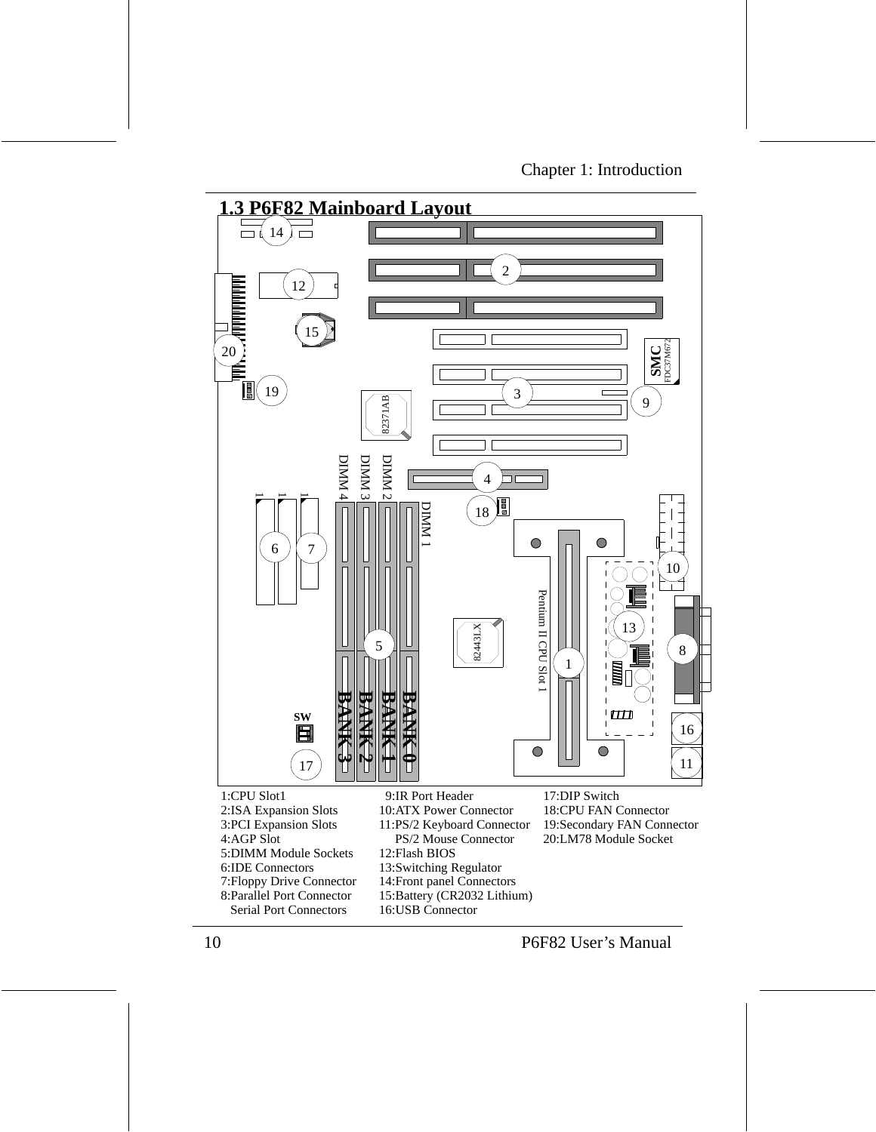

- 1:CPU Slot1 2:ISA Expansion Slots 3:PCI Expansion Slots 6:IDE Connectors 5:DIMM Module Sockets 8:Parallel Port Connector 7:Floppy Drive Connector 4:AGP Slot Serial Port Connectors
- 9:IR Port Header
- 10:ATX Power Connector
- 11:PS/2 Keyboard Connector
- PS/2 Mouse Connector
- 12:Flash BIOS
- 13:Switching Regulator
- 14:Front panel Connectors
- 15:Battery (CR2032 Lithium)
- 16:USB Connector

17:DIP Switch 18:CPU FAN Connector 20:LM78 Module Socket 19:Secondary FAN Connector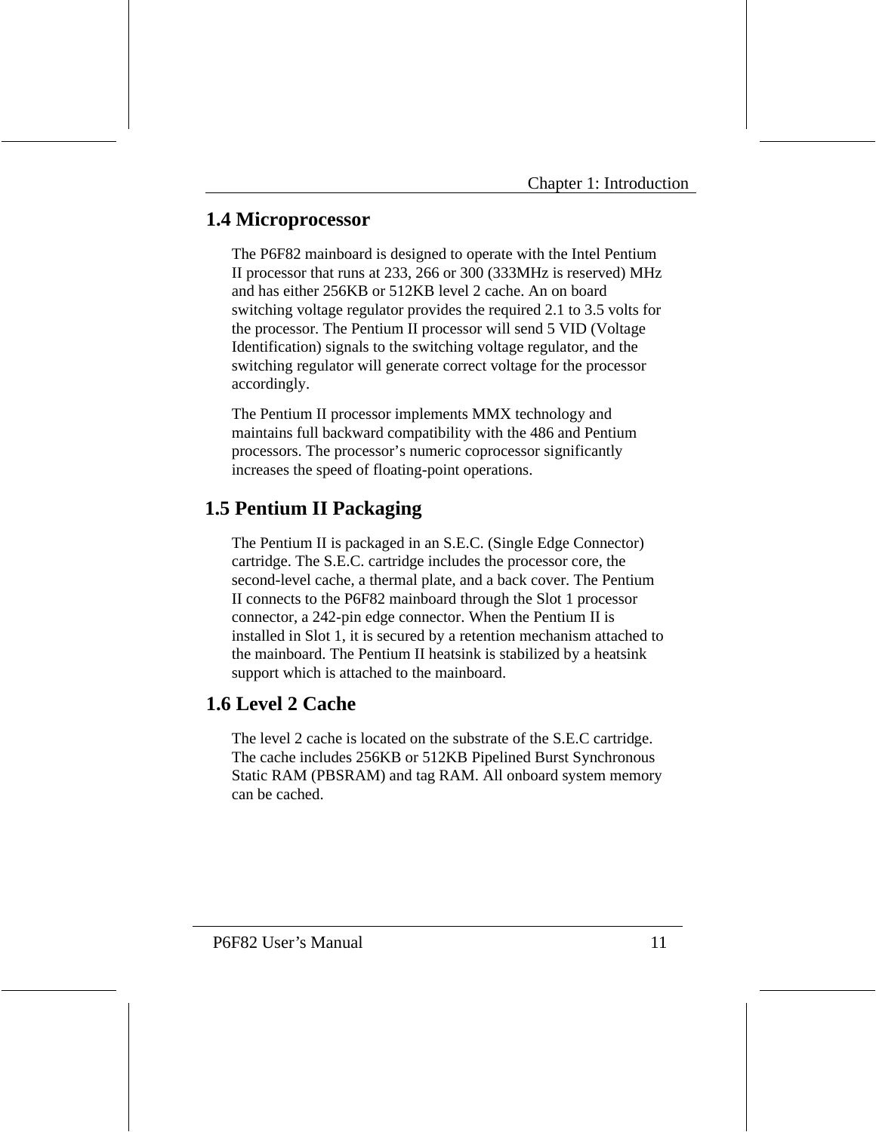# **1.4 Microprocessor**

The P6F82 mainboard is designed to operate with the Intel Pentium II processor that runs at 233, 266 or 300 (333MHz is reserved) MHz and has either 256KB or 512KB level 2 cache. An on board switching voltage regulator provides the required 2.1 to 3.5 volts for the processor. The Pentium II processor will send 5 VID (Voltage Identification) signals to the switching voltage regulator, and the switching regulator will generate correct voltage for the processor accordingly.

The Pentium II processor implements MMX technology and maintains full backward compatibility with the 486 and Pentium processors. The processor's numeric coprocessor significantly increases the speed of floating-point operations.

# **1.5 Pentium II Packaging**

The Pentium II is packaged in an S.E.C. (Single Edge Connector) cartridge. The S.E.C. cartridge includes the processor core, the second-level cache, a thermal plate, and a back cover. The Pentium II connects to the P6F82 mainboard through the Slot 1 processor connector, a 242-pin edge connector. When the Pentium II is installed in Slot 1, it is secured by a retention mechanism attached to the mainboard. The Pentium II heatsink is stabilized by a heatsink support which is attached to the mainboard.

# **1.6 Level 2 Cache**

The level 2 cache is located on the substrate of the S.E.C cartridge. The cache includes 256KB or 512KB Pipelined Burst Synchronous Static RAM (PBSRAM) and tag RAM. All onboard system memory can be cached.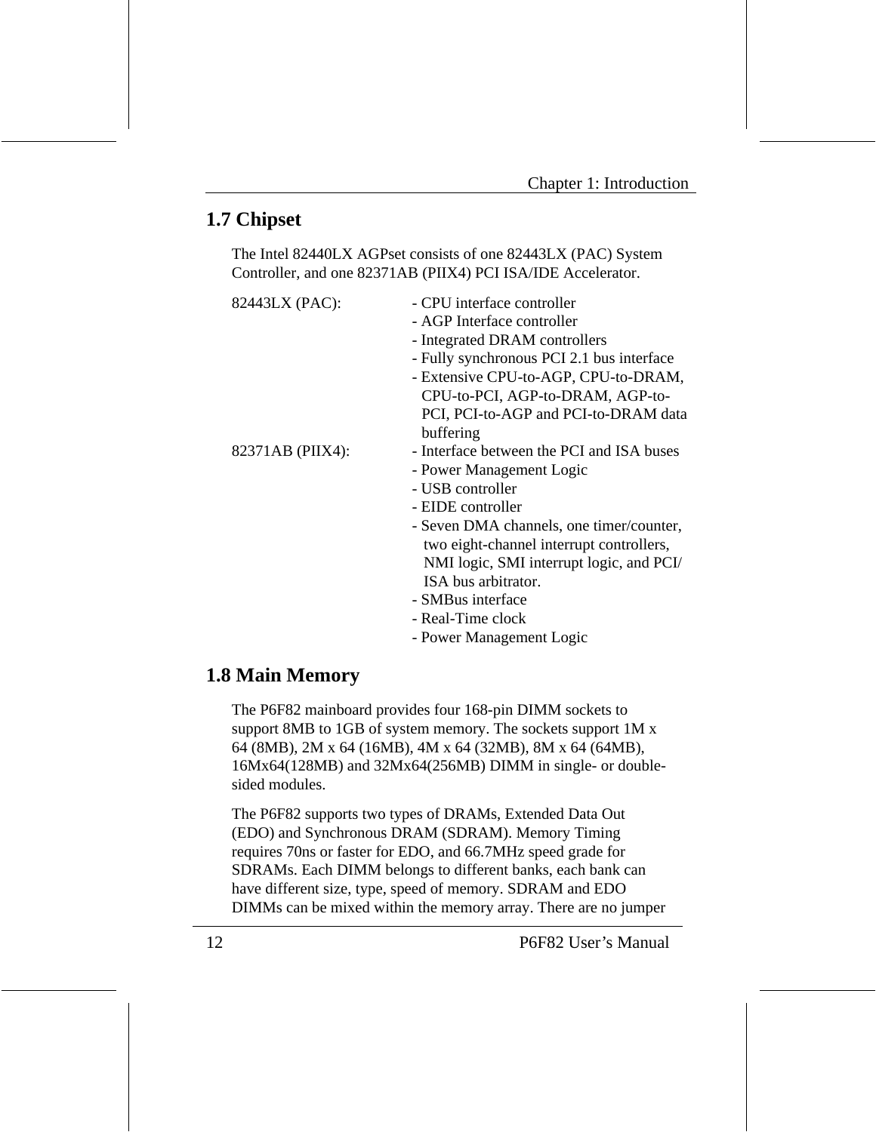# **1.7 Chipset**

The Intel 82440LX AGPset consists of one 82443LX (PAC) System Controller, and one 82371AB (PIIX4) PCI ISA/IDE Accelerator.

| 82443LX (PAC):   | - CPU interface controller                |  |
|------------------|-------------------------------------------|--|
|                  | - AGP Interface controller                |  |
|                  | - Integrated DRAM controllers             |  |
|                  | - Fully synchronous PCI 2.1 bus interface |  |
|                  | - Extensive CPU-to-AGP, CPU-to-DRAM,      |  |
|                  | CPU-to-PCI, AGP-to-DRAM, AGP-to-          |  |
|                  | PCI, PCI-to-AGP and PCI-to-DRAM data      |  |
|                  | buffering                                 |  |
| 82371AB (PIIX4): | - Interface between the PCI and ISA buses |  |
|                  | - Power Management Logic                  |  |
|                  | - USB controller                          |  |
|                  | - EIDE controller                         |  |
|                  | - Seven DMA channels, one timer/counter,  |  |
|                  | two eight-channel interrupt controllers,  |  |
|                  | NMI logic, SMI interrupt logic, and PCI/  |  |
|                  | ISA bus arbitrator.                       |  |
|                  | - SMBus interface                         |  |
|                  | - Real-Time clock                         |  |
|                  | - Power Management Logic                  |  |

# **1.8 Main Memory**

The P6F82 mainboard provides four 168-pin DIMM sockets to support 8MB to 1GB of system memory. The sockets support 1M x 64 (8MB), 2M x 64 (16MB), 4M x 64 (32MB), 8M x 64 (64MB), 16Mx64(128MB) and 32Mx64(256MB) DIMM in single- or doublesided modules.

The P6F82 supports two types of DRAMs, Extended Data Out (EDO) and Synchronous DRAM (SDRAM). Memory Timing requires 70ns or faster for EDO, and 66.7MHz speed grade for SDRAMs. Each DIMM belongs to different banks, each bank can have different size, type, speed of memory. SDRAM and EDO DIMMs can be mixed within the memory array. There are no jumper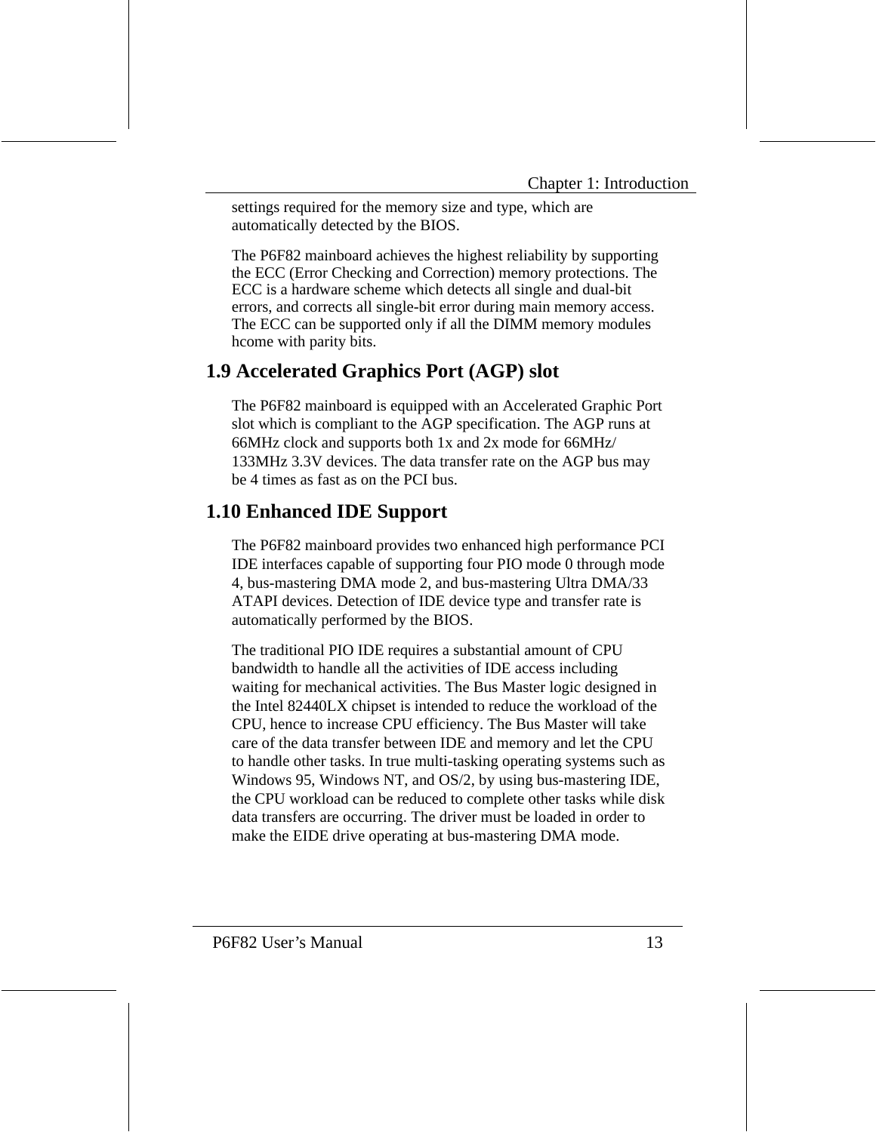settings required for the memory size and type, which are automatically detected by the BIOS.

The P6F82 mainboard achieves the highest reliability by supporting the ECC (Error Checking and Correction) memory protections. The ECC is a hardware scheme which detects all single and dual-bit errors, and corrects all single-bit error during main memory access. The ECC can be supported only if all the DIMM memory modules hcome with parity bits.

### **1.9 Accelerated Graphics Port (AGP) slot**

The P6F82 mainboard is equipped with an Accelerated Graphic Port slot which is compliant to the AGP specification. The AGP runs at 66MHz clock and supports both 1x and 2x mode for 66MHz/ 133MHz 3.3V devices. The data transfer rate on the AGP bus may be 4 times as fast as on the PCI bus.

# **1.10 Enhanced IDE Support**

The P6F82 mainboard provides two enhanced high performance PCI IDE interfaces capable of supporting four PIO mode 0 through mode 4, bus-mastering DMA mode 2, and bus-mastering Ultra DMA/33 ATAPI devices. Detection of IDE device type and transfer rate is automatically performed by the BIOS.

The traditional PIO IDE requires a substantial amount of CPU bandwidth to handle all the activities of IDE access including waiting for mechanical activities. The Bus Master logic designed in the Intel 82440LX chipset is intended to reduce the workload of the CPU, hence to increase CPU efficiency. The Bus Master will take care of the data transfer between IDE and memory and let the CPU to handle other tasks. In true multi-tasking operating systems such as Windows 95, Windows NT, and OS/2, by using bus-mastering IDE, the CPU workload can be reduced to complete other tasks while disk data transfers are occurring. The driver must be loaded in order to make the EIDE drive operating at bus-mastering DMA mode.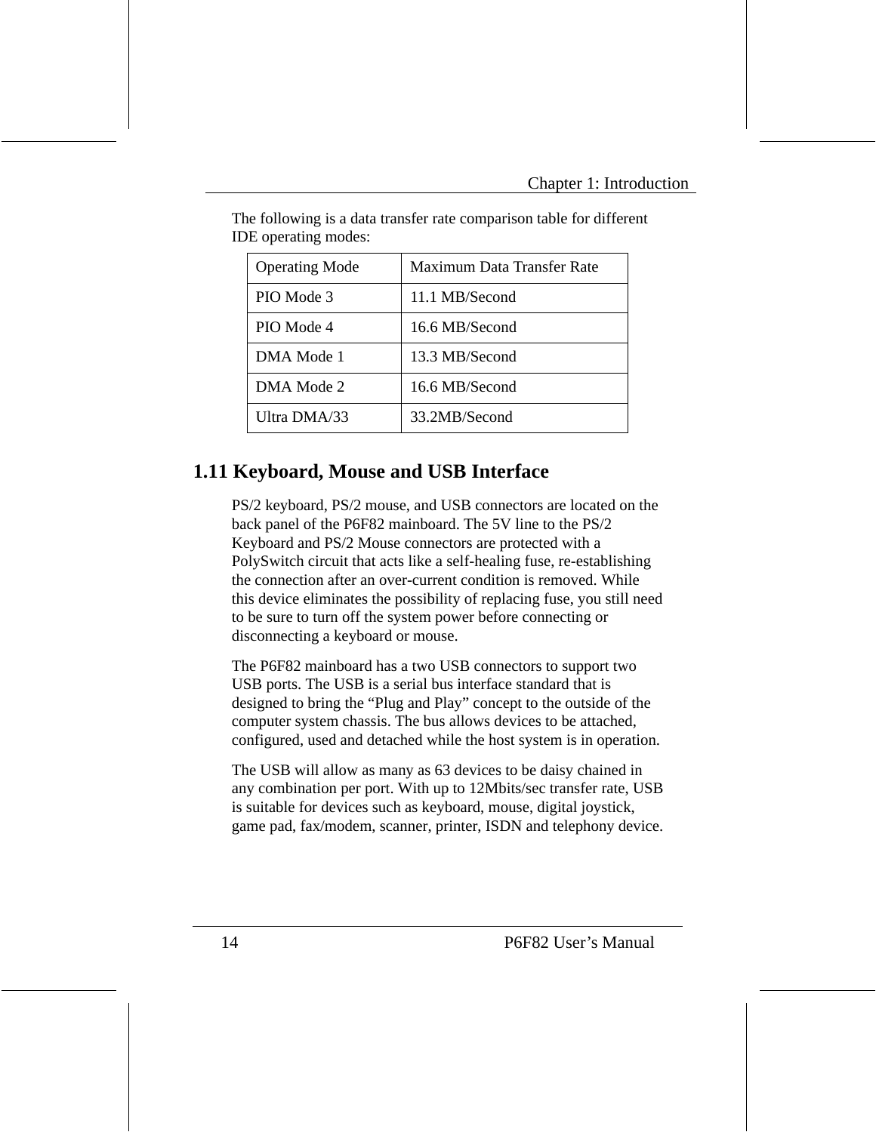| <b>Operating Mode</b> | Maximum Data Transfer Rate |
|-----------------------|----------------------------|
| PIO Mode 3            | 11.1 MB/Second             |
| PIO Mode 4            | 16.6 MB/Second             |
| DMA Mode 1            | 13.3 MB/Second             |
| DMA Mode 2            | 16.6 MB/Second             |
| Ultra DMA/33          | 33.2MB/Second              |

The following is a data transfer rate comparison table for different IDE operating modes:

### **1.11 Keyboard, Mouse and USB Interface**

PS/2 keyboard, PS/2 mouse, and USB connectors are located on the back panel of the P6F82 mainboard. The 5V line to the PS/2 Keyboard and PS/2 Mouse connectors are protected with a PolySwitch circuit that acts like a self-healing fuse, re-establishing the connection after an over-current condition is removed. While this device eliminates the possibility of replacing fuse, you still need to be sure to turn off the system power before connecting or disconnecting a keyboard or mouse.

The P6F82 mainboard has a two USB connectors to support two USB ports. The USB is a serial bus interface standard that is designed to bring the "Plug and Play" concept to the outside of the computer system chassis. The bus allows devices to be attached, configured, used and detached while the host system is in operation.

The USB will allow as many as 63 devices to be daisy chained in any combination per port. With up to 12Mbits/sec transfer rate, USB is suitable for devices such as keyboard, mouse, digital joystick, game pad, fax/modem, scanner, printer, ISDN and telephony device.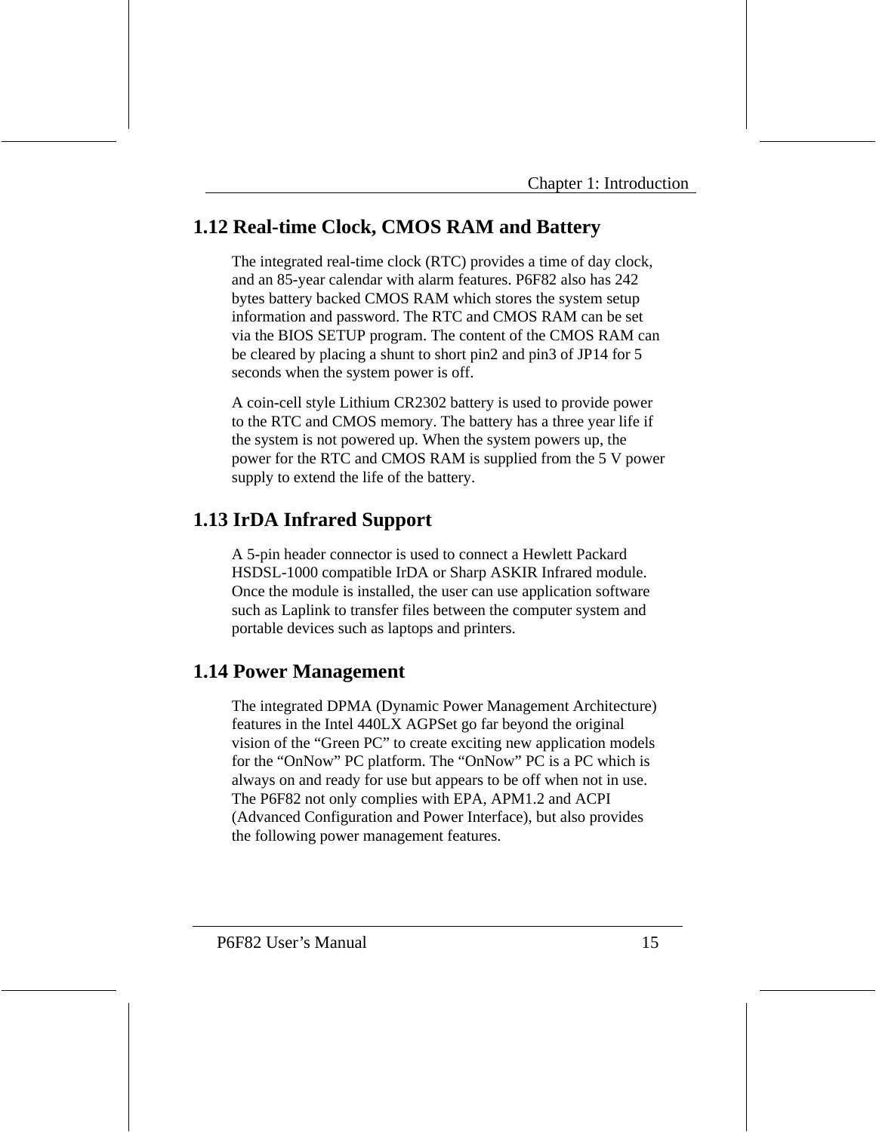# **1.12 Real-time Clock, CMOS RAM and Battery**

The integrated real-time clock (RTC) provides a time of day clock, and an 85-year calendar with alarm features. P6F82 also has 242 bytes battery backed CMOS RAM which stores the system setup information and password. The RTC and CMOS RAM can be set via the BIOS SETUP program. The content of the CMOS RAM can be cleared by placing a shunt to short pin2 and pin3 of JP14 for 5 seconds when the system power is off.

A coin-cell style Lithium CR2302 battery is used to provide power to the RTC and CMOS memory. The battery has a three year life if the system is not powered up. When the system powers up, the power for the RTC and CMOS RAM is supplied from the 5 V power supply to extend the life of the battery.

# **1.13 IrDA Infrared Support**

A 5-pin header connector is used to connect a Hewlett Packard HSDSL-1000 compatible IrDA or Sharp ASKIR Infrared module. Once the module is installed, the user can use application software such as Laplink to transfer files between the computer system and portable devices such as laptops and printers.

### **1.14 Power Management**

The integrated DPMA (Dynamic Power Management Architecture) features in the Intel 440LX AGPSet go far beyond the original vision of the "Green PC" to create exciting new application models for the "OnNow" PC platform. The "OnNow" PC is a PC which is always on and ready for use but appears to be off when not in use. The P6F82 not only complies with EPA, APM1.2 and ACPI (Advanced Configuration and Power Interface), but also provides the following power management features.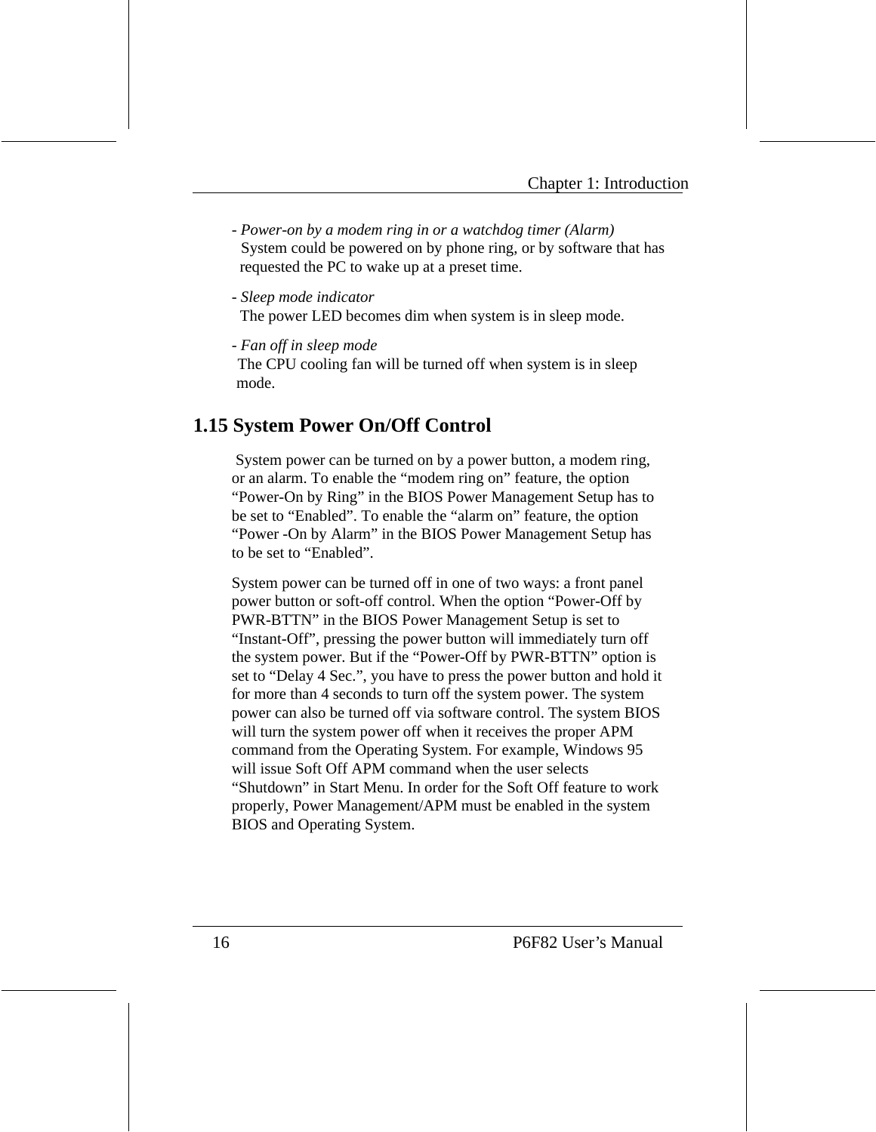- *Power-on by a modem ring in or a watchdog timer (Alarm)*  System could be powered on by phone ring, or by software that has requested the PC to wake up at a preset time.

- *Sleep mode indicator*

The power LED becomes dim when system is in sleep mode.

- *Fan off in sleep mode*

The CPU cooling fan will be turned off when system is in sleep mode.

# **1.15 System Power On/Off Control**

 System power can be turned on by a power button, a modem ring, or an alarm. To enable the "modem ring on" feature, the option "Power-On by Ring" in the BIOS Power Management Setup has to be set to "Enabled". To enable the "alarm on" feature, the option "Power -On by Alarm" in the BIOS Power Management Setup has to be set to "Enabled".

System power can be turned off in one of two ways: a front panel power button or soft-off control. When the option "Power-Off by PWR-BTTN" in the BIOS Power Management Setup is set to "Instant-Off", pressing the power button will immediately turn off the system power. But if the "Power-Off by PWR-BTTN" option is set to "Delay 4 Sec.", you have to press the power button and hold it for more than 4 seconds to turn off the system power. The system power can also be turned off via software control. The system BIOS will turn the system power off when it receives the proper APM command from the Operating System. For example, Windows 95 will issue Soft Off APM command when the user selects "Shutdown" in Start Menu. In order for the Soft Off feature to work properly, Power Management/APM must be enabled in the system BIOS and Operating System.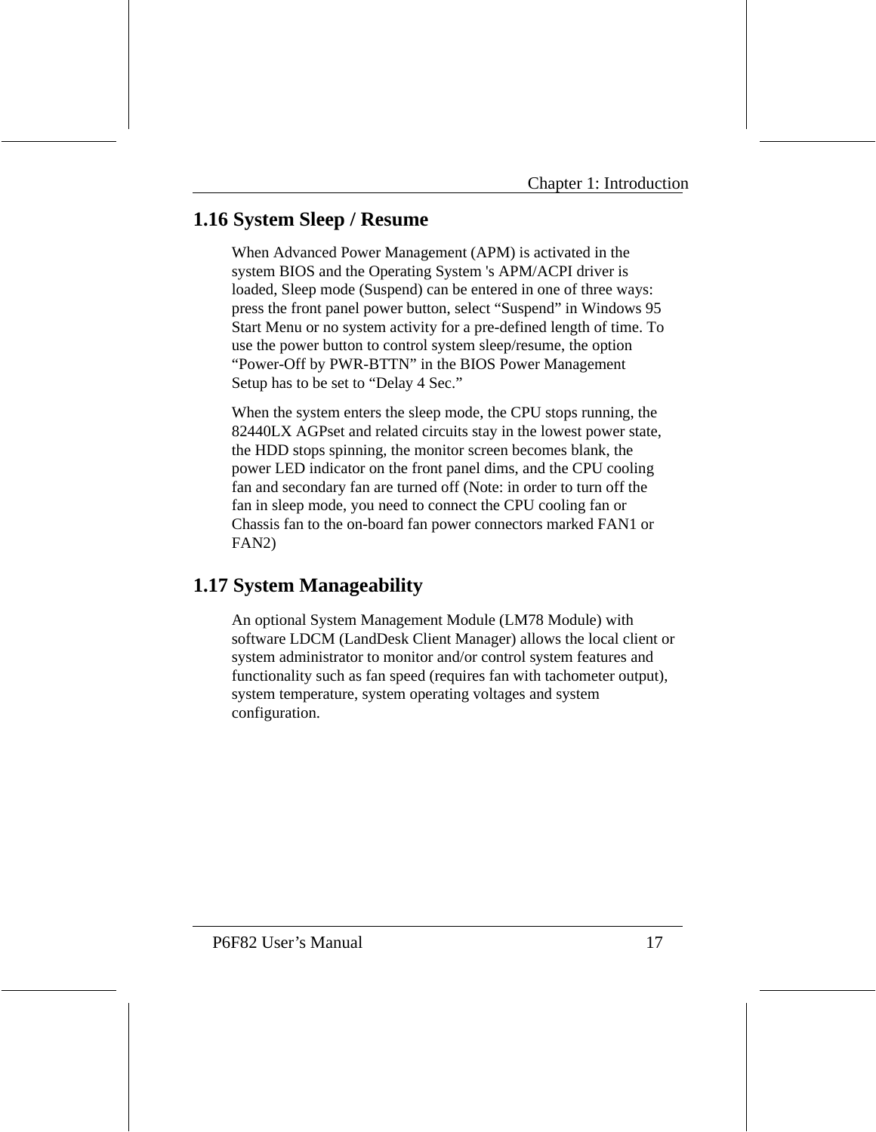# **1.16 System Sleep / Resume**

When Advanced Power Management (APM) is activated in the system BIOS and the Operating System 's APM/ACPI driver is loaded, Sleep mode (Suspend) can be entered in one of three ways: press the front panel power button, select "Suspend" in Windows 95 Start Menu or no system activity for a pre-defined length of time. To use the power button to control system sleep/resume, the option "Power-Off by PWR-BTTN" in the BIOS Power Management Setup has to be set to "Delay 4 Sec."

When the system enters the sleep mode, the CPU stops running, the 82440LX AGPset and related circuits stay in the lowest power state, the HDD stops spinning, the monitor screen becomes blank, the power LED indicator on the front panel dims, and the CPU cooling fan and secondary fan are turned off (Note: in order to turn off the fan in sleep mode, you need to connect the CPU cooling fan or Chassis fan to the on-board fan power connectors marked FAN1 or FAN2)

# **1.17 System Manageability**

An optional System Management Module (LM78 Module) with software LDCM (LandDesk Client Manager) allows the local client or system administrator to monitor and/or control system features and functionality such as fan speed (requires fan with tachometer output), system temperature, system operating voltages and system configuration.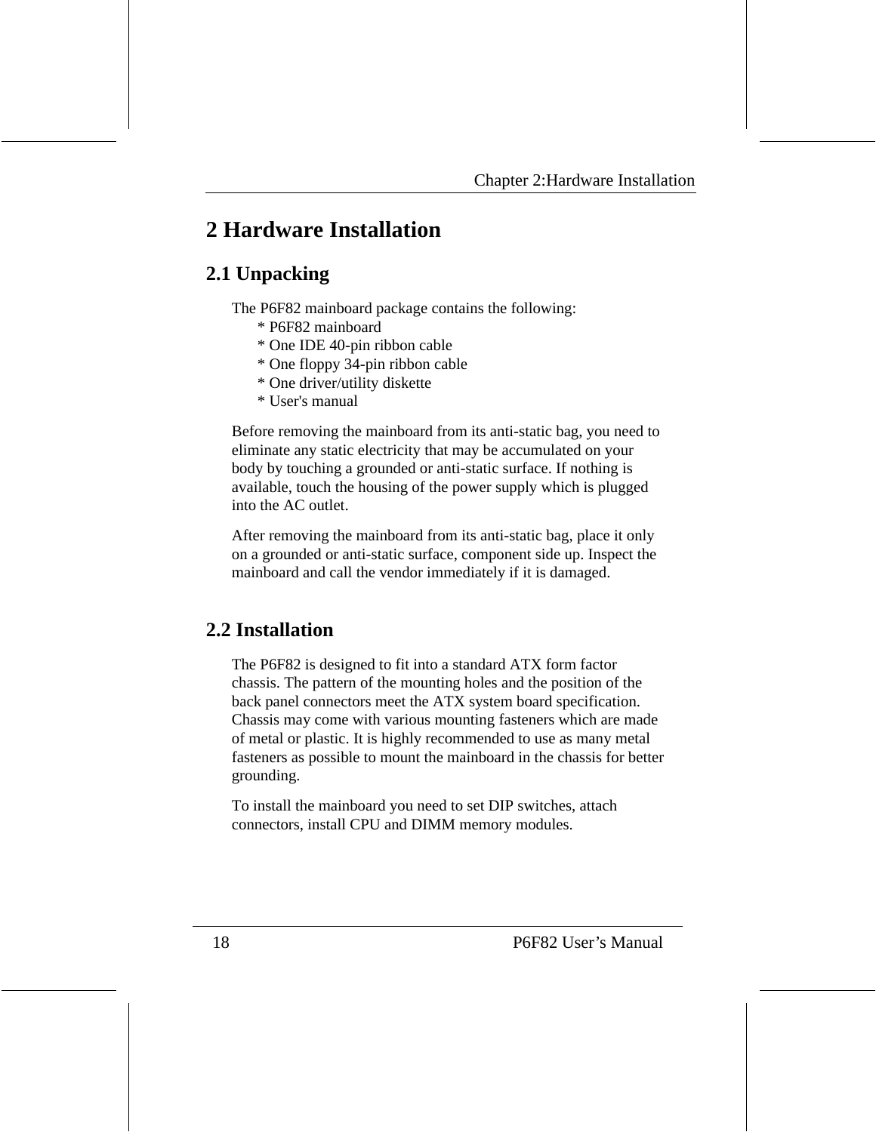# **2 Hardware Installation**

# **2.1 Unpacking**

The P6F82 mainboard package contains the following:

- \* P6F82 mainboard
- \* One IDE 40-pin ribbon cable
- \* One floppy 34-pin ribbon cable
- \* One driver/utility diskette
- \* User's manual

Before removing the mainboard from its anti-static bag, you need to eliminate any static electricity that may be accumulated on your body by touching a grounded or anti-static surface. If nothing is available, touch the housing of the power supply which is plugged into the AC outlet.

After removing the mainboard from its anti-static bag, place it only on a grounded or anti-static surface, component side up. Inspect the mainboard and call the vendor immediately if it is damaged.

# **2.2 Installation**

The P6F82 is designed to fit into a standard ATX form factor chassis. The pattern of the mounting holes and the position of the back panel connectors meet the ATX system board specification. Chassis may come with various mounting fasteners which are made of metal or plastic. It is highly recommended to use as many metal fasteners as possible to mount the mainboard in the chassis for better grounding.

To install the mainboard you need to set DIP switches, attach connectors, install CPU and DIMM memory modules.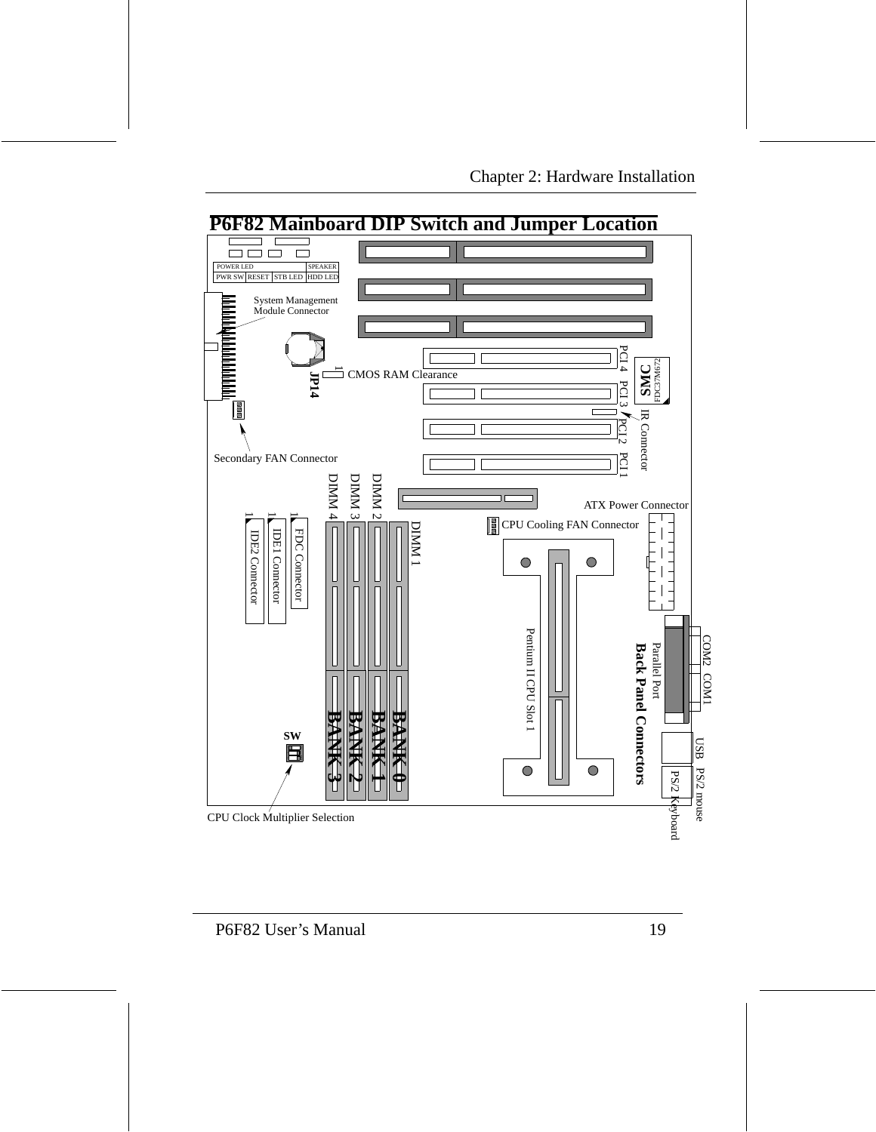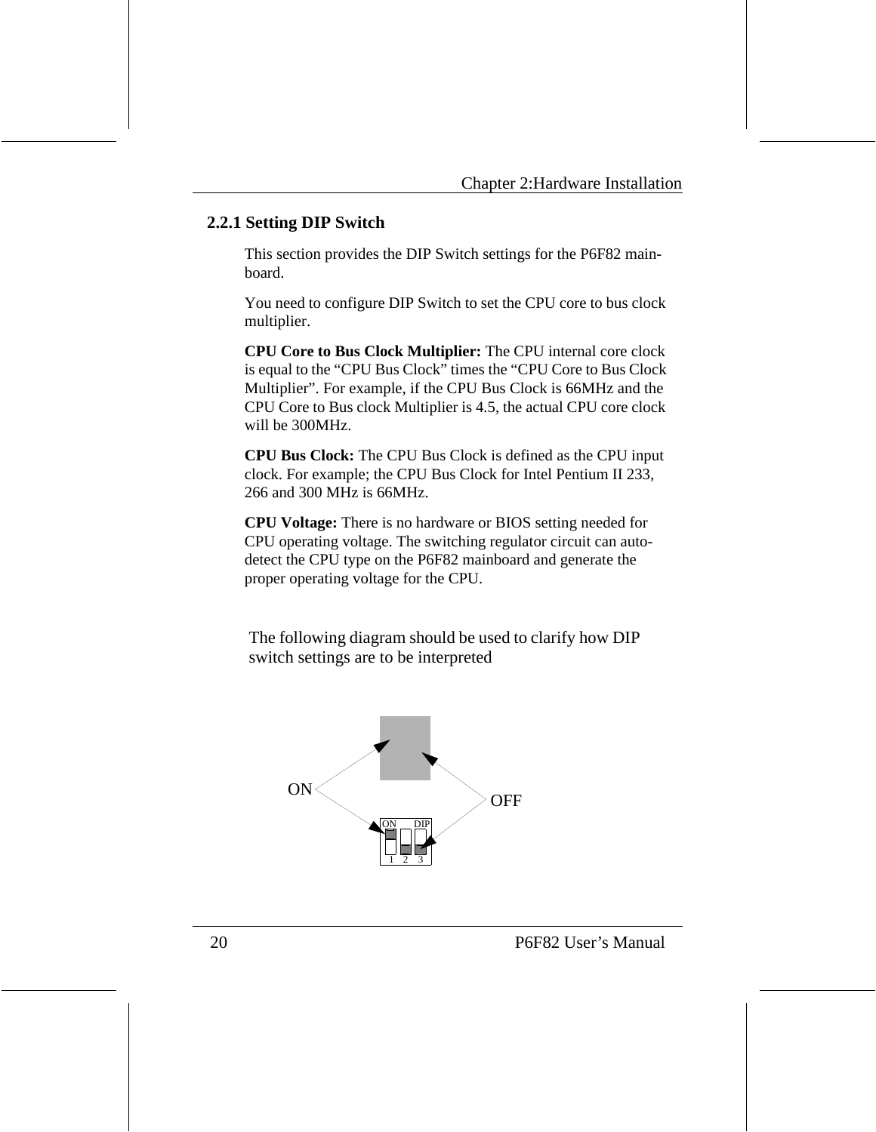#### **2.2.1 Setting DIP Switch**

This section provides the DIP Switch settings for the P6F82 mainboard.

You need to configure DIP Switch to set the CPU core to bus clock multiplier.

**CPU Core to Bus Clock Multiplier:** The CPU internal core clock is equal to the "CPU Bus Clock" times the "CPU Core to Bus Clock Multiplier". For example, if the CPU Bus Clock is 66MHz and the CPU Core to Bus clock Multiplier is 4.5, the actual CPU core clock will be 300MHz.

**CPU Bus Clock:** The CPU Bus Clock is defined as the CPU input clock. For example; the CPU Bus Clock for Intel Pentium II 233, 266 and 300 MHz is 66MHz.

**CPU Voltage:** There is no hardware or BIOS setting needed for CPU operating voltage. The switching regulator circuit can autodetect the CPU type on the P6F82 mainboard and generate the proper operating voltage for the CPU.

The following diagram should be used to clarify how DIP switch settings are to be interpreted

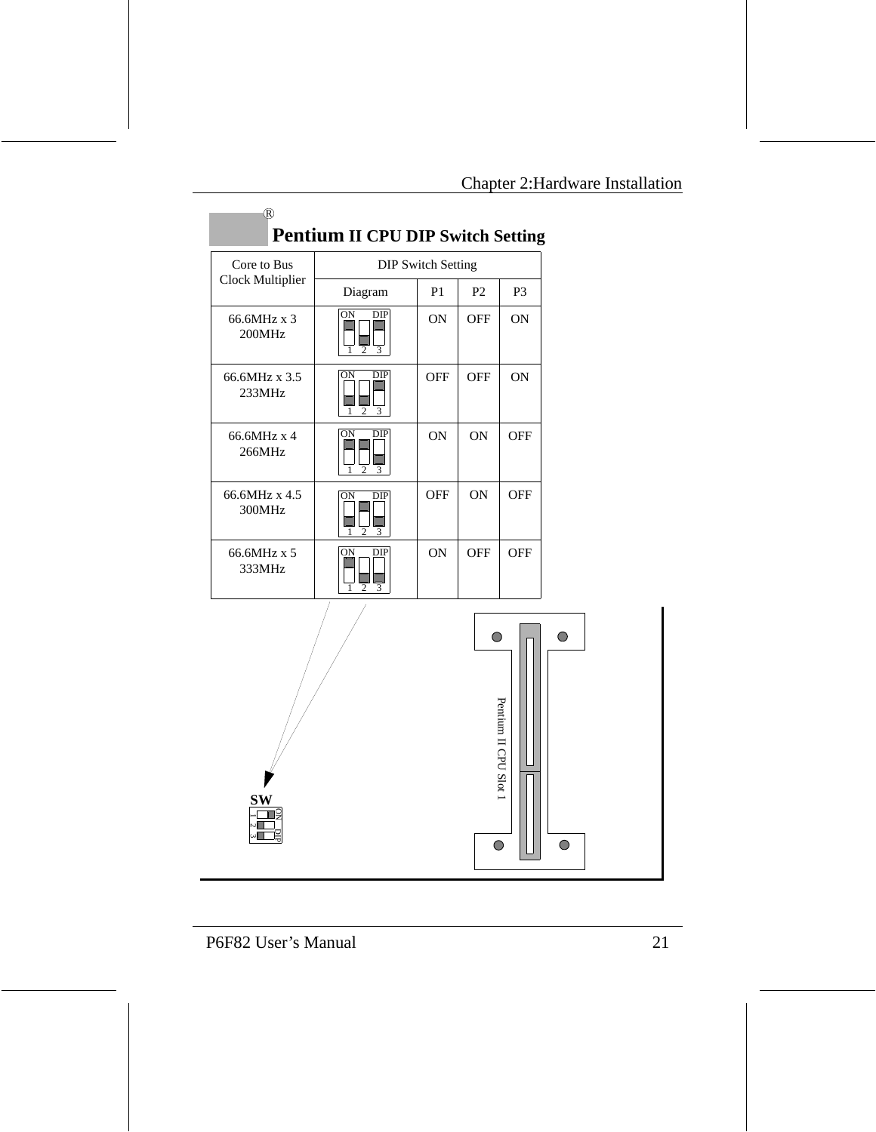| $\frac{1}{2}$           |                                              |                |                           |                |
|-------------------------|----------------------------------------------|----------------|---------------------------|----------------|
| Core to Bus             |                                              |                | <b>DIP Switch Setting</b> |                |
| Clock Multiplier        | Diagram                                      | P <sub>1</sub> | P <sub>2</sub>            | P <sub>3</sub> |
| 66.6MHz x 3<br>200MHz   | ON<br>DIP<br>$\overline{2}$<br>3             | <b>ON</b>      | <b>OFF</b>                | <b>ON</b>      |
| 66.6MHz x 3.5<br>233MHz | <b>DIP</b><br>ON<br>$\overline{c}$<br>3      | OFF            | <b>OFF</b>                | <b>ON</b>      |
| 66.6MHz x 4<br>266MHz   | <b>DIP</b><br>ON<br>$\overline{c}$<br>3      | <b>ON</b>      | <b>ON</b>                 | OFF            |
| 66.6MHz x 4.5<br>300MHz | ON<br>DIP<br>$\overline{c}$<br>3             | <b>OFF</b>     | <b>ON</b>                 | <b>OFF</b>     |
| 66.6MHz x 5<br>333MHz   | <b>ON</b><br>DIP<br>$\overline{c}$<br>3<br>1 | <b>ON</b>      | <b>OFF</b>                | <b>OFF</b>     |
|                         |                                              |                |                           |                |

# **Pentium II CPU DIP Switch Setting**



**SW** ON 123 DIP

П

R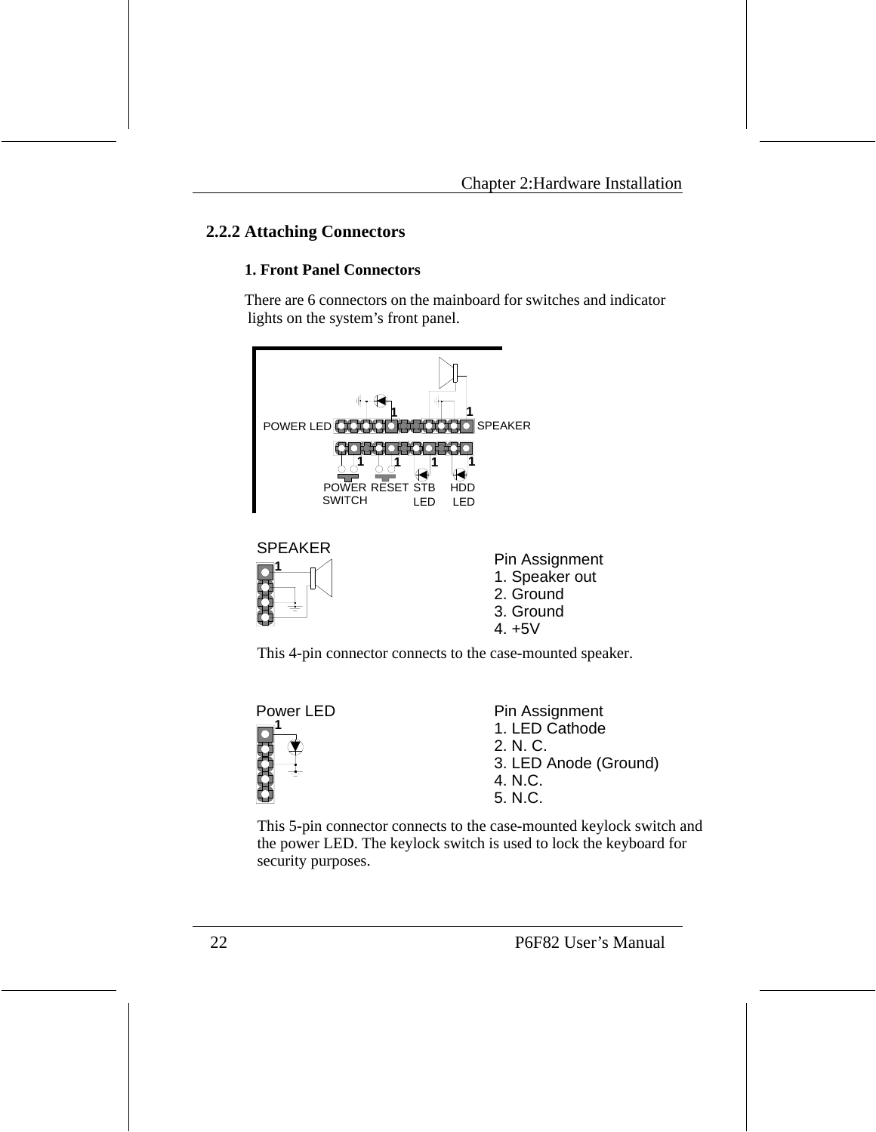#### **2.2.2 Attaching Connectors**

#### **1. Front Panel Connectors**

There are 6 connectors on the mainboard for switches and indicator lights on the system's front panel.



This 4-pin connector connects to the case-mounted speaker.



Pin Assignment 1. LED Cathode 2. N. C. 3. LED Anode (Ground) 4. N.C. 5. N.C.

This 5-pin connector connects to the case-mounted keylock switch and the power LED. The keylock switch is used to lock the keyboard for security purposes.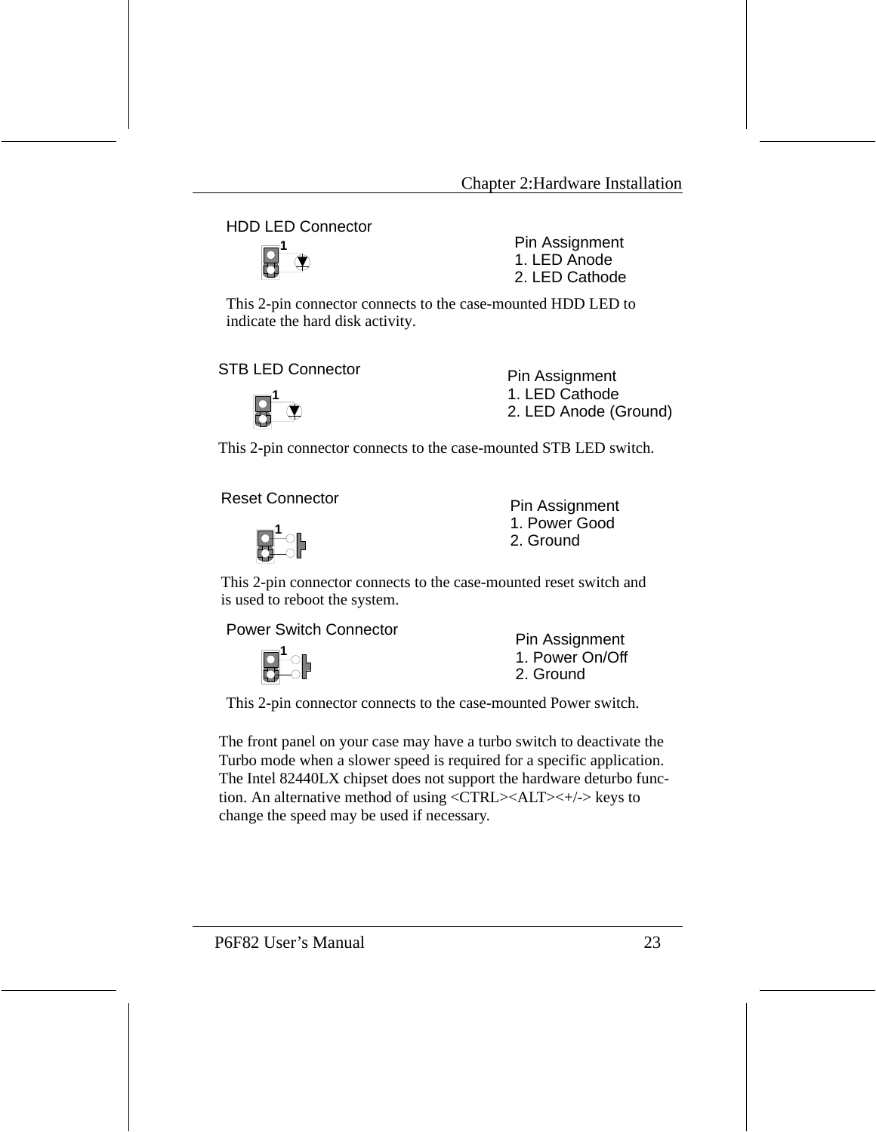#### HDD LED Connector



Pin Assignment 1. LED Anode 2. LED Cathode

This 2-pin connector connects to the case-mounted HDD LED to indicate the hard disk activity.

STB LED Connector Pin Assignment



1. LED Cathode 2. LED Anode (Ground)

This 2-pin connector connects to the case-mounted STB LED switch.

Reset Connector **Pin Assignment** 



1. Power Good 2. Ground

This 2-pin connector connects to the case-mounted reset switch and is used to reboot the system.

Power Switch Connector<br>
Pin Assignment



1. Power On/Off 2. Ground

This 2-pin connector connects to the case-mounted Power switch.

The front panel on your case may have a turbo switch to deactivate the Turbo mode when a slower speed is required for a specific application. The Intel 82440LX chipset does not support the hardware deturbo function. An alternative method of using  $\langle \text{CTRL} \rangle \langle \text{ALT} \rangle \langle + \rangle$  keys to change the speed may be used if necessary.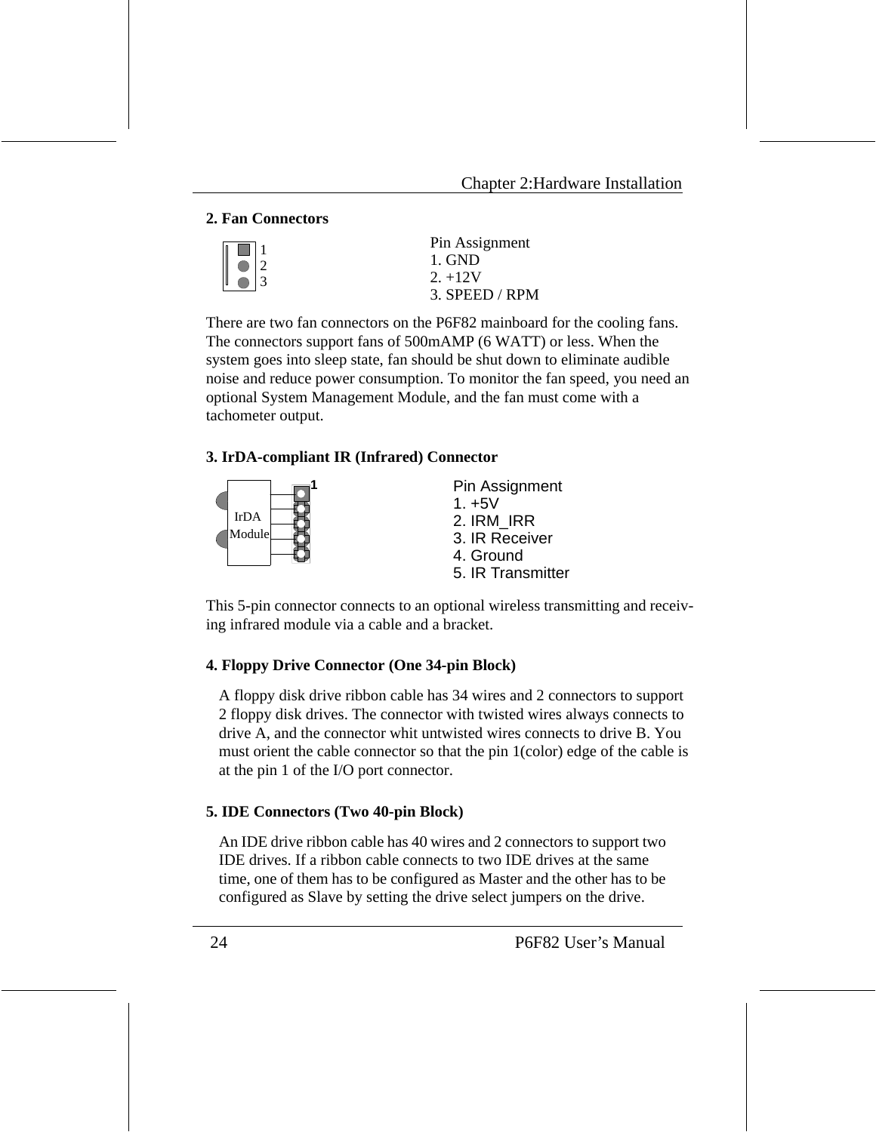#### **2. Fan Connectors**

|             | Pin Assignment |
|-------------|----------------|
|             | 1. GND         |
| $\bigcap$ 3 | $2. +12V$      |
|             | 3. SPEED / RPM |

There are two fan connectors on the P6F82 mainboard for the cooling fans. The connectors support fans of 500mAMP (6 WATT) or less. When the system goes into sleep state, fan should be shut down to eliminate audible noise and reduce power consumption. To monitor the fan speed, you need an optional System Management Module, and the fan must come with a tachometer output.

#### **3. IrDA-compliant IR (Infrared) Connector**



Pin Assignment  $1. +5V$ 2. IRM\_IRR 3. IR Receiver 4. Ground

5. IR Transmitter

This 5-pin connector connects to an optional wireless transmitting and receiving infrared module via a cable and a bracket.

#### **4. Floppy Drive Connector (One 34-pin Block)**

A floppy disk drive ribbon cable has 34 wires and 2 connectors to support 2 floppy disk drives. The connector with twisted wires always connects to drive A, and the connector whit untwisted wires connects to drive B. You must orient the cable connector so that the pin 1(color) edge of the cable is at the pin 1 of the I/O port connector.

#### **5. IDE Connectors (Two 40-pin Block)**

An IDE drive ribbon cable has 40 wires and 2 connectors to support two IDE drives. If a ribbon cable connects to two IDE drives at the same time, one of them has to be configured as Master and the other has to be configured as Slave by setting the drive select jumpers on the drive.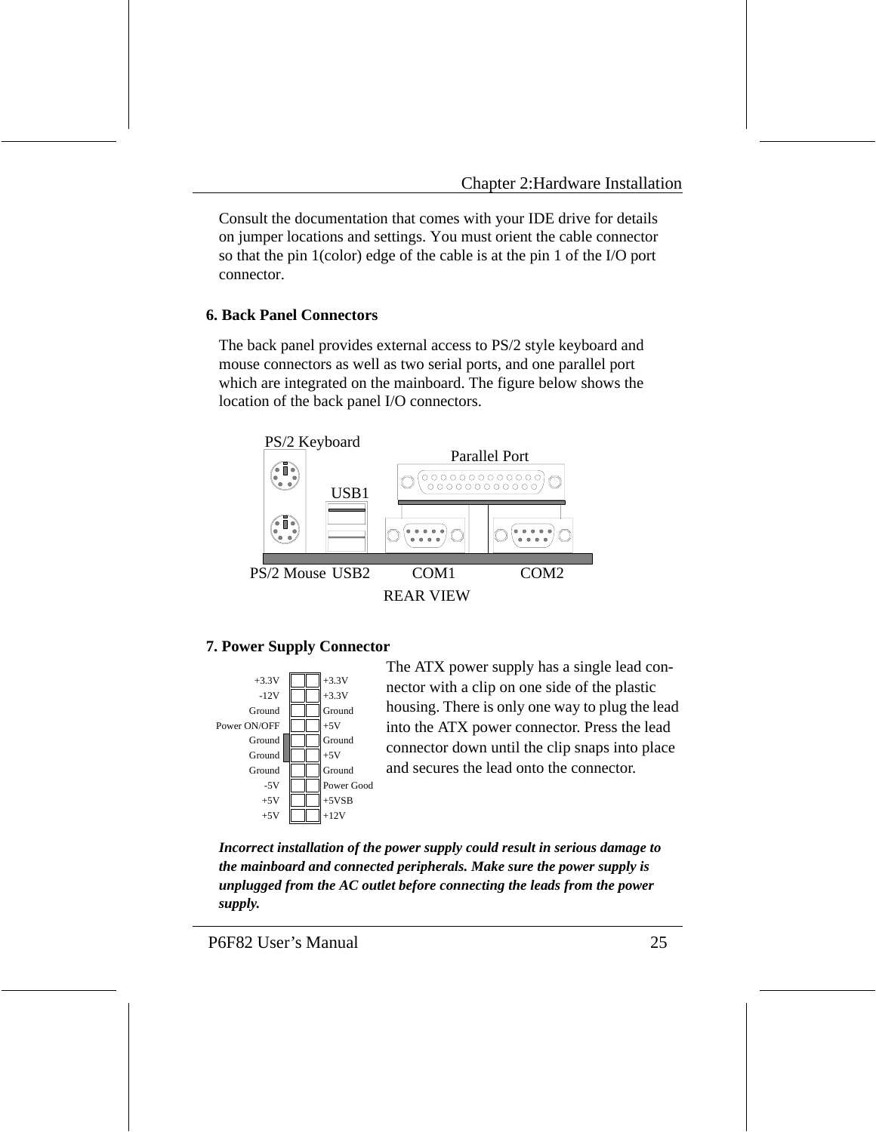Consult the documentation that comes with your IDE drive for details on jumper locations and settings. You must orient the cable connector so that the pin 1(color) edge of the cable is at the pin 1 of the I/O port connector.

#### **6. Back Panel Connectors**

The back panel provides external access to PS/2 style keyboard and mouse connectors as well as two serial ports, and one parallel port which are integrated on the mainboard. The figure below shows the location of the back panel I/O connectors.



#### **7. Power Supply Connector**



The ATX power supply has a single lead connector with a clip on one side of the plastic housing. There is only one way to plug the lead into the ATX power connector. Press the lead connector down until the clip snaps into place and secures the lead onto the connector.

*Incorrect installation of the power supply could result in serious damage to the mainboard and connected peripherals. Make sure the power supply is unplugged from the AC outlet before connecting the leads from the power supply.*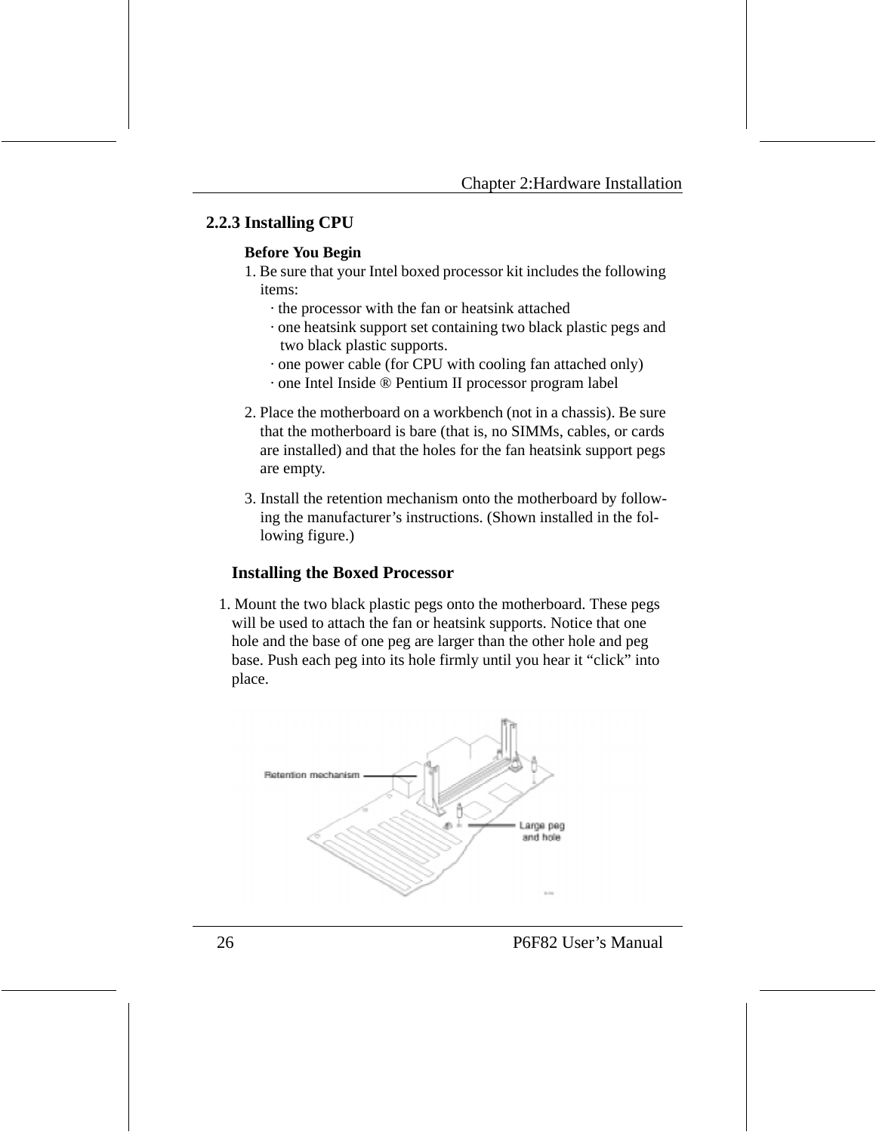#### **2.2.3 Installing CPU**

#### **Before You Begin**

- 1. Be sure that your Intel boxed processor kit includes the following items:
	- · the processor with the fan or heatsink attached
	- · one heatsink support set containing two black plastic pegs and two black plastic supports.
	- · one power cable (for CPU with cooling fan attached only)
	- · one Intel Inside ® Pentium II processor program label
- 2. Place the motherboard on a workbench (not in a chassis). Be sure that the motherboard is bare (that is, no SIMMs, cables, or cards are installed) and that the holes for the fan heatsink support pegs are empty.
- 3. Install the retention mechanism onto the motherboard by following the manufacturer's instructions. (Shown installed in the following figure.)

#### **Installing the Boxed Processor**

1. Mount the two black plastic pegs onto the motherboard. These pegs will be used to attach the fan or heatsink supports. Notice that one hole and the base of one peg are larger than the other hole and peg base. Push each peg into its hole firmly until you hear it "click" into place.

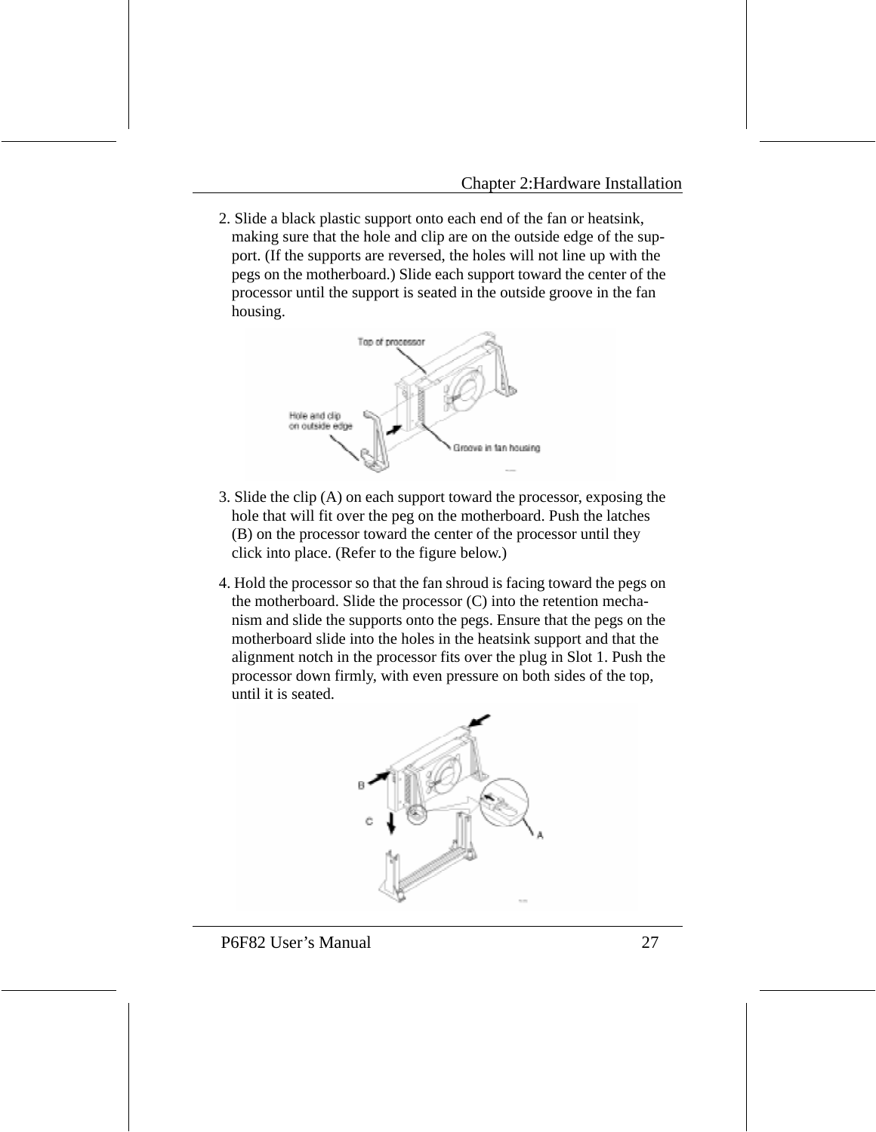2. Slide a black plastic support onto each end of the fan or heatsink, making sure that the hole and clip are on the outside edge of the support. (If the supports are reversed, the holes will not line up with the pegs on the motherboard.) Slide each support toward the center of the processor until the support is seated in the outside groove in the fan housing.



- 3. Slide the clip (A) on each support toward the processor, exposing the hole that will fit over the peg on the motherboard. Push the latches (B) on the processor toward the center of the processor until they click into place. (Refer to the figure below.)
- 4. Hold the processor so that the fan shroud is facing toward the pegs on the motherboard. Slide the processor (C) into the retention mechanism and slide the supports onto the pegs. Ensure that the pegs on the motherboard slide into the holes in the heatsink support and that the alignment notch in the processor fits over the plug in Slot 1. Push the processor down firmly, with even pressure on both sides of the top, until it is seated.

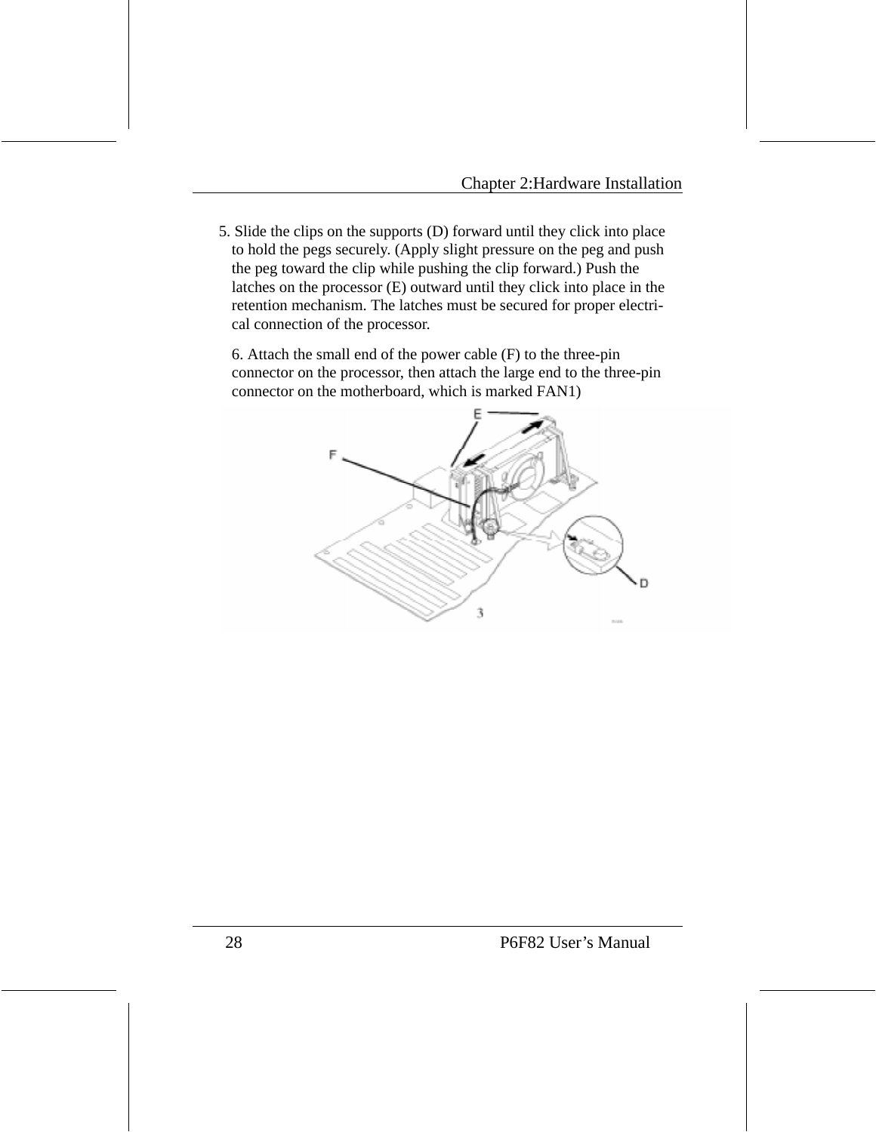5. Slide the clips on the supports (D) forward until they click into place to hold the pegs securely. (Apply slight pressure on the peg and push the peg toward the clip while pushing the clip forward.) Push the latches on the processor (E) outward until they click into place in the retention mechanism. The latches must be secured for proper electrical connection of the processor.

6. Attach the small end of the power cable (F) to the three-pin connector on the processor, then attach the large end to the three-pin connector on the motherboard, which is marked FAN1)

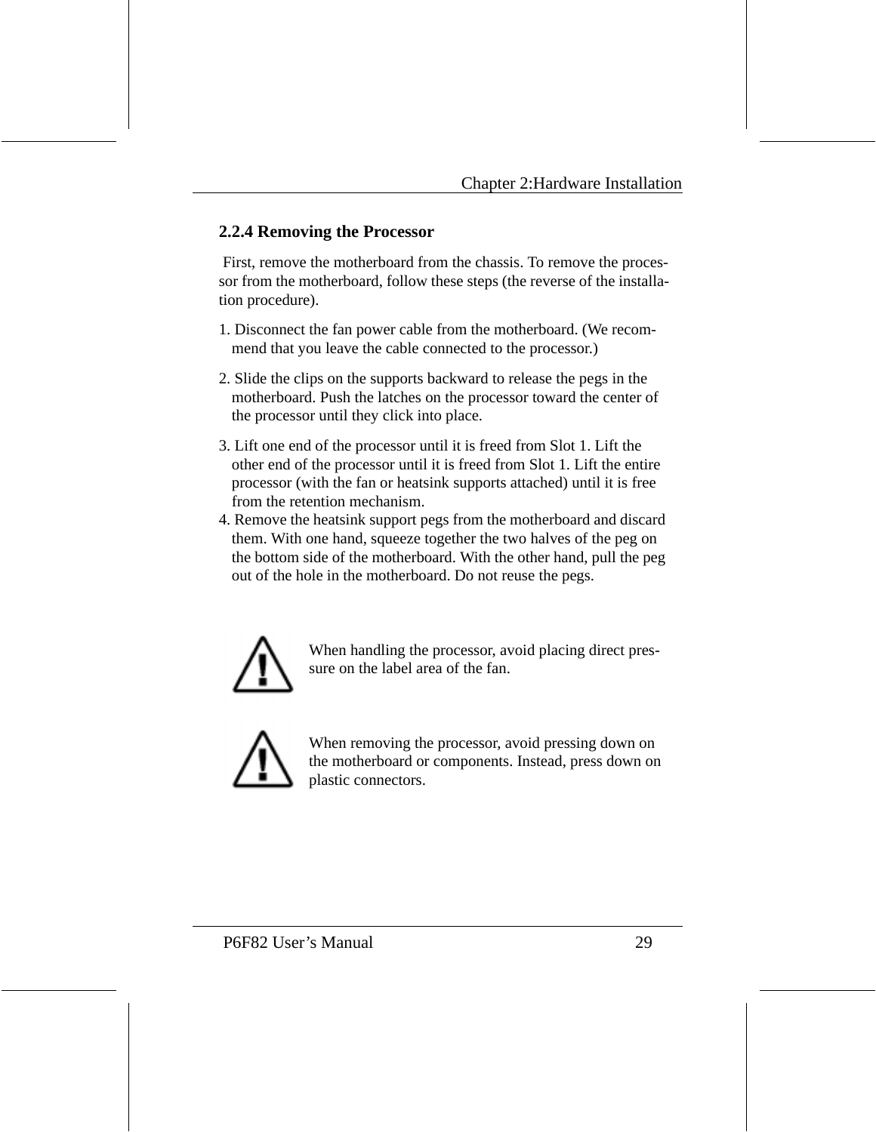#### **2.2.4 Removing the Processor**

 First, remove the motherboard from the chassis. To remove the processor from the motherboard, follow these steps (the reverse of the installation procedure).

- 1. Disconnect the fan power cable from the motherboard. (We recommend that you leave the cable connected to the processor.)
- 2. Slide the clips on the supports backward to release the pegs in the motherboard. Push the latches on the processor toward the center of the processor until they click into place.
- 3. Lift one end of the processor until it is freed from Slot 1. Lift the other end of the processor until it is freed from Slot 1. Lift the entire processor (with the fan or heatsink supports attached) until it is free from the retention mechanism.
- 4. Remove the heatsink support pegs from the motherboard and discard them. With one hand, squeeze together the two halves of the peg on the bottom side of the motherboard. With the other hand, pull the peg out of the hole in the motherboard. Do not reuse the pegs.



When handling the processor, avoid placing direct pressure on the label area of the fan.



When removing the processor, avoid pressing down on the motherboard or components. Instead, press down on plastic connectors.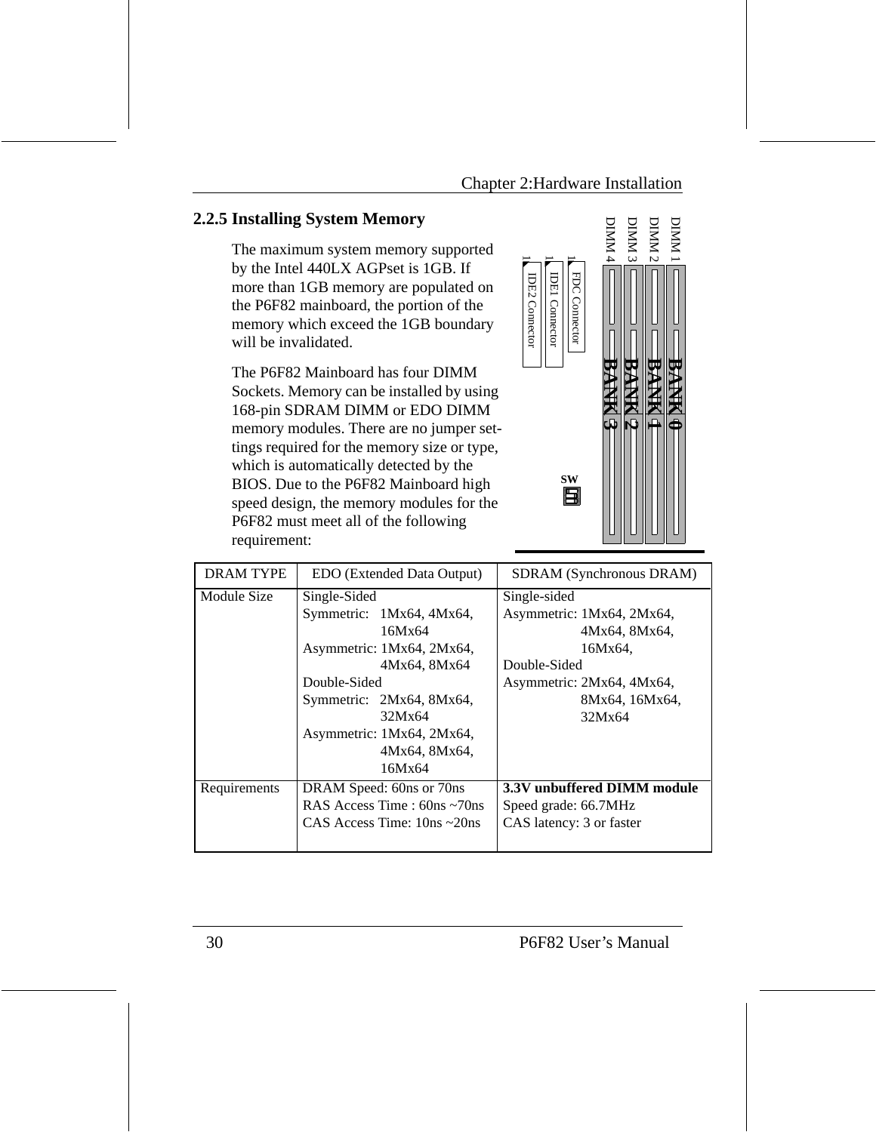$\overline{\phantom{0}}$ 

IDE2 Connector

**IDE2 Connector** 

# **2.2.5 Installing System Memory**

The maximum system memory supported by the Intel 440LX AGPset is 1GB. If more than 1GB memory are populated on the P6F82 mainboard, the portion of the memory which exceed the 1GB boundary will be invalidated.

The P6F82 Mainboard has four DIMM Sockets. Memory can be installed by using 168-pin SDRAM DIMM or EDO DIMM memory modules. There are no jumper settings required for the memory size or type, which is automatically detected by the BIOS. Due to the P6F82 Mainboard high speed design, the memory modules for the P6F82 must meet all of the following requirement:



| <b>DRAM TYPE</b> | EDO (Extended Data Output)                                                                                                                                                                                    | SDRAM (Synchronous DRAM)                                                                                                                       |
|------------------|---------------------------------------------------------------------------------------------------------------------------------------------------------------------------------------------------------------|------------------------------------------------------------------------------------------------------------------------------------------------|
| Module Size      | Single-Sided<br>Symmetric: 1Mx64, 4Mx64,<br>16Mx64<br>Asymmetric: 1Mx64, 2Mx64,<br>4Mx64, 8Mx64<br>Double-Sided<br>Symmetric: 2Mx64, 8Mx64,<br>32Mx64<br>Asymmetric: 1Mx64, 2Mx64,<br>4Mx64, 8Mx64,<br>16Mx64 | Single-sided<br>Asymmetric: 1Mx64, 2Mx64,<br>4Mx64, 8Mx64,<br>16Mx64.<br>Double-Sided<br>Asymmetric: 2Mx64, 4Mx64,<br>8Mx64, 16Mx64,<br>32Mx64 |
| Requirements     | DRAM Speed: 60ns or 70ns<br>RAS Access Time : $60ns \sim 70ns$<br>CAS Access Time: $10ns \sim 20ns$                                                                                                           | 3.3V unbuffered DIMM module<br>Speed grade: 66.7MHz<br>CAS latency: 3 or faster                                                                |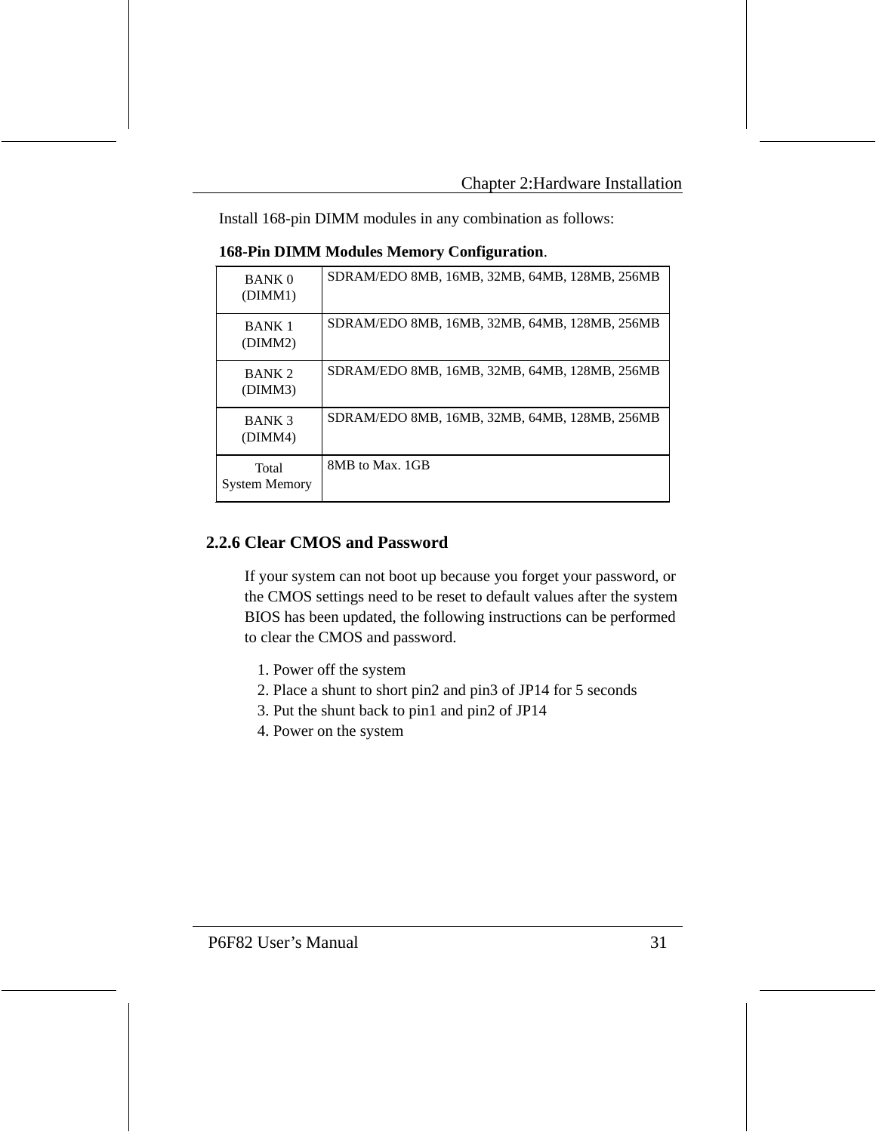Install 168-pin DIMM modules in any combination as follows:

| <b>BANK 0</b><br>(DIMM1)      | SDRAM/EDO 8MB, 16MB, 32MB, 64MB, 128MB, 256MB |
|-------------------------------|-----------------------------------------------|
| <b>BANK1</b><br>(DIMM2)       | SDRAM/EDO 8MB, 16MB, 32MB, 64MB, 128MB, 256MB |
| BANK <sub>2</sub><br>(DIMM3)  | SDRAM/EDO 8MB, 16MB, 32MB, 64MB, 128MB, 256MB |
| BANK <sub>3</sub><br>(DIMM4)  | SDRAM/EDO 8MB, 16MB, 32MB, 64MB, 128MB, 256MB |
| Total<br><b>System Memory</b> | 8MB to Max. 1GB                               |

**168-Pin DIMM Modules Memory Configuration**.

#### **2.2.6 Clear CMOS and Password**

If your system can not boot up because you forget your password, or the CMOS settings need to be reset to default values after the system BIOS has been updated, the following instructions can be performed to clear the CMOS and password.

- 1. Power off the system
- 2. Place a shunt to short pin2 and pin3 of JP14 for 5 seconds
- 3. Put the shunt back to pin1 and pin2 of JP14
- 4. Power on the system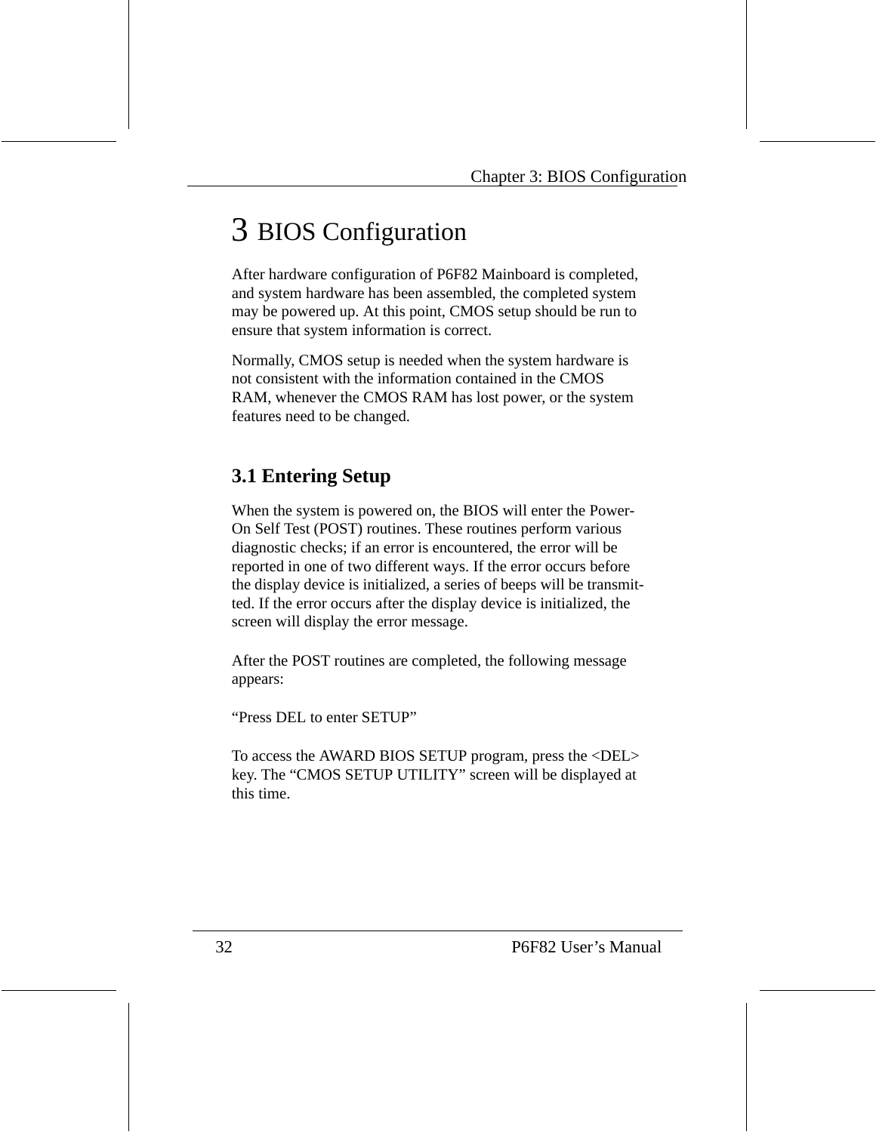# 3 BIOS Configuration

After hardware configuration of P6F82 Mainboard is completed, and system hardware has been assembled, the completed system may be powered up. At this point, CMOS setup should be run to ensure that system information is correct.

Normally, CMOS setup is needed when the system hardware is not consistent with the information contained in the CMOS RAM, whenever the CMOS RAM has lost power, or the system features need to be changed.

# **3.1 Entering Setup**

When the system is powered on, the BIOS will enter the Power-On Self Test (POST) routines. These routines perform various diagnostic checks; if an error is encountered, the error will be reported in one of two different ways. If the error occurs before the display device is initialized, a series of beeps will be transmitted. If the error occurs after the display device is initialized, the screen will display the error message.

After the POST routines are completed, the following message appears:

"Press DEL to enter SETUP"

To access the AWARD BIOS SETUP program, press the <DEL> key. The "CMOS SETUP UTILITY" screen will be displayed at this time.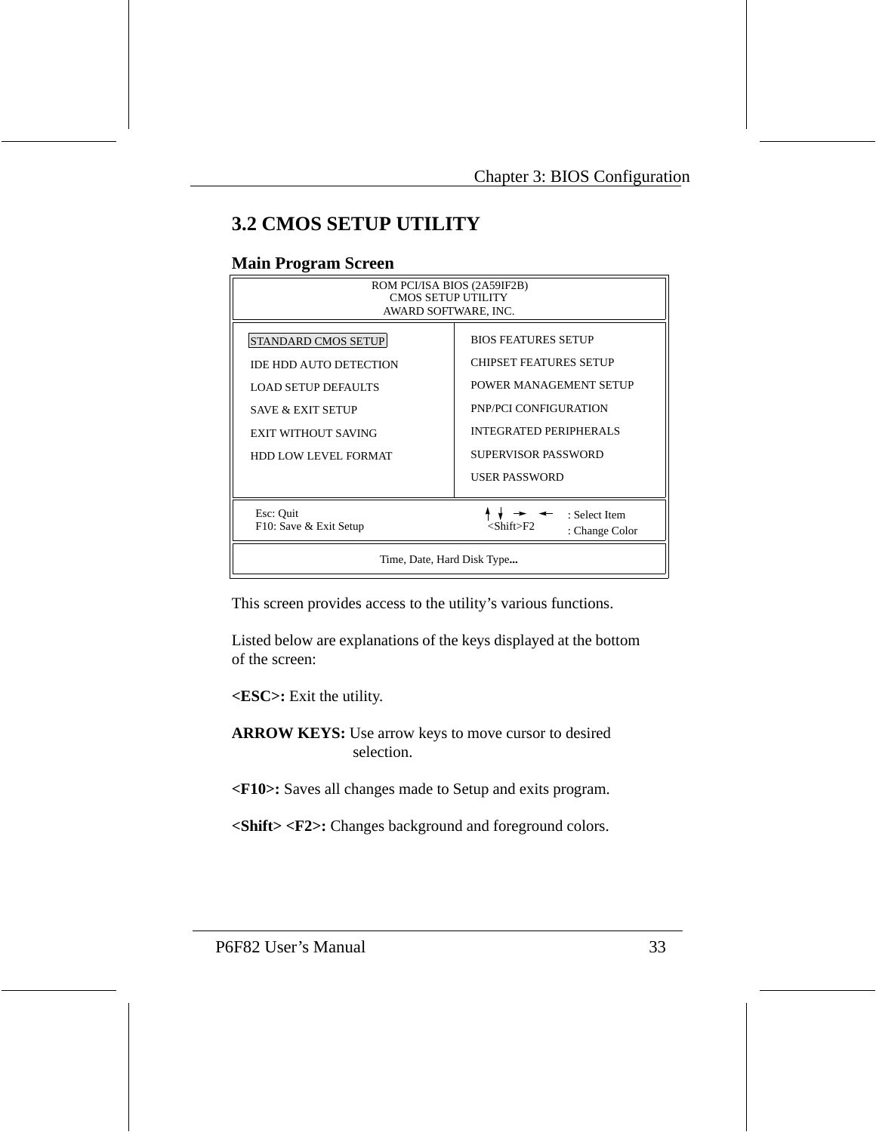# **3.2 CMOS SETUP UTILITY**

#### **Main Program Screen**

| ROM PCI/ISA BIOS (2A59IF2B)<br>CMOS SETUP UTILITY<br>AWARD SOFTWARE, INC.                                                                                                       |                                                                                                                                                                                  |  |  |
|---------------------------------------------------------------------------------------------------------------------------------------------------------------------------------|----------------------------------------------------------------------------------------------------------------------------------------------------------------------------------|--|--|
| <b>STANDARD CMOS SETUP</b><br><b>IDE HDD AUTO DETECTION</b><br><b>LOAD SETUP DEFAULTS</b><br><b>SAVE &amp; EXIT SETUP</b><br>EXIT WITHOUT SAVING<br><b>HDD LOW LEVEL FORMAT</b> | <b>BIOS FEATURES SETUP</b><br>CHIPSET FEATURES SETUP<br>POWER MANAGEMENT SETUP<br>PNP/PCI CONFIGURATION<br>INTEGRATED PERIPHERALS<br>SUPERVISOR PASSWORD<br><b>USER PASSWORD</b> |  |  |
| Esc: Quit<br>: Select Item<br>F10: Save & Exit Setup<br><shift>F2<br/>: Change Color</shift>                                                                                    |                                                                                                                                                                                  |  |  |
| Time, Date, Hard Disk Type                                                                                                                                                      |                                                                                                                                                                                  |  |  |

This screen provides access to the utility's various functions.

Listed below are explanations of the keys displayed at the bottom of the screen:

**<ESC>:** Exit the utility.

**ARROW KEYS:** Use arrow keys to move cursor to desired selection.

**<F10>:** Saves all changes made to Setup and exits program.

**<Shift> <F2>:** Changes background and foreground colors.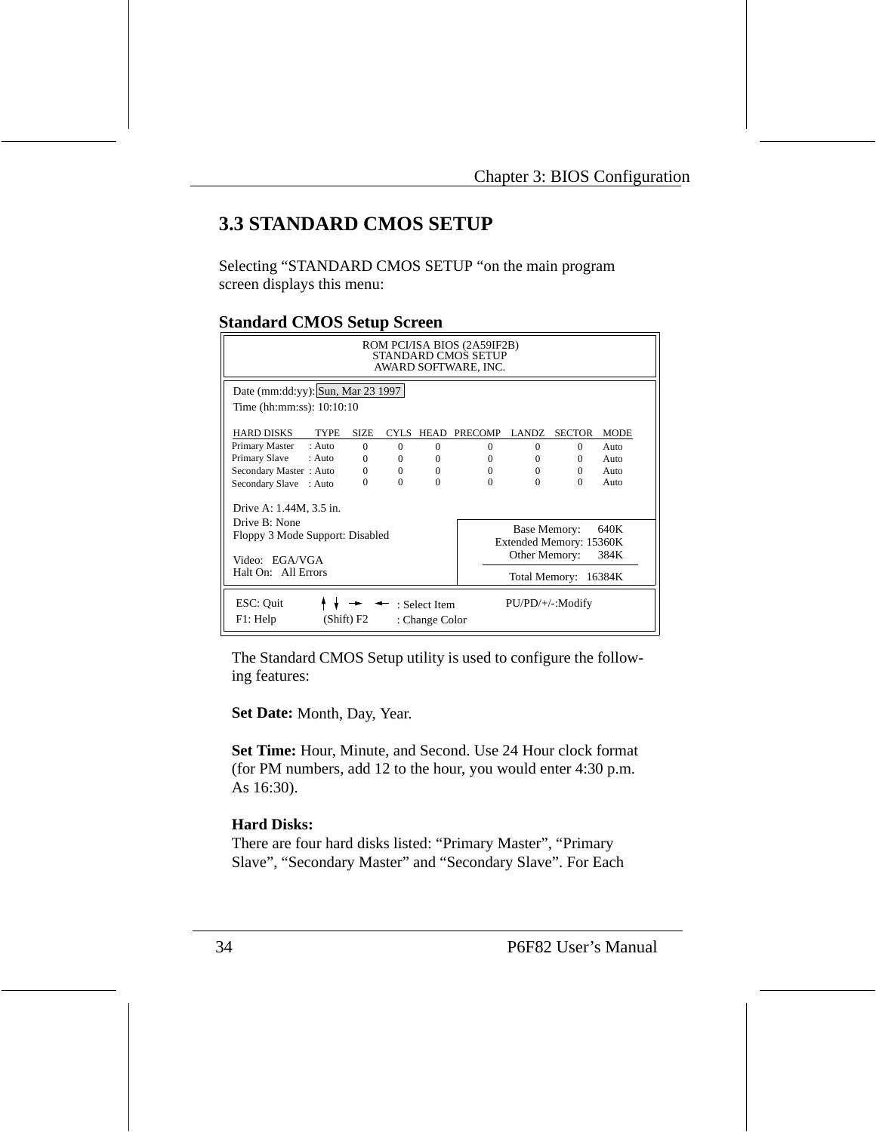# **3.3 STANDARD CMOS SETUP**

Selecting "STANDARD CMOS SETUP "on the main program screen displays this menu:

#### **Standard CMOS Setup Screen**

| ROM PCI/ISA BIOS (2A59IF2B)<br>STANDARD CMOS SETUP<br>AWARD SOFTWARE, INC.                                                                                                                                               |             |          |                                 |                |                  |               |             |
|--------------------------------------------------------------------------------------------------------------------------------------------------------------------------------------------------------------------------|-------------|----------|---------------------------------|----------------|------------------|---------------|-------------|
| Date (mm:dd:yy): Sun, Mar 23 1997<br>Time (hh:mm:ss): $10:10:10$                                                                                                                                                         |             |          |                                 |                |                  |               |             |
| <b>HARD DISKS</b><br><b>TYPE</b>                                                                                                                                                                                         | <b>SIZE</b> | CYLS.    | HEAD                            | <b>PRECOMP</b> | LANDZ.           | <b>SECTOR</b> | <b>MODE</b> |
| Primary Master<br>: Auto                                                                                                                                                                                                 | $\Omega$    | $\Omega$ | $\Omega$                        | $\Omega$       | 0                | $\Omega$      | Auto        |
| Primary Slave<br>: Auto                                                                                                                                                                                                  | $\Omega$    | $\Omega$ | $\Omega$                        | $\Omega$       | 0                | $\Omega$      | Auto        |
| Secondary Master: Auto                                                                                                                                                                                                   | $\Omega$    | $\Omega$ | $\Omega$                        | $\Omega$       | $\Omega$         | $\Omega$      | Auto        |
| Secondary Slave : Auto                                                                                                                                                                                                   | $\Omega$    | $\Omega$ | $\Omega$                        | $\Omega$       | $\Omega$         | $\Omega$      | Auto        |
| Drive A: 1.44M, 3.5 in.<br>Drive B: None<br>Base Memory:<br>640K<br>Floppy 3 Mode Support: Disabled<br>Extended Memory: 15360K<br>Other Memory:<br>384K<br>Video: EGA/VGA<br>Halt On: All Errors<br>Total Memory: 16384K |             |          |                                 |                |                  |               |             |
| ESC: Quit<br>F1: Help                                                                                                                                                                                                    | (Shift) F2  |          | : Select Item<br>: Change Color |                | PU/PD/+/-:Modify |               |             |

The Standard CMOS Setup utility is used to configure the following features:

**Set Date:** Month, Day, Year.

**Set Time:** Hour, Minute, and Second. Use 24 Hour clock format (for PM numbers, add 12 to the hour, you would enter 4:30 p.m. As 16:30).

#### **Hard Disks:**

There are four hard disks listed: "Primary Master", "Primary Slave", "Secondary Master" and "Secondary Slave". For Each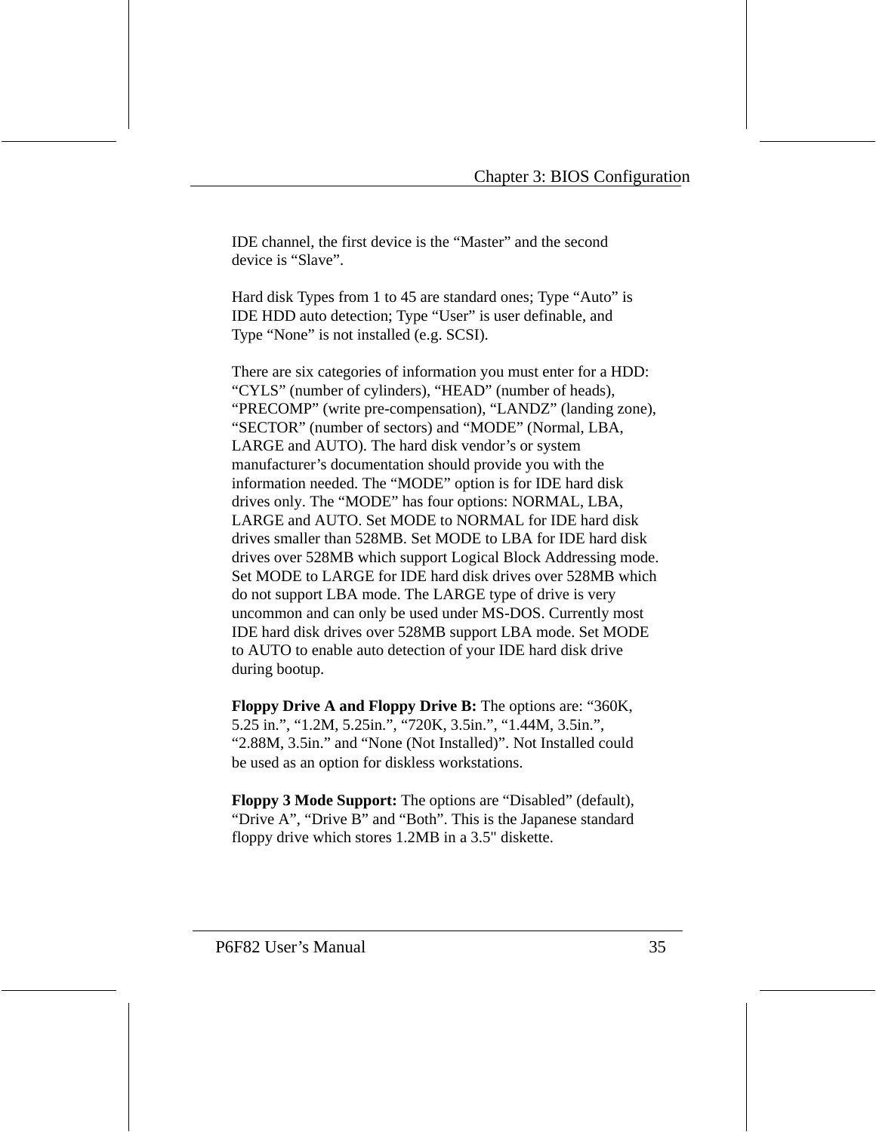IDE channel, the first device is the "Master" and the second device is "Slave".

Hard disk Types from 1 to 45 are standard ones; Type "Auto" is IDE HDD auto detection; Type "User" is user definable, and Type "None" is not installed (e.g. SCSI).

There are six categories of information you must enter for a HDD: "CYLS" (number of cylinders), "HEAD" (number of heads), "PRECOMP" (write pre-compensation), "LANDZ" (landing zone), "SECTOR" (number of sectors) and "MODE" (Normal, LBA, LARGE and AUTO). The hard disk vendor's or system manufacturer's documentation should provide you with the information needed. The "MODE" option is for IDE hard disk drives only. The "MODE" has four options: NORMAL, LBA, LARGE and AUTO. Set MODE to NORMAL for IDE hard disk drives smaller than 528MB. Set MODE to LBA for IDE hard disk drives over 528MB which support Logical Block Addressing mode. Set MODE to LARGE for IDE hard disk drives over 528MB which do not support LBA mode. The LARGE type of drive is very uncommon and can only be used under MS-DOS. Currently most IDE hard disk drives over 528MB support LBA mode. Set MODE to AUTO to enable auto detection of your IDE hard disk drive during bootup.

**Floppy Drive A and Floppy Drive B:** The options are: "360K, 5.25 in.", "1.2M, 5.25in.", "720K, 3.5in.", "1.44M, 3.5in.", "2.88M, 3.5in." and "None (Not Installed)". Not Installed could be used as an option for diskless workstations.

**Floppy 3 Mode Support:** The options are "Disabled" (default), "Drive A", "Drive B" and "Both". This is the Japanese standard floppy drive which stores 1.2MB in a 3.5" diskette.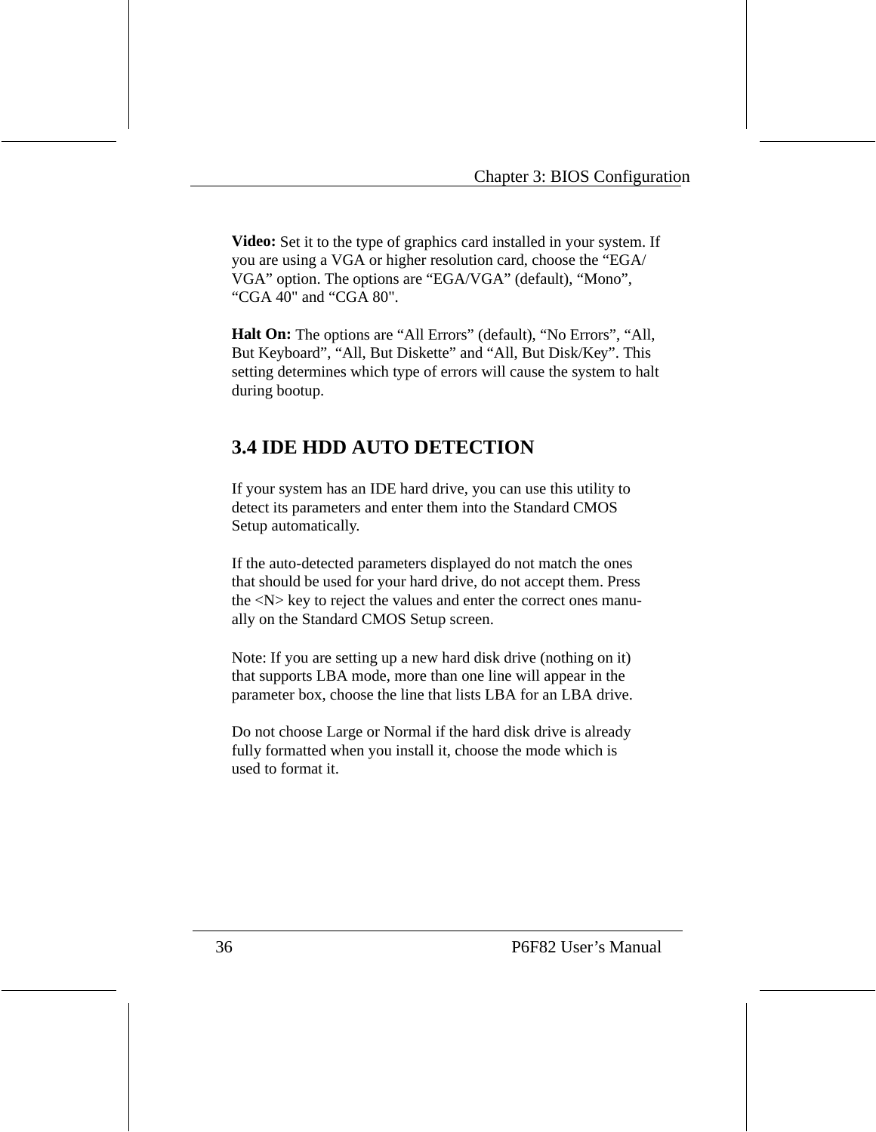**Video:** Set it to the type of graphics card installed in your system. If you are using a VGA or higher resolution card, choose the "EGA/ VGA" option. The options are "EGA/VGA" (default), "Mono", "CGA 40" and "CGA 80".

**Halt On:** The options are "All Errors" (default), "No Errors", "All, But Keyboard", "All, But Diskette" and "All, But Disk/Key". This setting determines which type of errors will cause the system to halt during bootup.

# **3.4 IDE HDD AUTO DETECTION**

If your system has an IDE hard drive, you can use this utility to detect its parameters and enter them into the Standard CMOS Setup automatically.

If the auto-detected parameters displayed do not match the ones that should be used for your hard drive, do not accept them. Press the <N> key to reject the values and enter the correct ones manually on the Standard CMOS Setup screen.

Note: If you are setting up a new hard disk drive (nothing on it) that supports LBA mode, more than one line will appear in the parameter box, choose the line that lists LBA for an LBA drive.

Do not choose Large or Normal if the hard disk drive is already fully formatted when you install it, choose the mode which is used to format it.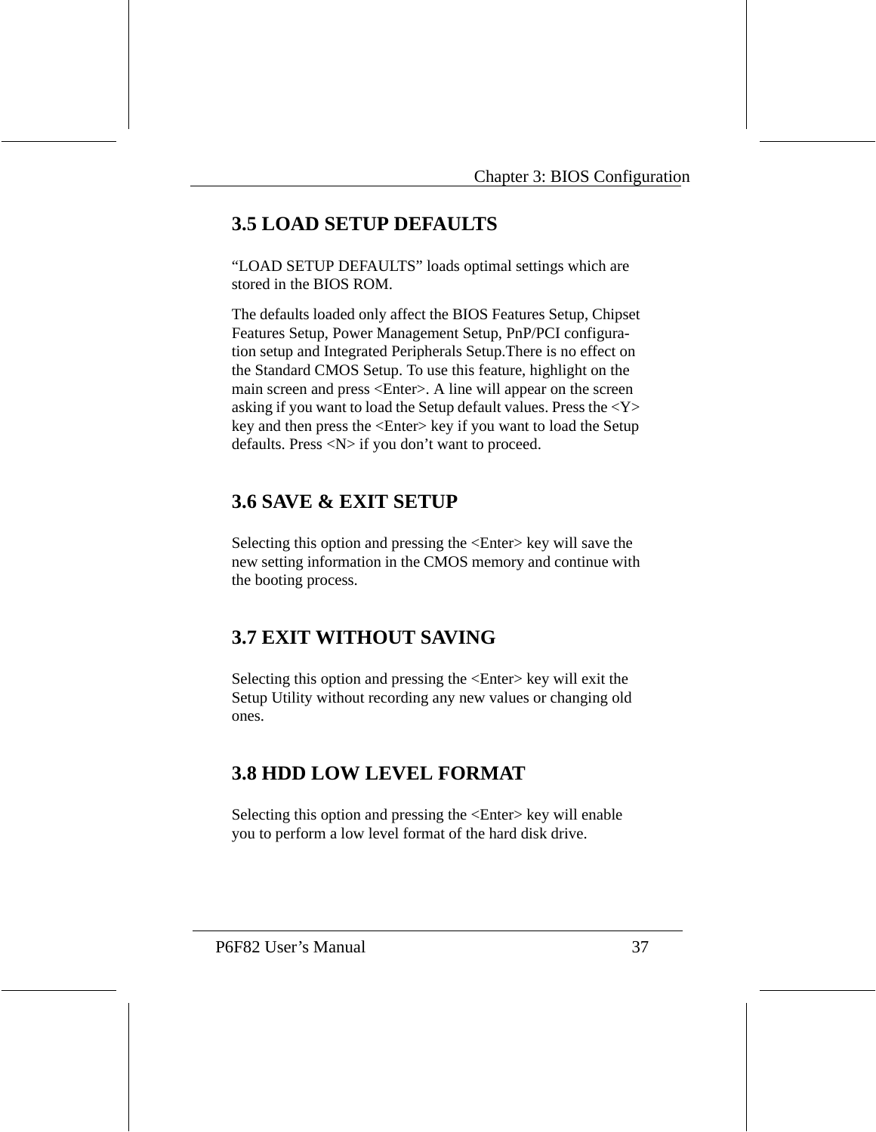# **3.5 LOAD SETUP DEFAULTS**

"LOAD SETUP DEFAULTS" loads optimal settings which are stored in the BIOS ROM.

The defaults loaded only affect the BIOS Features Setup, Chipset Features Setup, Power Management Setup, PnP/PCI configuration setup and Integrated Peripherals Setup.There is no effect on the Standard CMOS Setup. To use this feature, highlight on the main screen and press <Enter>. A line will appear on the screen asking if you want to load the Setup default values. Press the  $<\mathbf{Y}>$ key and then press the <Enter> key if you want to load the Setup defaults. Press <N> if you don't want to proceed.

# **3.6 SAVE & EXIT SETUP**

Selecting this option and pressing the <Enter> key will save the new setting information in the CMOS memory and continue with the booting process.

# **3.7 EXIT WITHOUT SAVING**

Selecting this option and pressing the <Enter> key will exit the Setup Utility without recording any new values or changing old ones.

# **3.8 HDD LOW LEVEL FORMAT**

Selecting this option and pressing the <Enter> key will enable you to perform a low level format of the hard disk drive.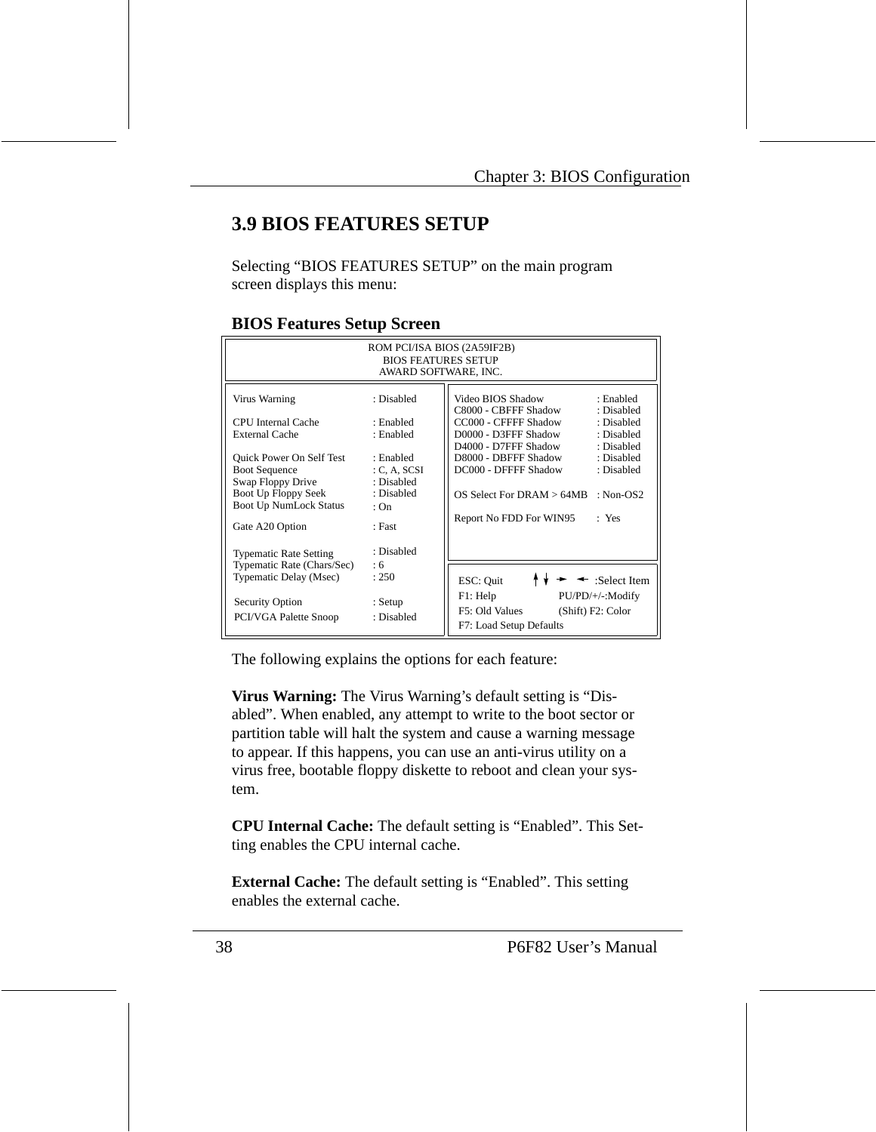# **3.9 BIOS FEATURES SETUP**

Selecting "BIOS FEATURES SETUP" on the main program screen displays this menu:

| ROM PCI/ISA BIOS (2A59IF2B)<br><b>BIOS FEATURES SETUP</b><br>AWARD SOFTWARE, INC.                                             |                                                               |                                                                                                                                                                                                  |  |  |
|-------------------------------------------------------------------------------------------------------------------------------|---------------------------------------------------------------|--------------------------------------------------------------------------------------------------------------------------------------------------------------------------------------------------|--|--|
| Virus Warning<br>CPU Internal Cache<br><b>External Cache</b>                                                                  | : Disabled<br>: Enabled<br>: Enabled                          | Video BIOS Shadow<br>: Enabled<br>C8000 - CBFFF Shadow<br>: Disabled<br>CC000 - CFFFF Shadow<br>: Disabled<br>D0000 - D3FFF Shadow<br>: Disabled                                                 |  |  |
| Quick Power On Self Test<br><b>Boot Sequence</b><br>Swap Floppy Drive<br>Boot Up Floppy Seek<br><b>Boot Up NumLock Status</b> | : Enabled<br>C, A, SCSI<br>: Disabled<br>: Disabled<br>: $On$ | D4000 - D7FFF Shadow<br>: Disabled<br>D8000 - DBFFF Shadow<br>: Disabled<br>DC000 - DFFFF Shadow<br>: Disabled<br>$OS$ Select For DRAM $> 64MB$<br>: Non-OS2<br>Report No FDD For WIN95<br>: Yes |  |  |
| Gate A20 Option<br><b>Typematic Rate Setting</b><br>Typematic Rate (Chars/Sec)<br>Typematic Delay (Msec)                      | : Fast<br>: Disabled<br>: 6<br>: 250                          | ESC: Quit<br>$\leftarrow$ :Select Item<br>F1: Help<br>PU/PD/+/-:Modify                                                                                                                           |  |  |
| Security Option<br>PCI/VGA Palette Snoop                                                                                      | : Setup<br>: Disabled                                         | F5: Old Values<br>(Shift) F2: Color<br>F7: Load Setup Defaults                                                                                                                                   |  |  |

#### **BIOS Features Setup Screen**

The following explains the options for each feature:

**Virus Warning:** The Virus Warning's default setting is "Disabled". When enabled, any attempt to write to the boot sector or partition table will halt the system and cause a warning message to appear. If this happens, you can use an anti-virus utility on a virus free, bootable floppy diskette to reboot and clean your system.

**CPU Internal Cache:** The default setting is "Enabled". This Setting enables the CPU internal cache.

**External Cache:** The default setting is "Enabled". This setting enables the external cache.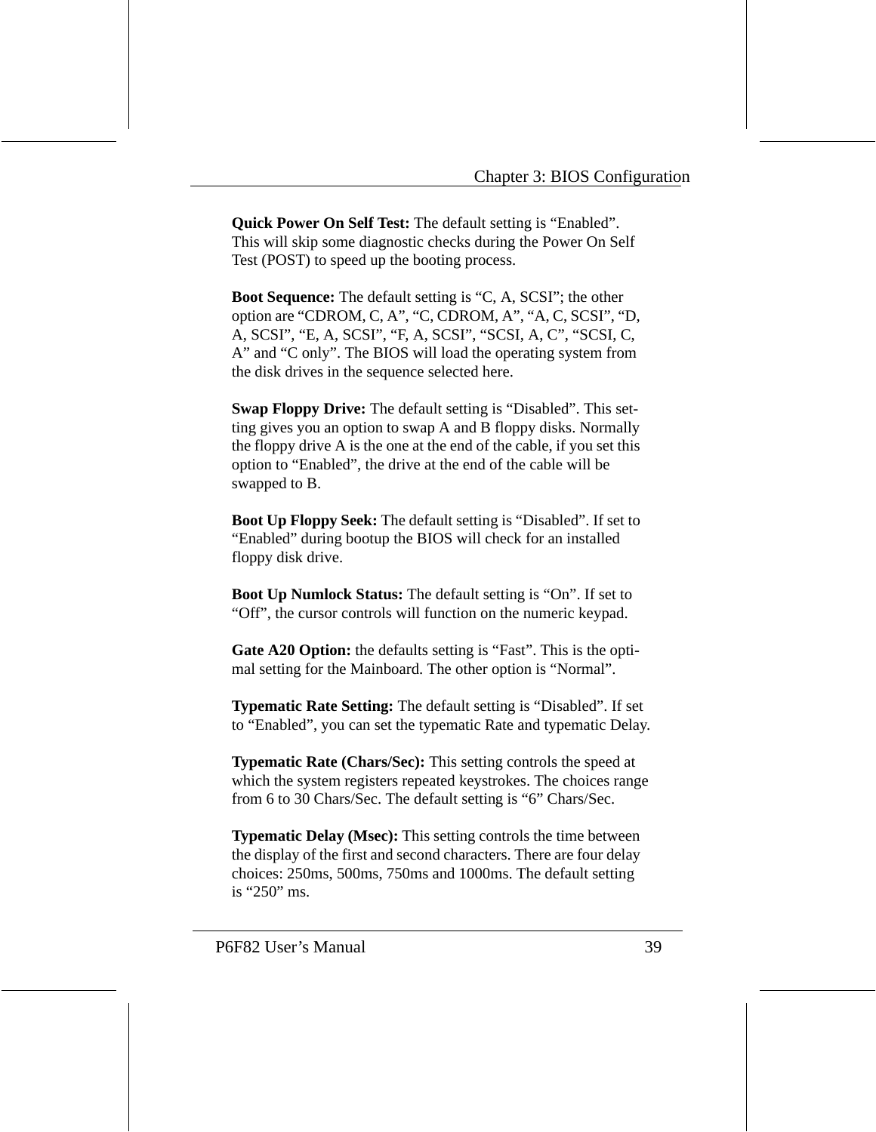**Quick Power On Self Test:** The default setting is "Enabled". This will skip some diagnostic checks during the Power On Self Test (POST) to speed up the booting process.

**Boot Sequence:** The default setting is "C, A, SCSI"; the other option are "CDROM, C, A", "C, CDROM, A", "A, C, SCSI", "D, A, SCSI", "E, A, SCSI", "F, A, SCSI", "SCSI, A, C", "SCSI, C, A" and "C only". The BIOS will load the operating system from the disk drives in the sequence selected here.

**Swap Floppy Drive:** The default setting is "Disabled". This setting gives you an option to swap A and B floppy disks. Normally the floppy drive A is the one at the end of the cable, if you set this option to "Enabled", the drive at the end of the cable will be swapped to B.

**Boot Up Floppy Seek:** The default setting is "Disabled". If set to "Enabled" during bootup the BIOS will check for an installed floppy disk drive.

**Boot Up Numlock Status:** The default setting is "On". If set to "Off", the cursor controls will function on the numeric keypad.

**Gate A20 Option:** the defaults setting is "Fast". This is the optimal setting for the Mainboard. The other option is "Normal".

**Typematic Rate Setting:** The default setting is "Disabled". If set to "Enabled", you can set the typematic Rate and typematic Delay.

**Typematic Rate (Chars/Sec):** This setting controls the speed at which the system registers repeated keystrokes. The choices range from 6 to 30 Chars/Sec. The default setting is "6" Chars/Sec.

**Typematic Delay (Msec):** This setting controls the time between the display of the first and second characters. There are four delay choices: 250ms, 500ms, 750ms and 1000ms. The default setting is "250" ms.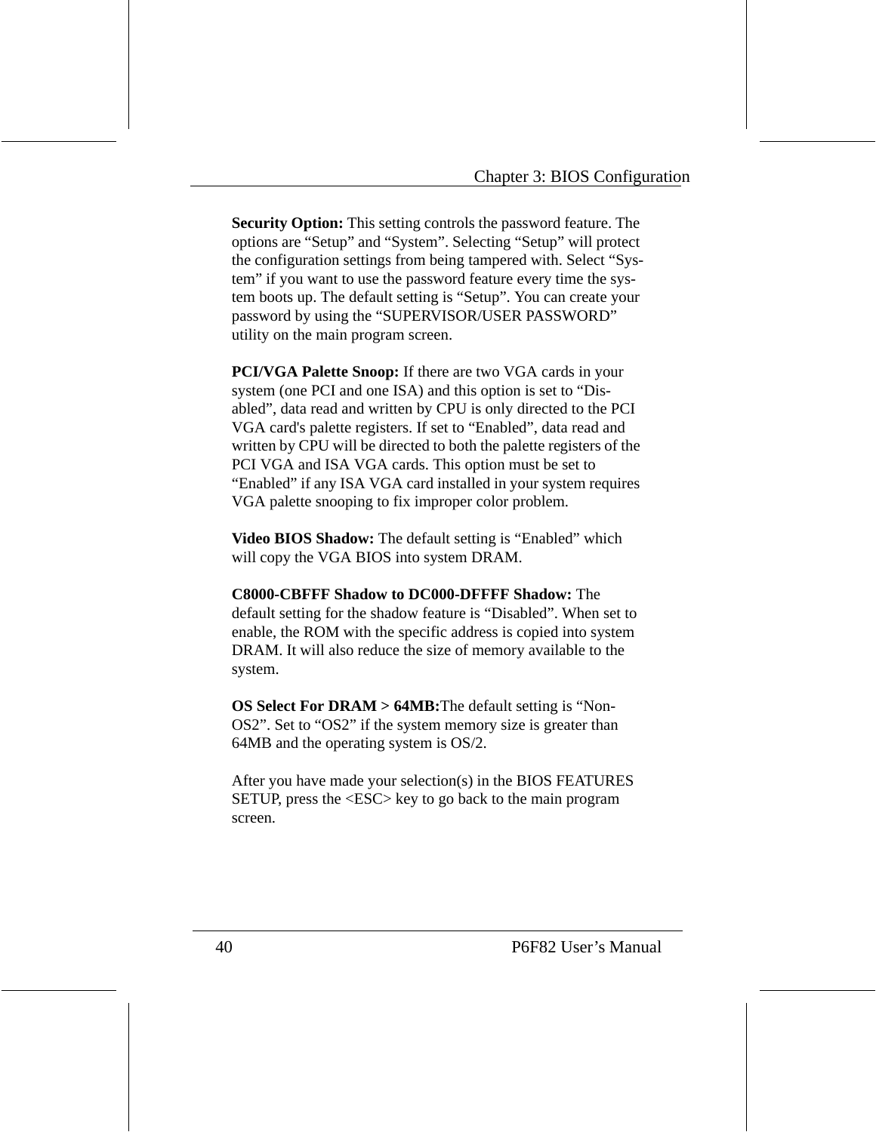**Security Option:** This setting controls the password feature. The options are "Setup" and "System". Selecting "Setup" will protect the configuration settings from being tampered with. Select "System" if you want to use the password feature every time the system boots up. The default setting is "Setup". You can create your password by using the "SUPERVISOR/USER PASSWORD" utility on the main program screen.

**PCI/VGA Palette Snoop:** If there are two VGA cards in your system (one PCI and one ISA) and this option is set to "Disabled", data read and written by CPU is only directed to the PCI VGA card's palette registers. If set to "Enabled", data read and written by CPU will be directed to both the palette registers of the PCI VGA and ISA VGA cards. This option must be set to "Enabled" if any ISA VGA card installed in your system requires VGA palette snooping to fix improper color problem.

**Video BIOS Shadow:** The default setting is "Enabled" which will copy the VGA BIOS into system DRAM.

**C8000-CBFFF Shadow to DC000-DFFFF Shadow:** The default setting for the shadow feature is "Disabled". When set to enable, the ROM with the specific address is copied into system DRAM. It will also reduce the size of memory available to the system.

**OS Select For DRAM > 64MB:**The default setting is "Non-OS2". Set to "OS2" if the system memory size is greater than 64MB and the operating system is OS/2.

After you have made your selection(s) in the BIOS FEATURES SETUP, press the <ESC> key to go back to the main program screen.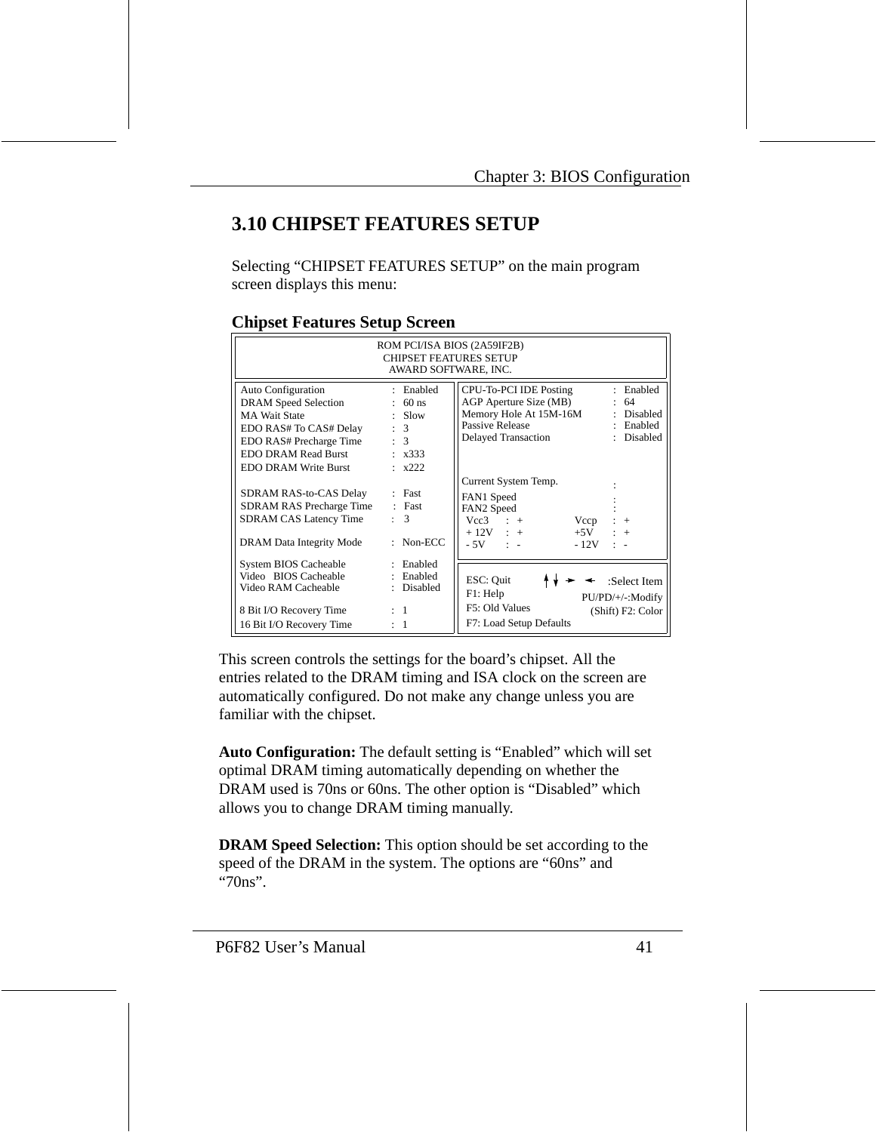# **3.10 CHIPSET FEATURES SETUP**

Selecting "CHIPSET FEATURES SETUP" on the main program screen displays this menu:

| ROM PCI/ISA BIOS (2A59IF2B)<br><b>CHIPSET FEATURES SETUP</b><br>AWARD SOFTWARE, INC.                                                                                                 |                                                                                  |                                                                                                                                                                               |  |  |
|--------------------------------------------------------------------------------------------------------------------------------------------------------------------------------------|----------------------------------------------------------------------------------|-------------------------------------------------------------------------------------------------------------------------------------------------------------------------------|--|--|
| <b>Auto Configuration</b><br><b>DRAM</b> Speed Selection<br><b>MA Wait State</b><br>EDO RAS# To CAS# Delay<br>EDO RAS# Precharge Time<br>EDO DRAM Read Burst<br>EDO DRAM Write Burst | : Enabled<br>$: 60$ ns<br>$:$ Slow<br>: 3<br>: 3<br>: x333<br>$\frac{1}{2}$ x222 | : Enabled<br>CPU-To-PCI IDE Posting<br>AGP Aperture Size (MB)<br>-64<br>Memory Hole At 15M-16M<br>Disabled<br>Passive Release<br>: Enabled<br>Delayed Transaction<br>Disabled |  |  |
| SDRAM RAS-to-CAS Delay<br>SDRAM RAS Precharge Time<br>SDRAM CAS Latency Time<br>DRAM Data Integrity Mode                                                                             | $E$ Fast<br>$:$ Fast<br>3<br>$\ddot{\phantom{0}}$<br>Non-ECC<br>÷                | Current System Temp.<br>FAN1 Speed<br>FAN2 Speed<br>$Vec3$ : +<br>Vccp<br>$+$<br>$+12V$ : $+$ $+5V$<br>$+$<br>$-5V$ : $-$<br>$-12V$                                           |  |  |
| System BIOS Cacheable<br>Video BIOS Cacheable<br>Video RAM Cacheable<br>8 Bit I/O Recovery Time<br>16 Bit I/O Recovery Time                                                          | : Enabled<br>: Enabled<br>: Disabled<br>$\pm$ 1<br>$\cdot$ 1                     | ESC: Quit<br>:Select Item<br>F1: Help<br>PU/PD/+/-:Modify<br>F5: Old Values<br>(Shift) F2: Color<br>F7: Load Setup Defaults                                                   |  |  |

#### **Chipset Features Setup Screen**

This screen controls the settings for the board's chipset. All the entries related to the DRAM timing and ISA clock on the screen are automatically configured. Do not make any change unless you are familiar with the chipset.

**Auto Configuration:** The default setting is "Enabled" which will set optimal DRAM timing automatically depending on whether the DRAM used is 70ns or 60ns. The other option is "Disabled" which allows you to change DRAM timing manually.

**DRAM Speed Selection:** This option should be set according to the speed of the DRAM in the system. The options are "60ns" and "70ns".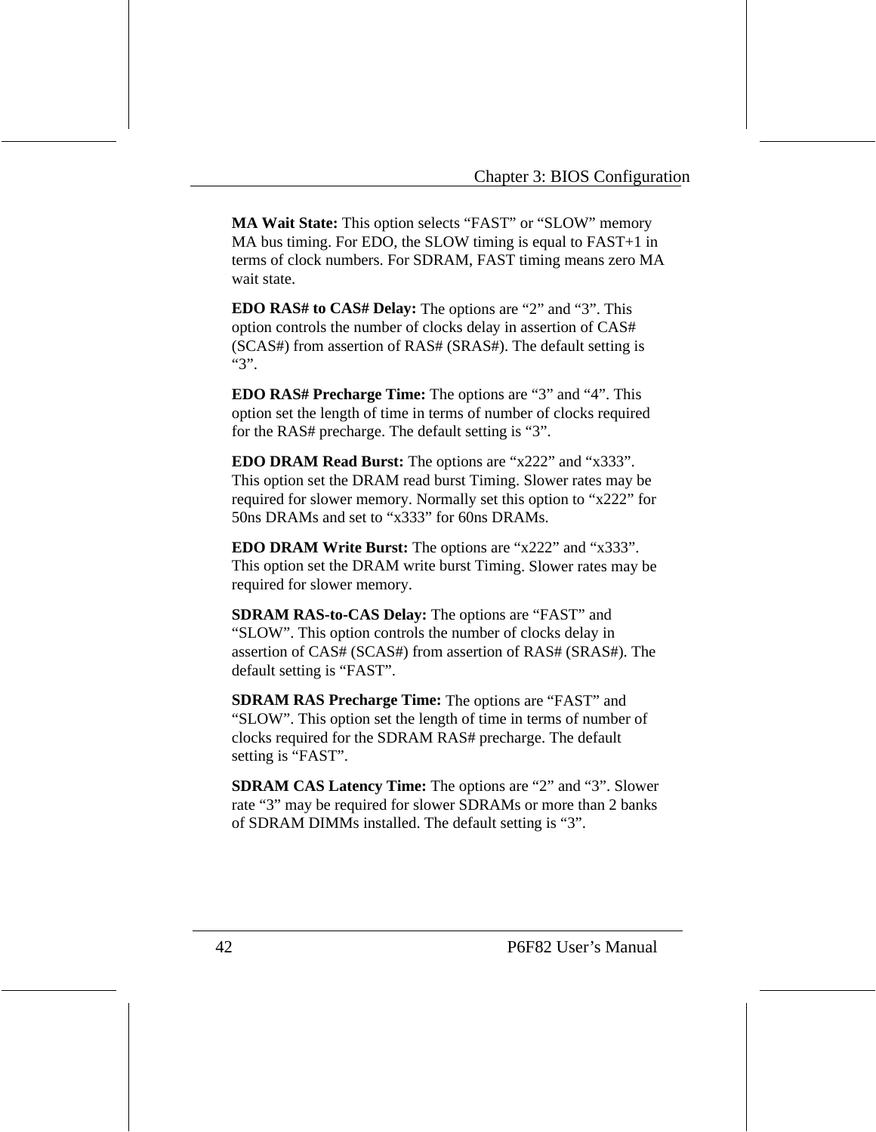**MA Wait State:** This option selects "FAST" or "SLOW" memory MA bus timing. For EDO, the SLOW timing is equal to FAST+1 in terms of clock numbers. For SDRAM, FAST timing means zero MA wait state.

**EDO RAS# to CAS# Delay:** The options are "2" and "3". This option controls the number of clocks delay in assertion of CAS# (SCAS#) from assertion of RAS# (SRAS#). The default setting is "3".

**EDO RAS# Precharge Time:** The options are "3" and "4". This option set the length of time in terms of number of clocks required for the RAS# precharge. The default setting is "3".

**EDO DRAM Read Burst:** The options are "x222" and "x333". This option set the DRAM read burst Timing. Slower rates may be required for slower memory. Normally set this option to "x222" for 50ns DRAMs and set to "x333" for 60ns DRAMs.

**EDO DRAM Write Burst:** The options are "x222" and "x333". This option set the DRAM write burst Timing. Slower rates may be required for slower memory.

**SDRAM RAS-to-CAS Delay:** The options are "FAST" and "SLOW". This option controls the number of clocks delay in assertion of CAS# (SCAS#) from assertion of RAS# (SRAS#). The default setting is "FAST".

**SDRAM RAS Precharge Time:** The options are "FAST" and "SLOW". This option set the length of time in terms of number of clocks required for the SDRAM RAS# precharge. The default setting is "FAST".

**SDRAM CAS Latency Time:** The options are "2" and "3". Slower rate "3" may be required for slower SDRAMs or more than 2 banks of SDRAM DIMMs installed. The default setting is "3".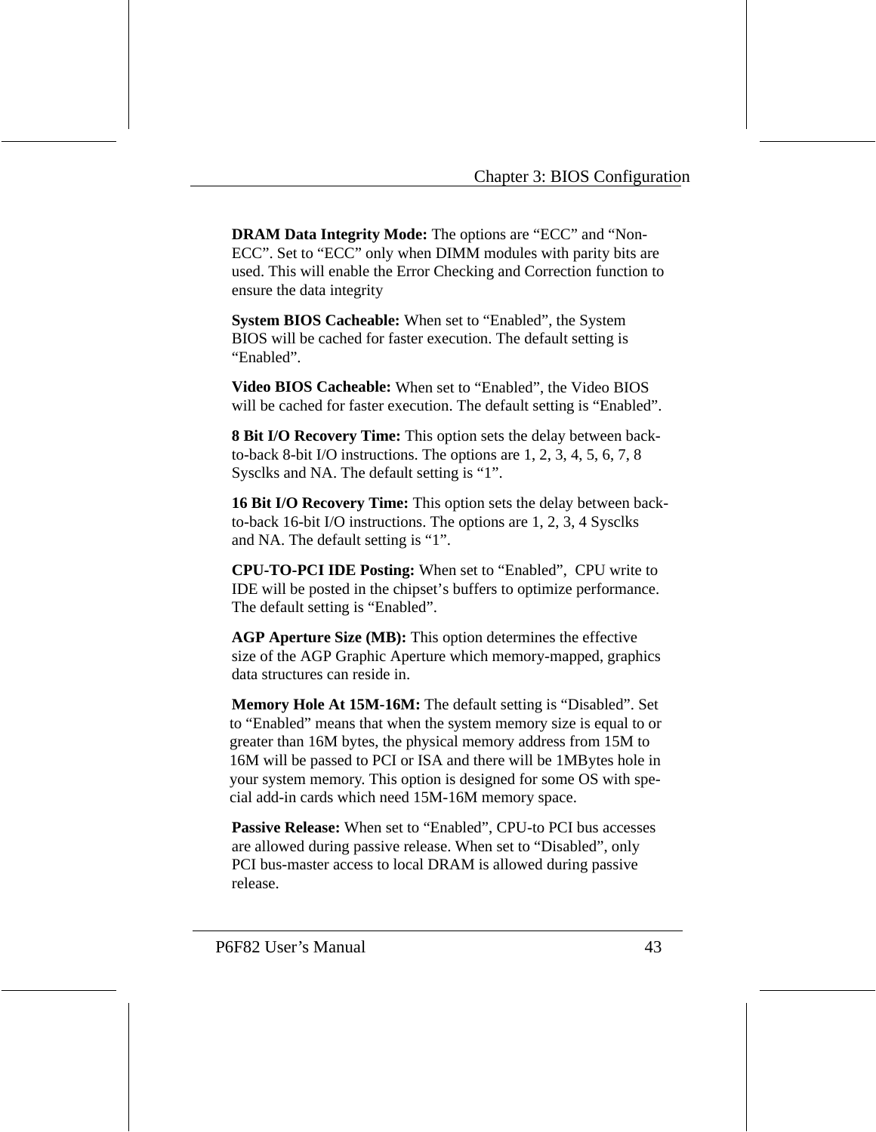**DRAM Data Integrity Mode:** The options are "ECC" and "Non-ECC". Set to "ECC" only when DIMM modules with parity bits are used. This will enable the Error Checking and Correction function to ensure the data integrity

**System BIOS Cacheable:** When set to "Enabled", the System BIOS will be cached for faster execution. The default setting is "Enabled".

**Video BIOS Cacheable:** When set to "Enabled", the Video BIOS will be cached for faster execution. The default setting is "Enabled".

**8 Bit I/O Recovery Time:** This option sets the delay between backto-back 8-bit I/O instructions. The options are 1, 2, 3, 4, 5, 6, 7, 8 Sysclks and NA. The default setting is "1".

**16 Bit I/O Recovery Time:** This option sets the delay between backto-back 16-bit I/O instructions. The options are 1, 2, 3, 4 Sysclks and NA. The default setting is "1".

**CPU-TO-PCI IDE Posting:** When set to "Enabled", CPU write to IDE will be posted in the chipset's buffers to optimize performance. The default setting is "Enabled".

**AGP Aperture Size (MB):** This option determines the effective size of the AGP Graphic Aperture which memory-mapped, graphics data structures can reside in.

**Memory Hole At 15M-16M:** The default setting is "Disabled". Set to "Enabled" means that when the system memory size is equal to or greater than 16M bytes, the physical memory address from 15M to 16M will be passed to PCI or ISA and there will be 1MBytes hole in your system memory. This option is designed for some OS with special add-in cards which need 15M-16M memory space.

**Passive Release:** When set to "Enabled", CPU-to PCI bus accesses are allowed during passive release. When set to "Disabled", only PCI bus-master access to local DRAM is allowed during passive release.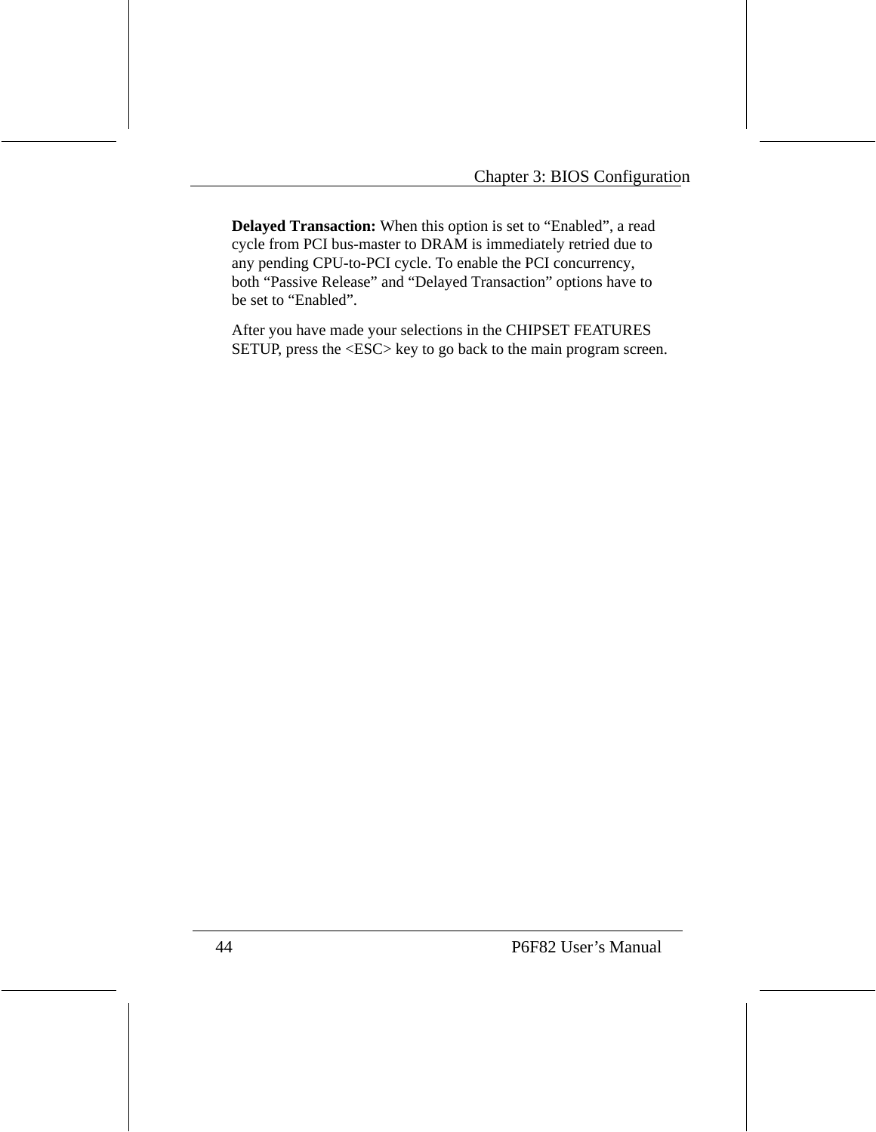**Delayed Transaction:** When this option is set to "Enabled", a read cycle from PCI bus-master to DRAM is immediately retried due to any pending CPU-to-PCI cycle. To enable the PCI concurrency, both "Passive Release" and "Delayed Transaction" options have to be set to "Enabled".

After you have made your selections in the CHIPSET FEATURES SETUP, press the <ESC> key to go back to the main program screen.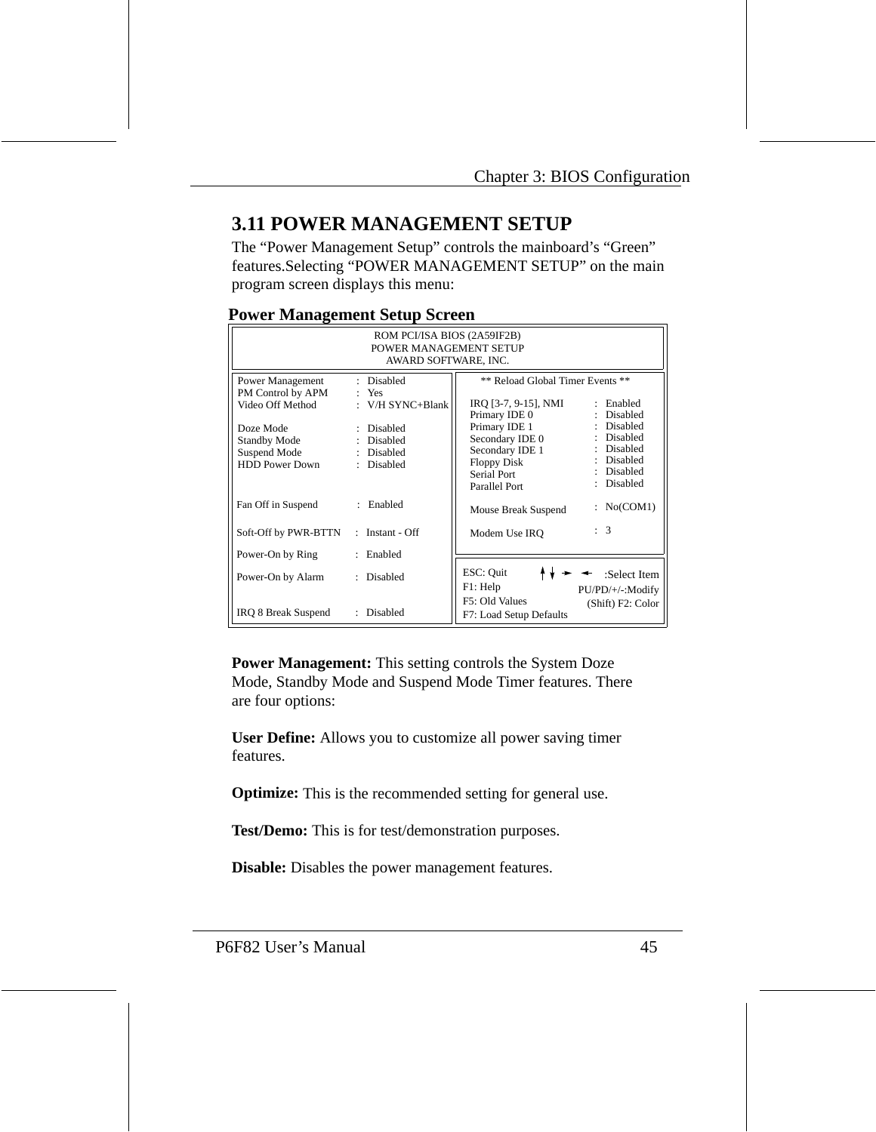# **3.11 POWER MANAGEMENT SETUP**

The "Power Management Setup" controls the mainboard's "Green" features.Selecting "POWER MANAGEMENT SETUP" on the main program screen displays this menu:

| $\mathbf{\sigma}$ .                                                           |                                                      |                                                                                                                                                                                      |  |  |
|-------------------------------------------------------------------------------|------------------------------------------------------|--------------------------------------------------------------------------------------------------------------------------------------------------------------------------------------|--|--|
| ROM PCI/ISA BIOS (2A59IF2B)<br>POWER MANAGEMENT SETUP<br>AWARD SOFTWARE, INC. |                                                      |                                                                                                                                                                                      |  |  |
| <b>Power Management</b><br>PM Control by APM<br>Video Off Method              | : Disabled<br>Yes<br>: V/H SYNC+Blank                | ** Reload Global Timer Events **<br>IRO [3-7, 9-15], NMI<br>: Enabled<br>: Disabled<br>Primary IDE 0                                                                                 |  |  |
| Doze Mode<br><b>Standby Mode</b><br>Suspend Mode<br><b>HDD Power Down</b>     | : Disabled<br>: Disabled<br>: Disabled<br>: Disabled | : Disabled<br>Primary IDE 1<br>: Disabled<br>Secondary IDE 0<br>: Disabled<br>Secondary IDE 1<br>: Disabled<br>Floppy Disk<br>: Disabled<br>Serial Port<br>Disabled<br>Parallel Port |  |  |
| Fan Off in Suspend                                                            | : Enabled                                            | No(COM1)<br>Mouse Break Suspend                                                                                                                                                      |  |  |
| Soft-Off by PWR-BTTN                                                          | : Instant - $Off$                                    | : 3<br>Modem Use IRO                                                                                                                                                                 |  |  |
| Power-On by Ring                                                              | : Enabled                                            |                                                                                                                                                                                      |  |  |
| Power-On by Alarm                                                             | : Disabled                                           | ESC: Quit<br>:Select Item<br>$F1$ : Help<br>PU/PD/+/-:Modify                                                                                                                         |  |  |
| IRQ 8 Break Suspend                                                           | Disabled<br>$\mathbb{R}^{\mathbb{Z}}$                | F5: Old Values<br>(Shift) F2: Color<br>F7: Load Setup Defaults                                                                                                                       |  |  |

#### **Power Management Setup Screen**

**Power Management:** This setting controls the System Doze Mode, Standby Mode and Suspend Mode Timer features. There are four options:

**User Define:** Allows you to customize all power saving timer features.

**Optimize:** This is the recommended setting for general use.

**Test/Demo:** This is for test/demonstration purposes.

**Disable:** Disables the power management features.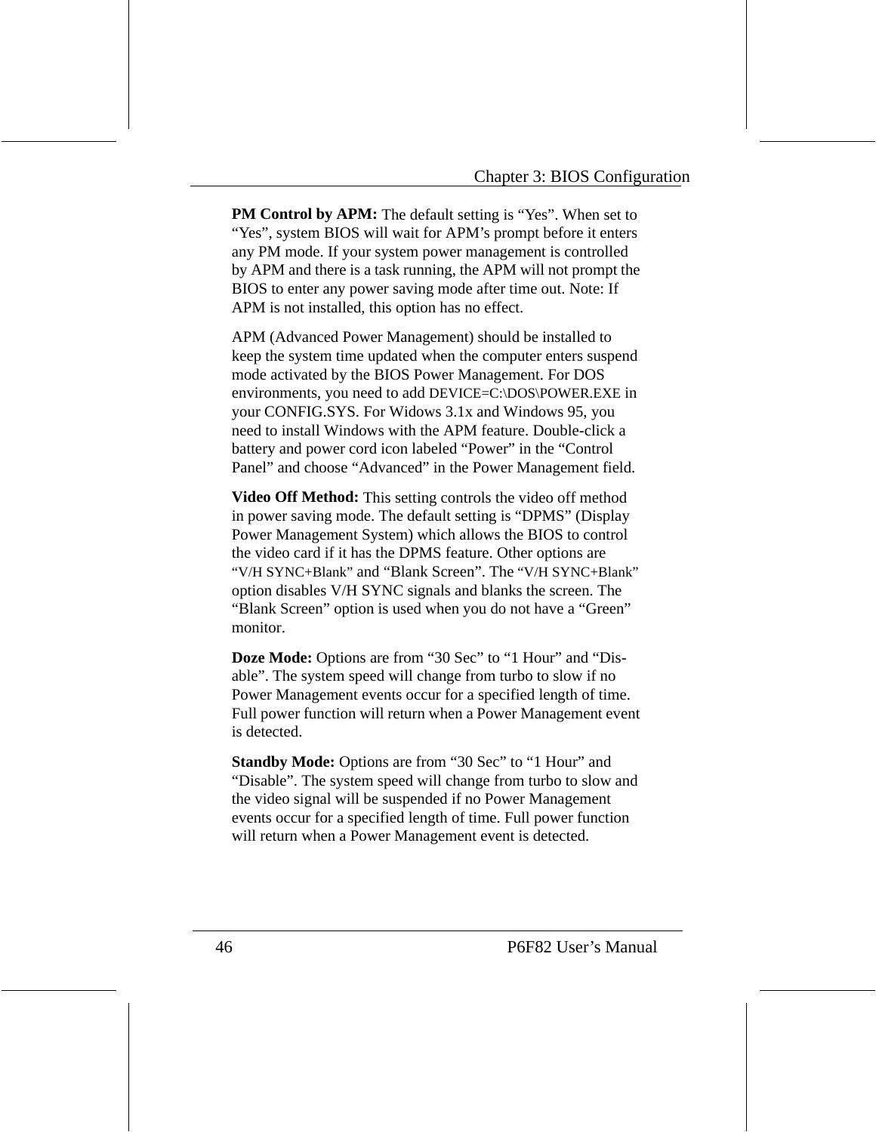**PM Control by APM:** The default setting is "Yes". When set to "Yes", system BIOS will wait for APM's prompt before it enters any PM mode. If your system power management is controlled by APM and there is a task running, the APM will not prompt the BIOS to enter any power saving mode after time out. Note: If APM is not installed, this option has no effect.

APM (Advanced Power Management) should be installed to keep the system time updated when the computer enters suspend mode activated by the BIOS Power Management. For DOS environments, you need to add DEVICE=C:\DOS\POWER.EXE in your CONFIG.SYS. For Widows 3.1x and Windows 95, you need to install Windows with the APM feature. Double-click a battery and power cord icon labeled "Power" in the "Control Panel" and choose "Advanced" in the Power Management field.

**Video Off Method:** This setting controls the video off method in power saving mode. The default setting is "DPMS" (Display Power Management System) which allows the BIOS to control the video card if it has the DPMS feature. Other options are "V/H SYNC+Blank" and "Blank Screen". The "V/H SYNC+Blank" option disables V/H SYNC signals and blanks the screen. The "Blank Screen" option is used when you do not have a "Green" monitor.

**Doze Mode:** Options are from "30 Sec" to "1 Hour" and "Disable". The system speed will change from turbo to slow if no Power Management events occur for a specified length of time. Full power function will return when a Power Management event is detected.

**Standby Mode:** Options are from "30 Sec" to "1 Hour" and "Disable". The system speed will change from turbo to slow and the video signal will be suspended if no Power Management events occur for a specified length of time. Full power function will return when a Power Management event is detected.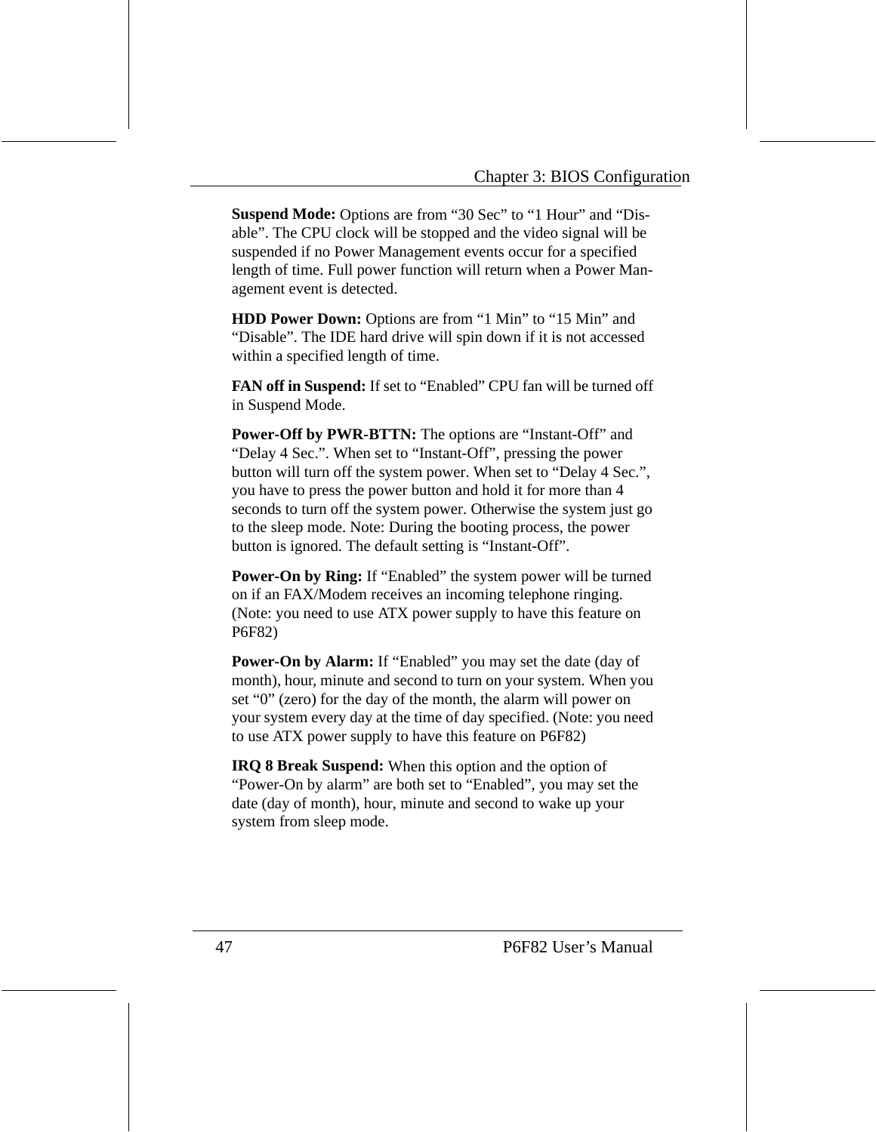**Suspend Mode:** Options are from "30 Sec" to "1 Hour" and "Disable". The CPU clock will be stopped and the video signal will be suspended if no Power Management events occur for a specified length of time. Full power function will return when a Power Management event is detected.

**HDD Power Down:** Options are from "1 Min" to "15 Min" and "Disable". The IDE hard drive will spin down if it is not accessed within a specified length of time.

**FAN off in Suspend:** If set to "Enabled" CPU fan will be turned off in Suspend Mode.

**Power-Off by PWR-BTTN:** The options are "Instant-Off" and "Delay 4 Sec.". When set to "Instant-Off", pressing the power button will turn off the system power. When set to "Delay 4 Sec.", you have to press the power button and hold it for more than 4 seconds to turn off the system power. Otherwise the system just go to the sleep mode. Note: During the booting process, the power button is ignored. The default setting is "Instant-Off".

**Power-On by Ring:** If "Enabled" the system power will be turned on if an FAX/Modem receives an incoming telephone ringing. (Note: you need to use ATX power supply to have this feature on P6F82)

**Power-On by Alarm:** If "Enabled" you may set the date (day of month), hour, minute and second to turn on your system. When you set "0" (zero) for the day of the month, the alarm will power on your system every day at the time of day specified. (Note: you need to use ATX power supply to have this feature on P6F82)

**IRQ 8 Break Suspend:** When this option and the option of "Power-On by alarm" are both set to "Enabled", you may set the date (day of month), hour, minute and second to wake up your system from sleep mode.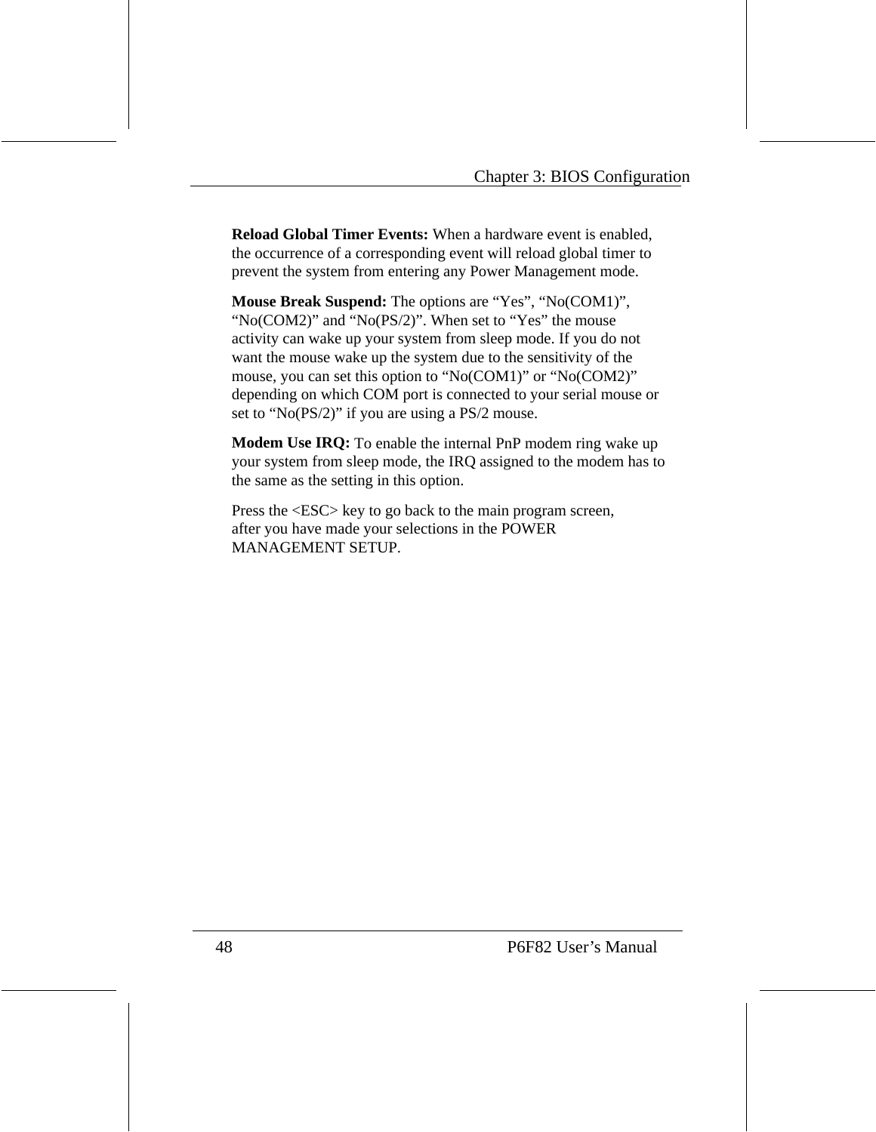**Reload Global Timer Events:** When a hardware event is enabled, the occurrence of a corresponding event will reload global timer to prevent the system from entering any Power Management mode.

**Mouse Break Suspend:** The options are "Yes", "No(COM1)", "No(COM2)" and "No(PS/2)". When set to "Yes" the mouse activity can wake up your system from sleep mode. If you do not want the mouse wake up the system due to the sensitivity of the mouse, you can set this option to "No(COM1)" or "No(COM2)" depending on which COM port is connected to your serial mouse or set to "No(PS/2)" if you are using a PS/2 mouse.

**Modem Use IRQ:** To enable the internal PnP modem ring wake up your system from sleep mode, the IRQ assigned to the modem has to the same as the setting in this option.

Press the <ESC> key to go back to the main program screen, after you have made your selections in the POWER MANAGEMENT SETUP.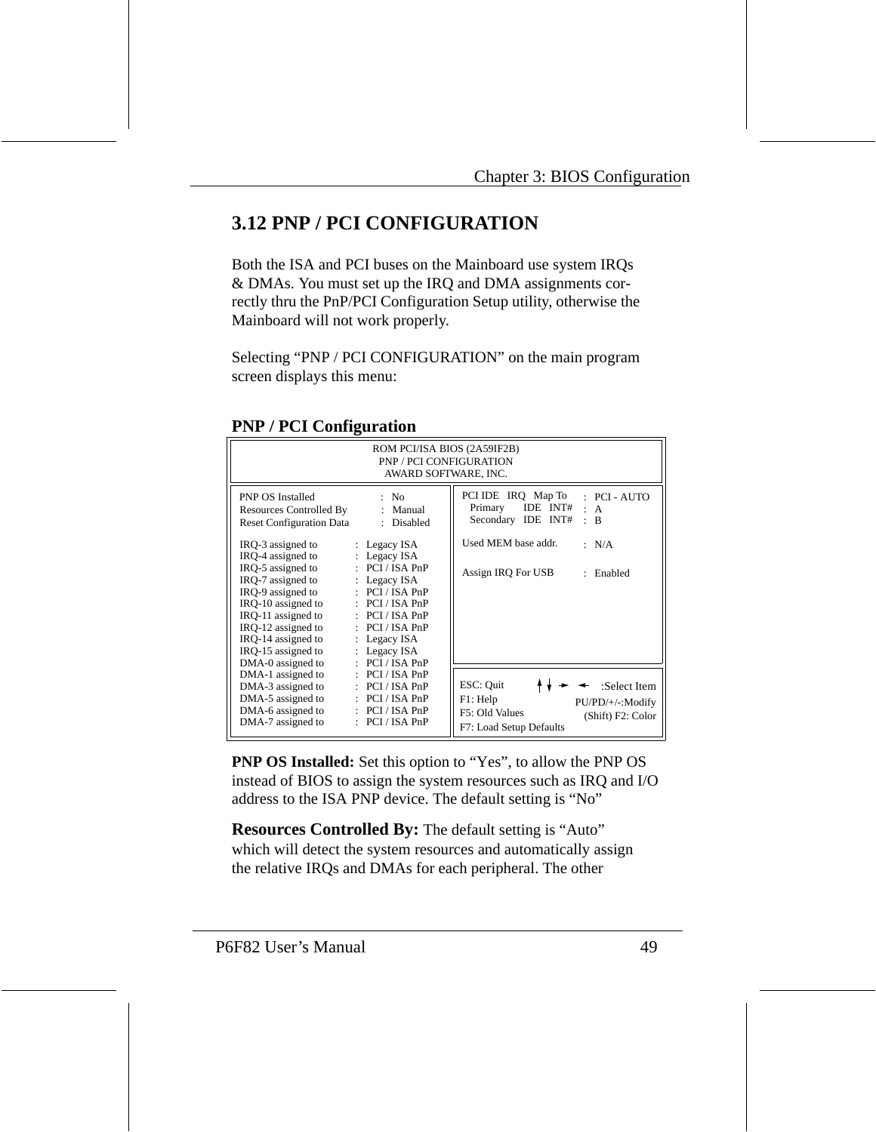# **3.12 PNP / PCI CONFIGURATION**

Both the ISA and PCI buses on the Mainboard use system IRQs & DMAs. You must set up the IRQ and DMA assignments correctly thru the PnP/PCI Configuration Setup utility, otherwise the Mainboard will not work properly.

Selecting "PNP / PCI CONFIGURATION" on the main program screen displays this menu:

| ROM PCI/ISA BIOS (2A59IF2B)<br><b>PNP / PCI CONFIGURATION</b><br>AWARD SOFTWARE, INC.                                                                                                                                                                                                                                                                                                                                                                                                                                                                                                    |                                                                                                                                                                                              |  |  |  |
|------------------------------------------------------------------------------------------------------------------------------------------------------------------------------------------------------------------------------------------------------------------------------------------------------------------------------------------------------------------------------------------------------------------------------------------------------------------------------------------------------------------------------------------------------------------------------------------|----------------------------------------------------------------------------------------------------------------------------------------------------------------------------------------------|--|--|--|
| <b>PNP OS Installed</b><br>: No<br>Resources Controlled By<br>: Manual<br><b>Reset Configuration Data</b><br>: Disabled<br>IRQ-3 assigned to<br>: Legacy ISA<br>IRO-4 assigned to<br>: Legacy ISA<br>IRO-5 assigned to<br>$\therefore$ PCI / ISA PnP<br>IRO-7 assigned to<br>: Legacy $ISA$<br>IRO-9 assigned to<br>$\therefore$ PCI / ISA PnP<br>IRO-10 assigned to<br>$\therefore$ PCI / ISA PnP<br>IRQ-11 assigned to<br>$\therefore$ PCI / ISA PnP<br>IRQ-12 assigned to<br>$\therefore$ PCI / ISA PnP<br>IRQ-14 assigned to<br>$:$ Legacy ISA<br>IRO-15 assigned to<br>: Legacy ISA | PCI IDE IRQ Map To<br>: PCI-AUTO<br>IDE $INT# : A$<br>Primary<br>Secondary IDE INT#<br>$\cdot$<br><sup>B</sup><br>Used MEM base addr.<br>: N/A<br>Assign IRQ For USB<br>Enabled<br>$\bullet$ |  |  |  |
| DMA-0 assigned to<br>: PCI/ISA PnP<br>DMA-1 assigned to<br>$\therefore$ PCI / ISA PnP<br>DMA-3 assigned to<br>$\therefore$ PCI / ISA PnP<br>DMA-5 assigned to<br>$\therefore$ PCI / ISA PnP<br>DMA-6 assigned to<br>$\therefore$ PCI / ISA PnP<br>: PCI/ISA PnP<br>DMA-7 assigned to                                                                                                                                                                                                                                                                                                     | ESC: Quit<br>:Select Item<br>F1: Help<br>PU/PD/+/-:Modify<br>F5: Old Values<br>(Shift) F2: Color<br>F7: Load Setup Defaults                                                                  |  |  |  |

#### **PNP / PCI Configuration**

**PNP OS Installed:** Set this option to "Yes", to allow the PNP OS instead of BIOS to assign the system resources such as IRQ and I/O address to the ISA PNP device. The default setting is "No"

**Resources Controlled By:** The default setting is "Auto" which will detect the system resources and automatically assign the relative IRQs and DMAs for each peripheral. The other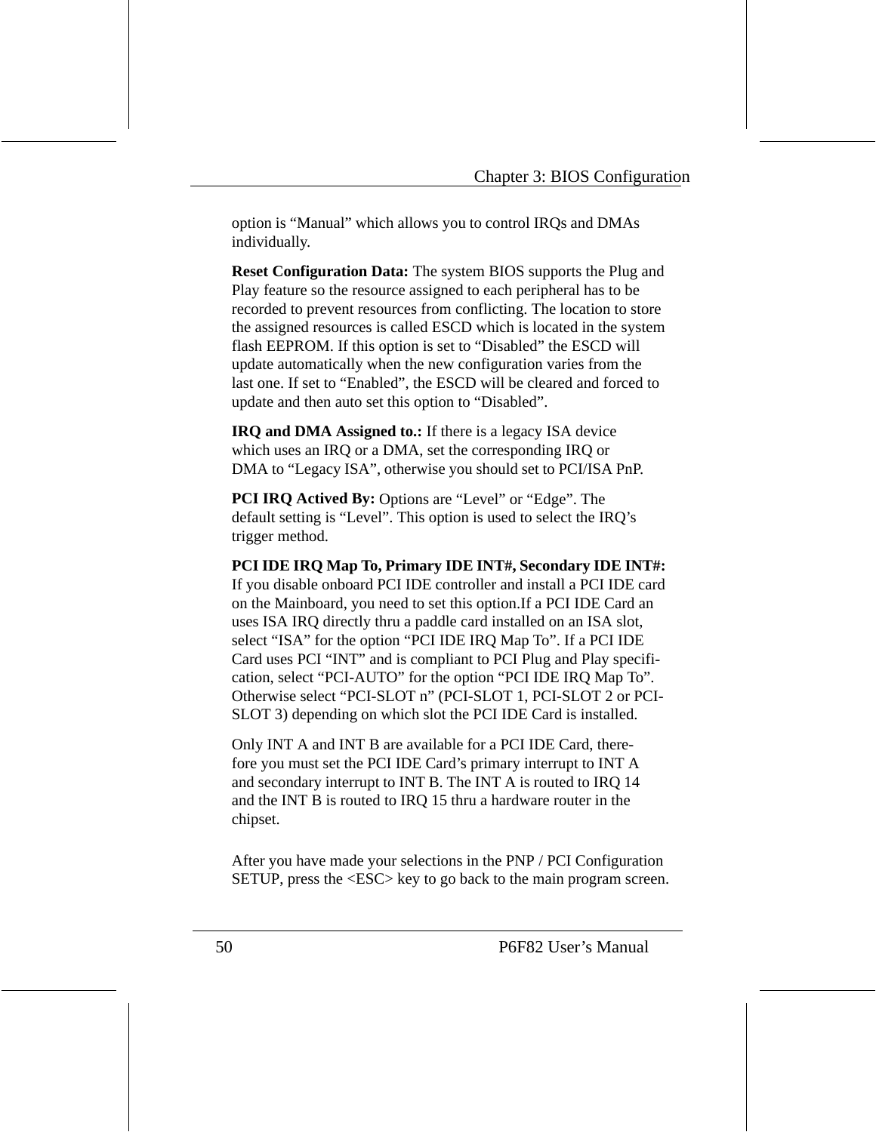option is "Manual" which allows you to control IRQs and DMAs individually.

**Reset Configuration Data:** The system BIOS supports the Plug and Play feature so the resource assigned to each peripheral has to be recorded to prevent resources from conflicting. The location to store the assigned resources is called ESCD which is located in the system flash EEPROM. If this option is set to "Disabled" the ESCD will update automatically when the new configuration varies from the last one. If set to "Enabled", the ESCD will be cleared and forced to update and then auto set this option to "Disabled".

**IRQ and DMA Assigned to.:** If there is a legacy ISA device which uses an IRQ or a DMA, set the corresponding IRQ or DMA to "Legacy ISA", otherwise you should set to PCI/ISA PnP.

**PCI IRQ Actived By:** Options are "Level" or "Edge". The default setting is "Level". This option is used to select the IRQ's trigger method.

**PCI IDE IRQ Map To, Primary IDE INT#, Secondary IDE INT#:**  If you disable onboard PCI IDE controller and install a PCI IDE card on the Mainboard, you need to set this option.If a PCI IDE Card an uses ISA IRQ directly thru a paddle card installed on an ISA slot, select "ISA" for the option "PCI IDE IRQ Map To". If a PCI IDE Card uses PCI "INT" and is compliant to PCI Plug and Play specification, select "PCI-AUTO" for the option "PCI IDE IRQ Map To". Otherwise select "PCI-SLOT n" (PCI-SLOT 1, PCI-SLOT 2 or PCI-SLOT 3) depending on which slot the PCI IDE Card is installed.

Only INT A and INT B are available for a PCI IDE Card, therefore you must set the PCI IDE Card's primary interrupt to INT A and secondary interrupt to INT B. The INT A is routed to IRQ 14 and the INT B is routed to IRQ 15 thru a hardware router in the chipset.

After you have made your selections in the PNP / PCI Configuration SETUP, press the <ESC> key to go back to the main program screen.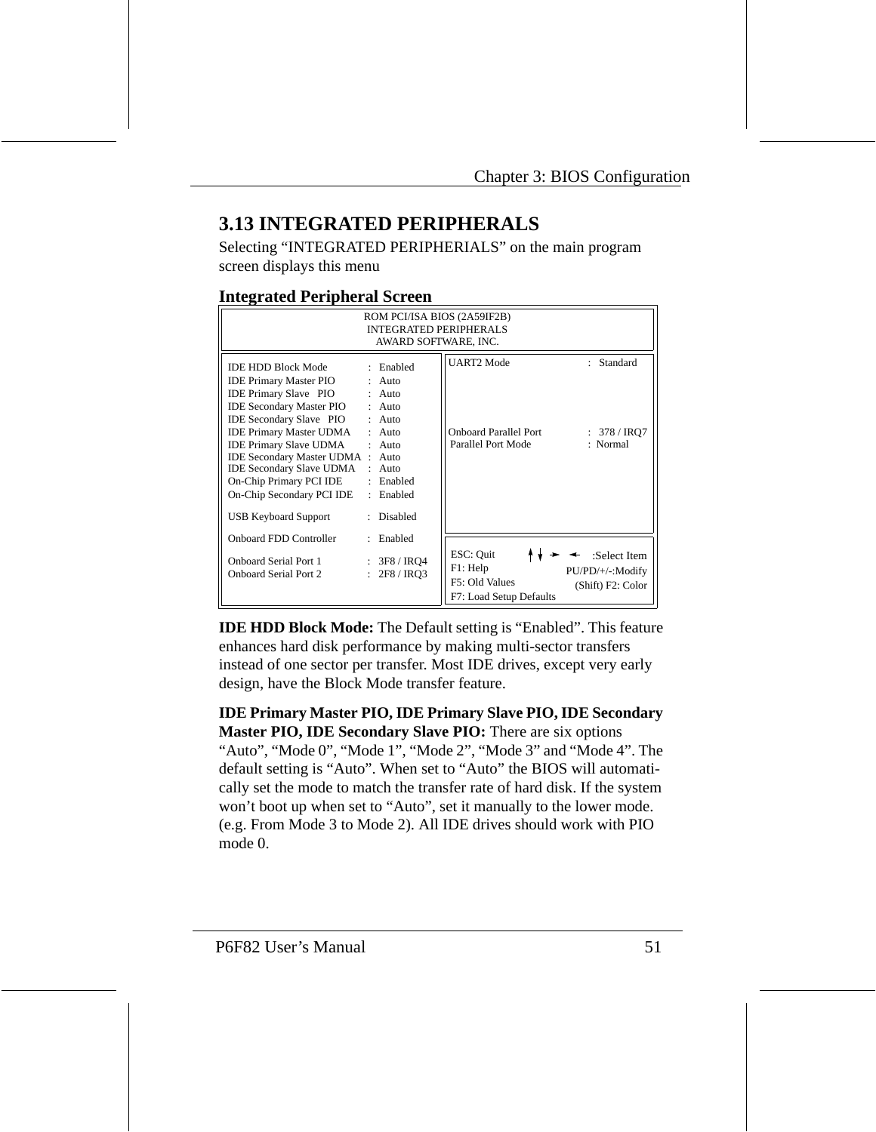# **3.13 INTEGRATED PERIPHERALS**

Selecting "INTEGRATED PERIPHERIALS" on the main program screen displays this menu

#### **Integrated Peripheral Screen**

| ROM PCI/ISA BIOS (2A59IF2B)<br><b>INTEGRATED PERIPHERALS</b><br>AWARD SOFTWARE, INC.                                                                                                                                                                                                                                                                                                                    |                                                                                                                                              |                                                                         |                                                       |  |
|---------------------------------------------------------------------------------------------------------------------------------------------------------------------------------------------------------------------------------------------------------------------------------------------------------------------------------------------------------------------------------------------------------|----------------------------------------------------------------------------------------------------------------------------------------------|-------------------------------------------------------------------------|-------------------------------------------------------|--|
| IDE HDD Block Mode<br><b>IDE Primary Master PIO</b><br><b>IDE Primary Slave PIO</b><br><b>IDE Secondary Master PIO : Auto</b><br><b>IDE Secondary Slave PIO</b><br><b>IDE Primary Master UDMA</b><br><b>IDE Primary Slave UDMA</b><br><b>IDE Secondary Master UDMA : Auto</b><br><b>IDE Secondary Slave UDMA</b><br>On-Chip Primary PCI IDE<br>On-Chip Secondary PCI IDE<br><b>USB Keyboard Support</b> | : Enabled<br>$:$ Auto<br>$:$ Auto<br>$:$ Auto<br>$\cdot$ Auto<br>$\cdot$ Auto<br>$:$ Auto<br>: Enabled<br>: Enabled<br>Disabled<br>$\bullet$ | <b>UART2</b> Mode<br><b>Onboard Parallel Port</b><br>Parallel Port Mode | : Standard<br>: $378 / IRQ7$<br>: Normal              |  |
| <b>Onboard FDD Controller</b><br><b>Onboard Serial Port 1</b><br><b>Onboard Serial Port 2</b>                                                                                                                                                                                                                                                                                                           | : Enabled<br>: 3F8 / IRQ4<br>: 2F8 / IRO3                                                                                                    | ESC: Quit<br>F1: Help<br>F5: Old Values<br>F7: Load Setup Defaults      | :Select Item<br>PU/PD/+/-:Modify<br>(Shift) F2: Color |  |

**IDE HDD Block Mode:** The Default setting is "Enabled". This feature enhances hard disk performance by making multi-sector transfers instead of one sector per transfer. Most IDE drives, except very early design, have the Block Mode transfer feature.

**IDE Primary Master PIO, IDE Primary Slave PIO, IDE Secondary Master PIO, IDE Secondary Slave PIO:** There are six options "Auto", "Mode 0", "Mode 1", "Mode 2", "Mode 3" and "Mode 4". The default setting is "Auto". When set to "Auto" the BIOS will automatically set the mode to match the transfer rate of hard disk. If the system won't boot up when set to "Auto", set it manually to the lower mode. (e.g. From Mode 3 to Mode 2). All IDE drives should work with PIO mode  $0$ .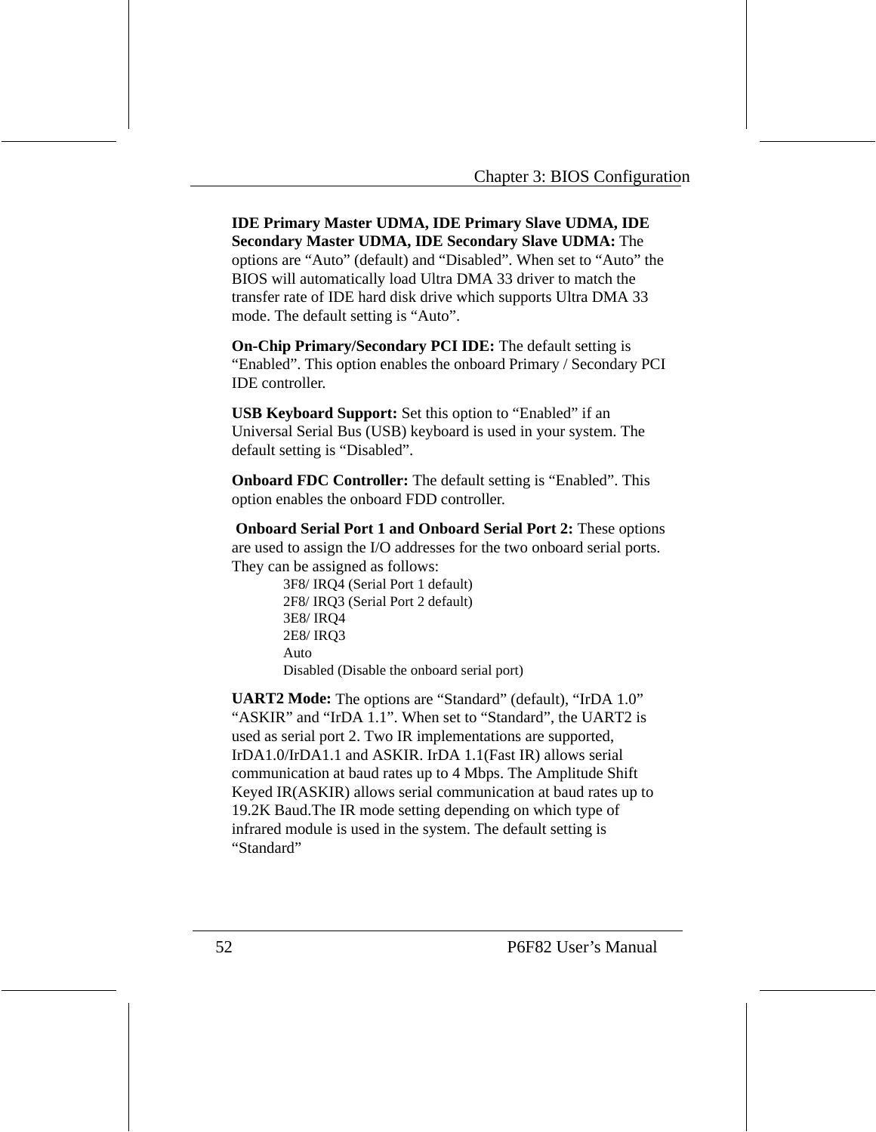**IDE Primary Master UDMA, IDE Primary Slave UDMA, IDE Secondary Master UDMA, IDE Secondary Slave UDMA:** The options are "Auto" (default) and "Disabled". When set to "Auto" the BIOS will automatically load Ultra DMA 33 driver to match the transfer rate of IDE hard disk drive which supports Ultra DMA 33 mode. The default setting is "Auto".

**On-Chip Primary/Secondary PCI IDE:** The default setting is "Enabled". This option enables the onboard Primary / Secondary PCI IDE controller.

**USB Keyboard Support:** Set this option to "Enabled" if an Universal Serial Bus (USB) keyboard is used in your system. The default setting is "Disabled".

**Onboard FDC Controller:** The default setting is "Enabled". This option enables the onboard FDD controller.

 **Onboard Serial Port 1 and Onboard Serial Port 2:** These options are used to assign the I/O addresses for the two onboard serial ports. They can be assigned as follows:

> 3F8/ IRQ4 (Serial Port 1 default) 2F8/ IRQ3 (Serial Port 2 default) 3E8/ IRQ4 2E8/ IRQ3 Auto Disabled (Disable the onboard serial port)

**UART2 Mode:** The options are "Standard" (default), "IrDA 1.0" "ASKIR" and "IrDA 1.1". When set to "Standard", the UART2 is used as serial port 2. Two IR implementations are supported, IrDA1.0/IrDA1.1 and ASKIR. IrDA 1.1(Fast IR) allows serial communication at baud rates up to 4 Mbps. The Amplitude Shift Keyed IR(ASKIR) allows serial communication at baud rates up to 19.2K Baud.The IR mode setting depending on which type of infrared module is used in the system. The default setting is "Standard"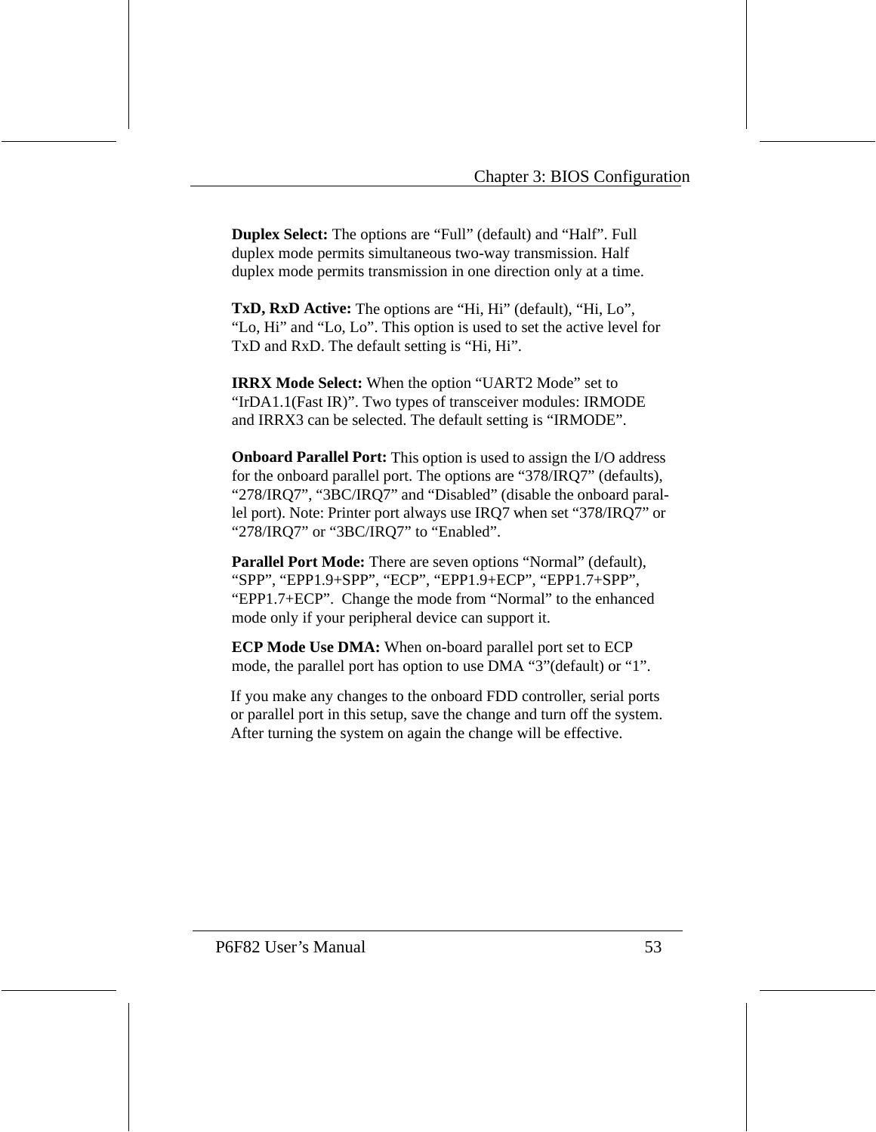**Duplex Select:** The options are "Full" (default) and "Half". Full duplex mode permits simultaneous two-way transmission. Half duplex mode permits transmission in one direction only at a time.

**TxD, RxD Active:** The options are "Hi, Hi" (default), "Hi, Lo", "Lo, Hi" and "Lo, Lo". This option is used to set the active level for TxD and RxD. The default setting is "Hi, Hi".

**IRRX Mode Select:** When the option "UART2 Mode" set to "IrDA1.1(Fast IR)". Two types of transceiver modules: IRMODE and IRRX3 can be selected. The default setting is "IRMODE".

**Onboard Parallel Port:** This option is used to assign the I/O address for the onboard parallel port. The options are "378/IRQ7" (defaults), "278/IRQ7", "3BC/IRQ7" and "Disabled" (disable the onboard parallel port). Note: Printer port always use IRQ7 when set "378/IRQ7" or "278/IRQ7" or "3BC/IRQ7" to "Enabled".

**Parallel Port Mode:** There are seven options "Normal" (default), "SPP", "EPP1.9+SPP", "ECP", "EPP1.9+ECP", "EPP1.7+SPP", "EPP1.7+ECP". Change the mode from "Normal" to the enhanced mode only if your peripheral device can support it.

**ECP Mode Use DMA:** When on-board parallel port set to ECP mode, the parallel port has option to use DMA "3"(default) or "1".

If you make any changes to the onboard FDD controller, serial ports or parallel port in this setup, save the change and turn off the system. After turning the system on again the change will be effective.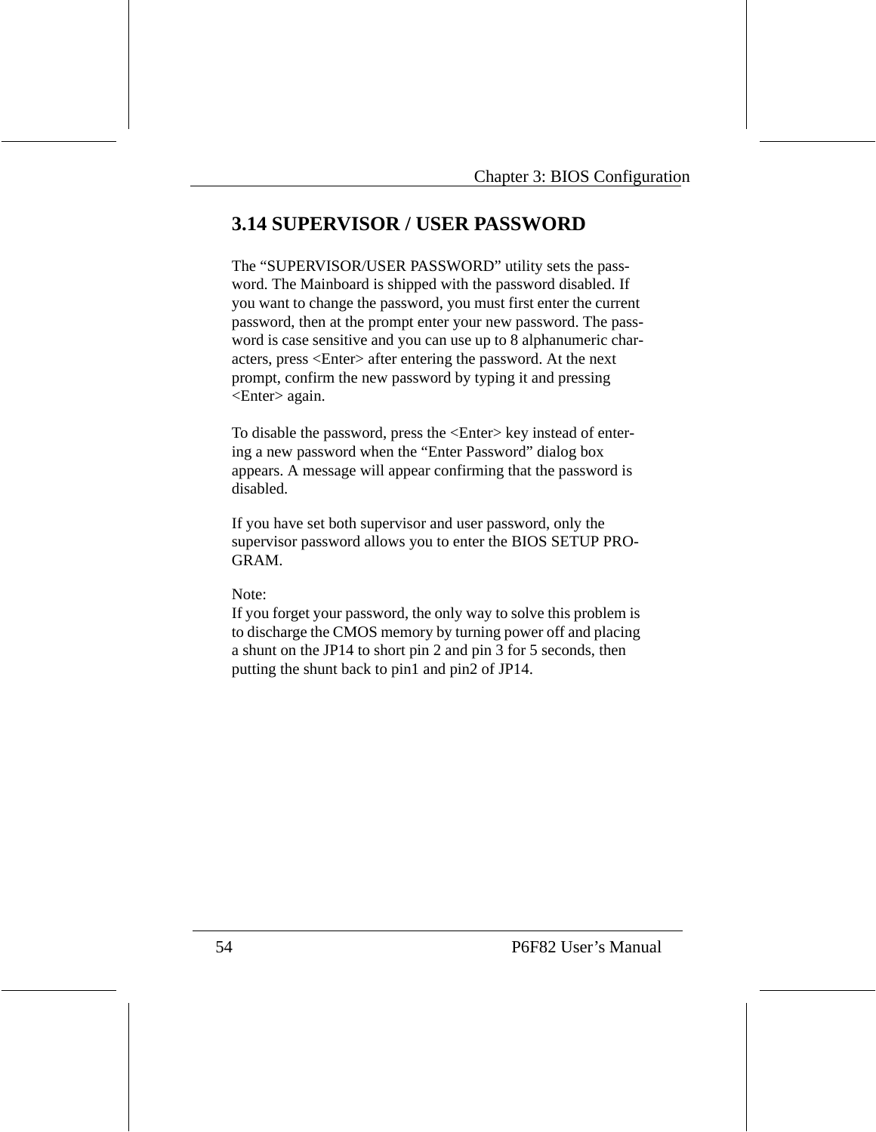# **3.14 SUPERVISOR / USER PASSWORD**

The "SUPERVISOR/USER PASSWORD" utility sets the password. The Mainboard is shipped with the password disabled. If you want to change the password, you must first enter the current password, then at the prompt enter your new password. The password is case sensitive and you can use up to 8 alphanumeric characters, press <Enter> after entering the password. At the next prompt, confirm the new password by typing it and pressing <Enter> again.

To disable the password, press the <Enter> key instead of entering a new password when the "Enter Password" dialog box appears. A message will appear confirming that the password is disabled.

If you have set both supervisor and user password, only the supervisor password allows you to enter the BIOS SETUP PRO-GRAM.

Note:

If you forget your password, the only way to solve this problem is to discharge the CMOS memory by turning power off and placing a shunt on the JP14 to short pin 2 and pin 3 for 5 seconds, then putting the shunt back to pin1 and pin2 of JP14.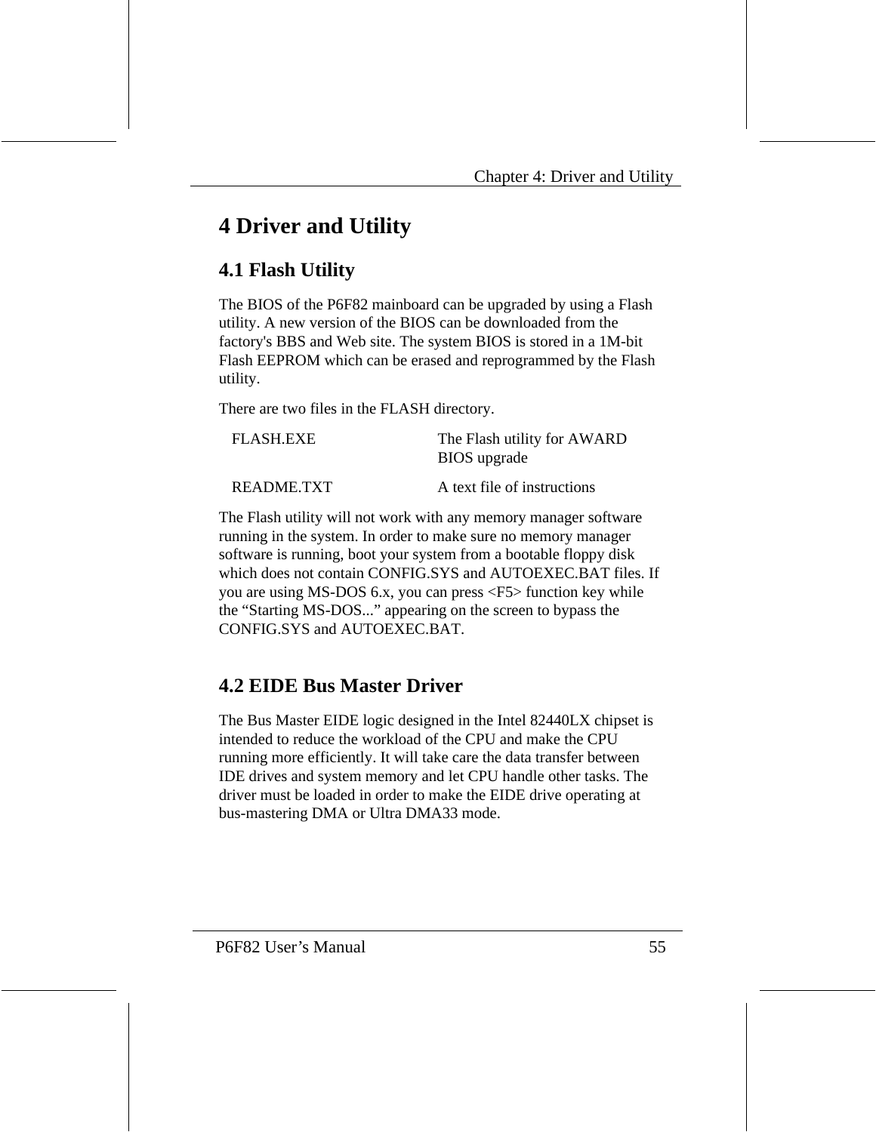# **4 Driver and Utility**

# **4.1 Flash Utility**

The BIOS of the P6F82 mainboard can be upgraded by using a Flash utility. A new version of the BIOS can be downloaded from the factory's BBS and Web site. The system BIOS is stored in a 1M-bit Flash EEPROM which can be erased and reprogrammed by the Flash utility.

There are two files in the FLASH directory.

| <b>FLASH.EXE</b> | The Flash utility for AWARD<br><b>BIOS</b> upgrade |
|------------------|----------------------------------------------------|
| README.TXT       | A text file of instructions                        |

The Flash utility will not work with any memory manager software running in the system. In order to make sure no memory manager software is running, boot your system from a bootable floppy disk which does not contain CONFIG.SYS and AUTOEXEC.BAT files. If you are using MS-DOS 6.x, you can press <F5> function key while the "Starting MS-DOS..." appearing on the screen to bypass the CONFIG.SYS and AUTOEXEC.BAT.

# **4.2 EIDE Bus Master Driver**

The Bus Master EIDE logic designed in the Intel 82440LX chipset is intended to reduce the workload of the CPU and make the CPU running more efficiently. It will take care the data transfer between IDE drives and system memory and let CPU handle other tasks. The driver must be loaded in order to make the EIDE drive operating at bus-mastering DMA or Ultra DMA33 mode.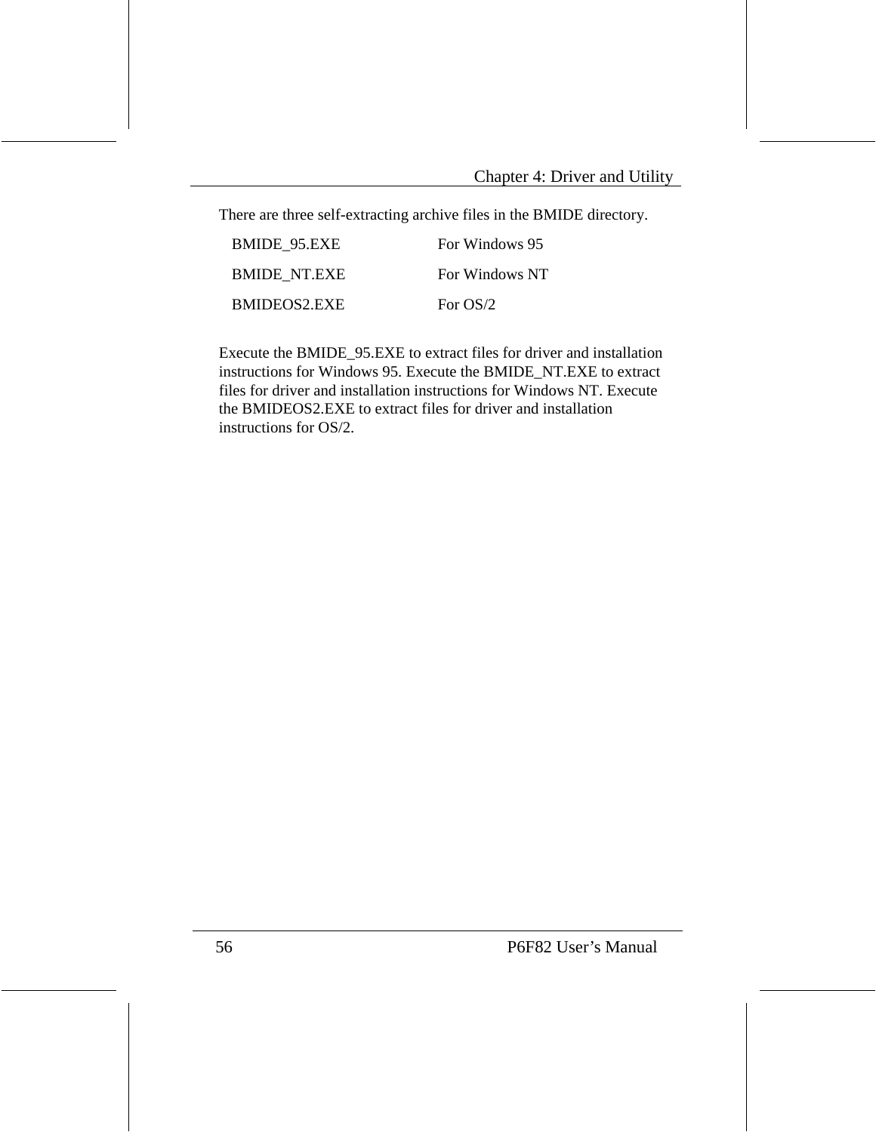There are three self-extracting archive files in the BMIDE directory.

| BMIDE 95.EXE        | For Windows 95 |
|---------------------|----------------|
| <b>BMIDE NT.EXE</b> | For Windows NT |
| BMIDEOS2.EXE        | For $OS/2$     |

Execute the BMIDE\_95.EXE to extract files for driver and installation instructions for Windows 95. Execute the BMIDE\_NT.EXE to extract files for driver and installation instructions for Windows NT. Execute the BMIDEOS2.EXE to extract files for driver and installation instructions for OS/2.